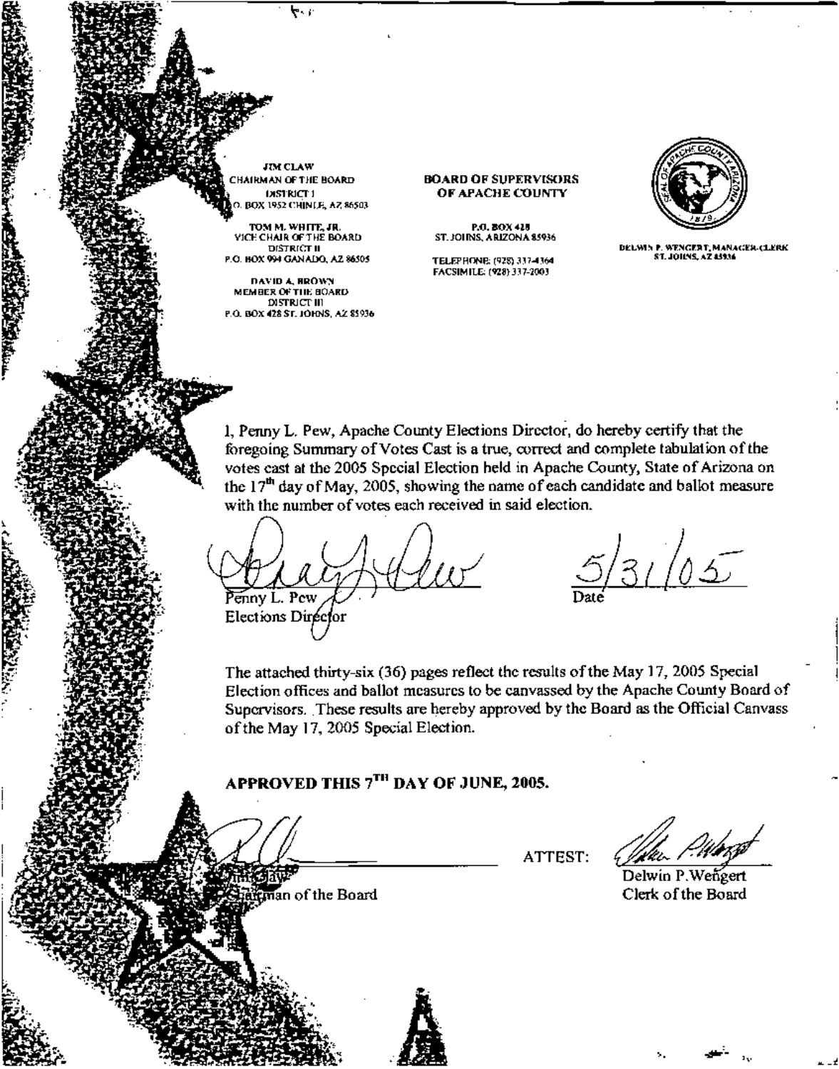**JIM CLAW CHAIRMAN OF THE BOARD** DISTRICT 1 **BOX 1952 CHINLE, AZ 86503** 

TOM M. WHITE, JR. **YICH CHAIR OF THE BOARD** DISTRICT II. P.O. HOX 994 GANADO, AZ 86505

DAVID A, RROWN MEMBER OF THE BOARD DISTRICT III P.O. BOX 428 ST. JOHNS, AZ 85936

#### **BOARD OF SUPERVISORS** OF APACHE COUNTY

P.O. BOX 418 ST. JOINS, ARIZONA 85936

TELEPHONE: (928) 337-4364 **FACSIMILE: (928) 337-2003** 



**DELWIS P. WENGERT, MANAGER, CLERK** ST. JOHNS, AZ 45934

1. Penny L. Pew, Apache County Elections Director, do hereby certify that the foregoing Summary of Votes Cast is a true, correct and complete tabulation of the votes cast at the 2005 Special Election held in Apache County, State of Arizona on the  $17<sup>th</sup>$  day of May, 2005, showing the name of each candidate and ballot measure with the number of votes each received in said election.

Penny L. Pew Elections Director

The attached thirty-six (36) pages reflect the results of the May 17, 2005 Special Election offices and ballot measures to be canvassed by the Apache County Board of Supervisors. These results are hereby approved by the Board as the Official Canvass of the May 17, 2005 Special Election.

ATTEST:

### APPROVED THIS 7TH DAY OF JUNE, 2005.

man of the Board

Delwin P.Wengert Clerk of the Board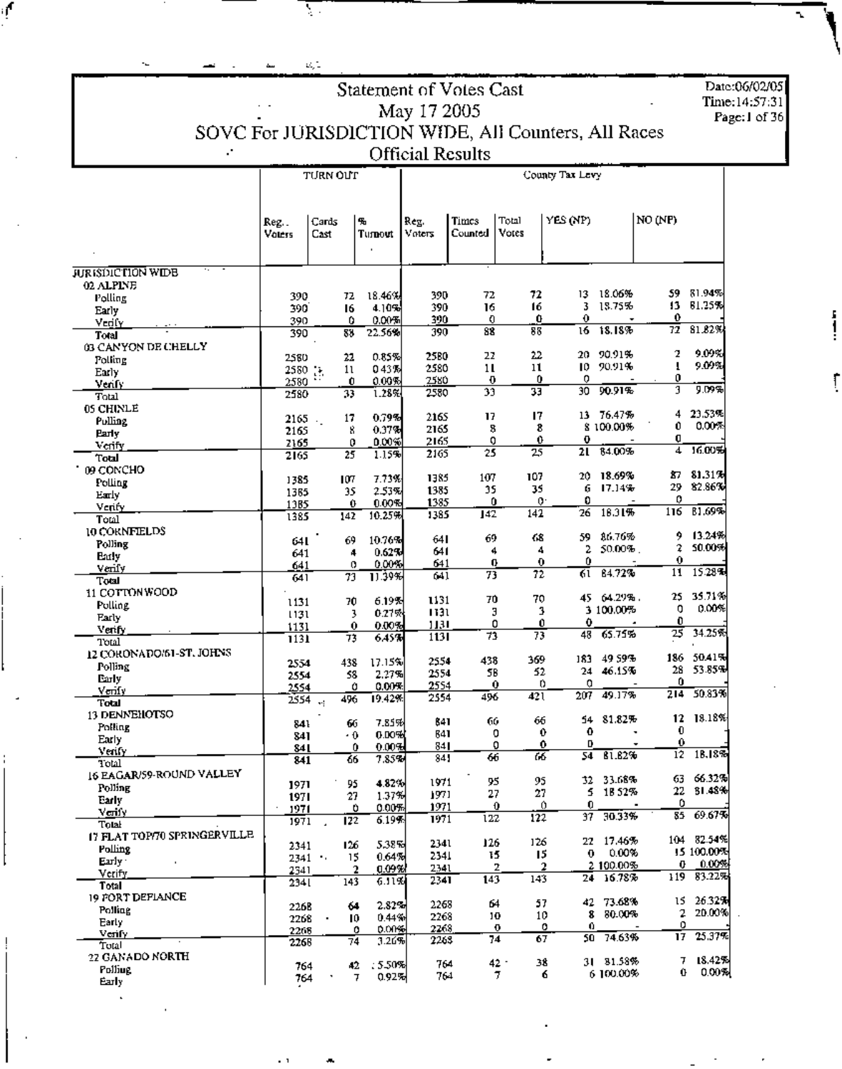|                                                     |                            |                 |                            |                         |                         |                   |                 |                         |             |                     | Date:06/02/05 |
|-----------------------------------------------------|----------------------------|-----------------|----------------------------|-------------------------|-------------------------|-------------------|-----------------|-------------------------|-------------|---------------------|---------------|
|                                                     |                            |                 |                            |                         | Statement of Votes Cast |                   |                 |                         |             |                     | Time:14:57:31 |
|                                                     |                            |                 |                            | May 17 2005             |                         |                   |                 |                         |             |                     | Page: I of 36 |
| SOVC For JURISDICTION WIDE, All Counters, All Races |                            |                 |                            |                         |                         |                   |                 |                         |             |                     |               |
|                                                     |                            |                 |                            | <b>Official Results</b> |                         |                   |                 |                         |             |                     |               |
|                                                     |                            | <b>TURN OUT</b> |                            |                         |                         |                   | County Tax Levy |                         |             |                     |               |
|                                                     |                            |                 |                            |                         |                         |                   |                 |                         |             |                     |               |
|                                                     |                            |                 |                            |                         |                         |                   |                 |                         |             |                     |               |
|                                                     | Reg<br>Voless              | Cards<br>Cast   | ‰<br>Turnout               | Reg.<br>Voters          | Times<br>Counted        | Total<br>Votes    | YES (NP)        |                         | NO (NP)     |                     |               |
|                                                     |                            |                 |                            |                         |                         |                   |                 |                         |             |                     |               |
|                                                     |                            |                 |                            |                         |                         |                   |                 |                         |             |                     |               |
| <b>JURISIMCTION WIDB</b><br>02 ALPINE               |                            |                 |                            |                         |                         |                   |                 |                         |             |                     |               |
| Polling                                             | 390.                       | 72              | 18.46%                     | 390                     | 72                      | 72                |                 | 13 18.06%               | 59.         | 81.94%              |               |
| Early                                               | 390<br>390                 | 16<br>0         | 4.10%<br>0.00%             | 390<br>390              | 16<br>0                 | 16<br>Û           | 3<br>0          | 18.75%                  | 0           | 13 81.25%           |               |
| Vedfy<br>Total                                      | 390                        | 83              | 22.56%                     | 390.                    | 88                      | 88                | 16              | 18.18%                  | 72          | 81.82%              |               |
| 03 CANYON DE CHELLY                                 |                            |                 |                            | 2580                    | 22                      | 22                |                 | 20 90.91%               | 2           | 9.09%               |               |
| Polling<br>Early                                    | 2580<br>2580 .             | 22<br>11        | 0.85%<br>043%              | 2580                    | $\mathbf{1}$            | 11                |                 | 10, 90.91%              | ı           | 9.09%               |               |
| Venfy                                               | 2580                       | 0               | 0.00%                      | 2580                    | Ð                       | 0                 | 0               |                         | 0           | 9.09%               |               |
| Total                                               | 2580                       | 33              | 1.28%                      | 2580                    | 33                      | 33                | 30.             | 90.91%                  | 3           |                     |               |
| 05 CHINLE<br>Pulling                                | $2165$ .                   | 17              | 0.79%                      | 2165                    | 17                      | 17                |                 | 13 76.47%               | 4           | 23.53%              |               |
| <b>Parly</b>                                        | 2165                       | 8               | 0.37%                      | 2165                    | 8<br>0                  | 8<br>0            | 0               | 8 100.00%               | 0<br>O      | 0.00%               |               |
| Verify                                              | 2165.<br>2165              | 0<br>25         | $0.00\%$<br>1.15%          | 2165.<br>2165           | 25                      | $\overline{25}$   | 21.             | 84.00%                  | 4           | 16.00%              |               |
| Total<br>09 CONCHO                                  |                            |                 |                            |                         |                         |                   |                 |                         |             |                     |               |
| Polling                                             | 1385                       | 107<br>35       | 7.73%<br>2.53%             | 1385<br>1385            | 107<br>35               | 107<br>35         | G               | 20 18.69%<br>17.14%     | 29.         | 87 81.31%<br>82.86% |               |
| Early<br>Verify                                     | 1385<br>1385               | 0               | 0.00%                      | 1385                    | 0                       | 0.                | 0               |                         | 0           |                     |               |
| Total                                               | 1385                       | 142             | 10.25%                     | 1385                    | 142                     | 142               | 26              | 18.31%                  | 116         | B1.69%              |               |
| 10 CORNFIELDS                                       | 64 L                       | 69              | 10.76%                     | 64 I                    | 69                      | 68                | 59              | 86.76%                  | 9           | 13.24%              |               |
| Polling<br>Euly                                     | 641                        |                 | 0.627<br>4                 | 641                     | 4                       | 4                 | 2               | $50.00\%$ .             | 2           | 50.00%              |               |
| Venly                                               | 641                        | 73              | 0.00%<br>0<br>11.39%       | 641<br>641              | 0<br>73                 | 0<br>72           | 0<br>61.        | 84.72%                  | 0<br>11     | 15.28%              |               |
| Total<br>11 COTTONWOOD                              | 641                        |                 |                            |                         |                         |                   |                 |                         |             |                     |               |
| Polling                                             | 1131                       | 70              | 6.19%                      | 1131                    | 70                      | 70<br>3           |                 | 45 64.29%.<br>3 100,00% | 25<br>0     | 35.71%<br>[0.00%]   |               |
| Farly                                               | 1131<br>1131               |                 | 0.27%<br>3<br>0.00%<br>0   | 1131<br>1131            | э<br>0                  | 0                 | 0               |                         | 0           |                     |               |
| Verify<br>Total                                     | 1131                       | 73              | 6.45%                      | 1131                    | 73                      | 73                | 48              | 65.75%                  | 25          | 34.25%              |               |
| 12 CORONADO/61-ST, JOHNS                            |                            |                 |                            | 2554                    | 438                     | 369               |                 | 183 49 59%              |             | 186 50.41%          |               |
| Polling                                             | 2554<br>2554               | 438<br>58       | 17.15% <br>2.27%           | 2554                    | 58                      | 52                | 24              | 46.15%                  | 28          | 53.85%              |               |
| Euly<br><u>Veniy</u>                                | 2554<br>2554 <sub>-:</sub> |                 | 0.00%<br>٥                 | 2554                    | 0                       | 0                 | o               | 207 49.17%              | 0           | $214 - 50.83%$      |               |
| Total                                               |                            | 496             | 19.42%                     | 2554                    | 496                     | 42 L              |                 |                         |             |                     |               |
| 13 DENNEHOTSO<br>Polling                            | 841                        | 66              | 7.85%                      | 841                     | 66                      | 66                |                 | 54 81.82%               |             | $12 - 18.18%$       |               |
| Early                                               | 841                        | - 0             | 0.00% 1                    | 841<br>84               |                         | 0<br>0<br>0<br>0  | 0<br>D          |                         | 0<br>0<br>۰ |                     |               |
| Verify.<br>Total                                    | 84 L<br>841                | 66              | 0.00%<br>0<br>7.85%        | 84 J                    | 66                      | 66                | 54.             | 81.82%                  | 12          | 18.18%              |               |
| 16 EAGAR/59-ROUND VALLEY                            |                            |                 |                            |                         |                         |                   |                 | 32 33.68%               | 63          | 66.32%              |               |
| Polling                                             | 1971<br>1971               | 95<br>27        | 4.82%<br>1.37%             | 1971<br>1971            | 95<br>27                | 95<br>27          |                 | 5 1852%                 | 22.         | 31.48%              |               |
| Early<br>Verify                                     | 1971                       |                 | 0.00%<br>٥                 | 1971                    |                         | 0.<br>$\mathbf 0$ | 0               |                         | ٥           |                     |               |
| Total                                               | 1971                       | 122             | 6.19%                      | 1971                    | 122                     | 122               | 37.             | 30.33%                  |             | 85 69.67%           |               |
| 17 FLAT TOP/70 SPRINGERVILLE                        | 2341                       | 126             | 5.38%                      | 2341                    | 126                     | 126               |                 | 22 17.46%               |             | 104 82.54%          |               |
| Polling<br>Early :                                  |                            | 2341            | 15<br>0.64%                | 2341                    | 15                      | 15                | 0.              | 0.00%                   |             | 15 100.00%          |               |
| Verify.                                             | 2341                       |                 | 0.09%<br>2                 | 2341                    | 143                     | 2<br>2<br>143     |                 | 2 100.00%<br>24 16.78%  | 0<br>119    | 0.00%<br>83.22%     |               |
| Total                                               | 2341                       | 143             | 6.11%)                     | 2341                    |                         |                   |                 |                         |             |                     |               |
| 19 FORT DEFIANCE<br>Polling                         | 226B                       |                 | 2.82%<br>64                | 2268                    | 64                      | 57                |                 | 42 73.68%               | 2           | 15 26.32%<br>20.00% |               |
| Early                                               | 2268                       |                 | 0.44%<br>10.<br>0.00%<br>٥ | 2268<br>2268            | 10                      | 10<br>٥<br>0      | 0.              | 80.00%<br>8             | 0           |                     |               |
| Verify<br>Total                                     | 2208<br>2268               |                 | 3.26%<br>74                | 2263                    | 74                      | 67                |                 | 50 74.63%               | 17          | 25.37%              |               |
| 22 GANADO NORTH                                     |                            |                 |                            |                         |                         | 38<br>$42 -$      |                 | 31 81.58%               |             | 18.42%<br>T         |               |
| Polling<br>Gazhe.                                   | 764<br>764                 |                 | :550%⊟<br>42<br>0.92%<br>7 | 764<br>764              |                         | 7.<br>6           |                 | 6 100.00%               |             | 0.00%<br>Û.         |               |

इ

ŋ

٠ŕ

 $\cdot$  1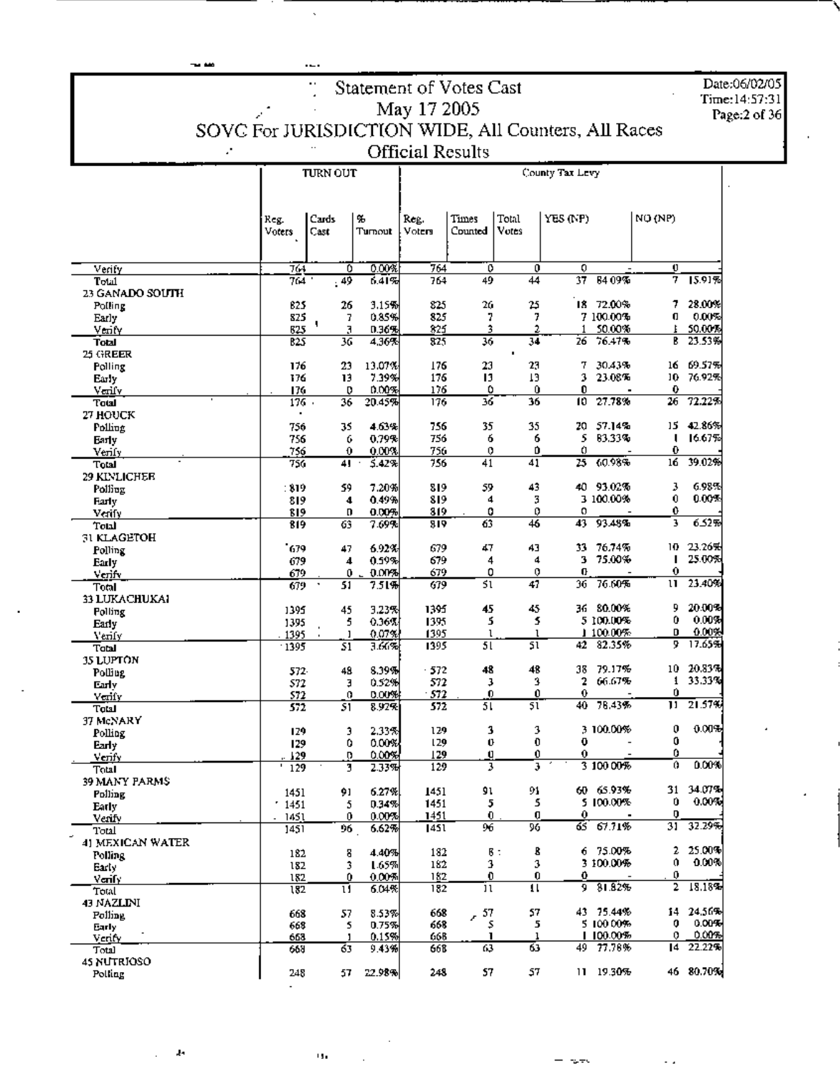#### Date:06/02/05  $Time:14:57:31$ Page:2 of 36

### Statement of Votes Cast May 17 2005<br>SOVC For JURISDICTION WIDE, All Counters, All Races  $\mathcal{F}^{\pm}$

Official Results

|                           |                        | <b>TURN OUT</b> |                | County Tax Levy |                  |                      |          |                        |                 |                  |
|---------------------------|------------------------|-----------------|----------------|-----------------|------------------|----------------------|----------|------------------------|-----------------|------------------|
|                           |                        |                 |                |                 |                  |                      |          |                        |                 |                  |
|                           |                        |                 |                |                 |                  |                      |          |                        |                 |                  |
|                           | Reg.                   | Cards           | 96             | Reg.            | Times<br>Counted | Total<br>Votes       | YES (NP) |                        | NO (NP)         |                  |
|                           | Voters                 | Cast            | Turnout        | Voters          |                  |                      |          |                        |                 |                  |
|                           |                        |                 |                |                 |                  |                      |          |                        |                 |                  |
| Verify                    | 764                    | 0               | 0.00%          | 764             | ٥                | 0                    | 0        |                        | Ü               |                  |
| Total<br>23 GANADO SOUTH  | 764                    | $-49$           | 6.41%          | 764             | 49               | 44                   | 37       | 84 09%                 | 7               | 15.91%           |
| Polling                   | 825                    | 26              | 3.15%          | 825             | 26               | 25                   |          | 18 72.00%              | 7               | 28.00%           |
| Early                     | 825                    | 7               | 0.85%          | 825             | 7                | 7                    |          | 7 100.00%              | o               | 0.00%            |
| Venfy                     | 825                    | 3               | 0.36%          | 825             | 3                | 2                    | 1        | 50.00%                 | ŧ               | 50.00%           |
| Total<br>25 GREER         | B25                    | 36              | 4.36%          | 825             | 36               | 34<br>$\blacksquare$ | 26       | 76.47%                 | B               | 23.53%           |
| Polling                   | 176                    | 23              | 13.07%         | 176             | 23               | 23                   | 7        | 30.43%                 | 16.             | 69.57%           |
| Early                     | 176                    | 13              | 7.39%          | 176             | 13               | 13                   | 3        | 23.08%                 |                 | 10 76.92%        |
| Verify                    | 176                    | D               | 0.00%          | 176             | ٥<br>36          | 0<br>36              | 0<br>10  | 27.78%                 | 0<br>26         | 72.22%           |
| Total<br>27 HOUCK         | 176.<br>$\blacksquare$ | 36              | 20.45%         | 176             |                  |                      |          |                        |                 |                  |
| Polling                   | 756                    | 35              | 4.63%          | 756             | 35               | 35                   |          | 20 57.14%              | 15.             | 42.86%           |
| Балу                      | 756                    | 6               | 0.79%          | 756             | 6                | 6                    | 5        | 83.33%                 | ι               | 16.67%           |
| Verify                    | 756                    | 0               | 0.00%          | 756             | 0                | Ď                    | 0        |                        | 0               |                  |
| Total                     | 756                    | 41              | 5.42%          | 756             | 41               | 41                   | 25.      | 60.98%                 | 16              | 39.02%           |
| 29 KLNLICHER<br>Polling   | : 819                  | 59              | 7.20%          | 819             | 59               | 43                   |          | 40 93.02%              | 3               | 6.98%            |
| Farly                     | 819                    | 4               | 0.49%          | 819             | 4                | 3                    |          | 3 100.00%              | 0               | 0.00%            |
| Verify                    | 819                    | D               | 0.00%          | 819.            | 0                | 0                    | o        |                        | 0               |                  |
| Total                     | 819                    | 63              | 7.69%          | 819             | 63               | 46                   | 43       | 93.48%                 | 3               | 6.52%            |
| 31 KLAGETOH               | 679                    | 47              | 6.92%          | 679             | 47               | 43                   |          | 33 76.74%              |                 | 10 23.26뙈        |
| Polling<br>Early          | 679                    | 4               | 0.59%          | 679             | 4                | 4                    | з        | 75.00%                 | п               | 25.00%           |
| verify                    | 679                    | 0               | 0.00%          | 679             | 0                | 0                    | Ū.       |                        | 0               |                  |
| Total                     | 679                    | 51              | 7.51%          | 679             | 51               | 47                   | 36       | 76.60%                 | u               | 23.40%           |
| 33 LUKACHUKAI             |                        |                 |                |                 |                  |                      |          |                        |                 | 20.00%           |
| Polling                   | 1395                   | 45<br>5         | 3.23%<br>0.36% | 1395<br>1395    | 45<br>5          | 45<br>5              |          | 36 80.00%<br>5 100 00% | 9<br>0          | 0.00%            |
| Early<br>Verify           | 1395<br>1395           | ı               | 0.07%          | 1395            | ı                | $\mathfrak{r}$       |          | 1 100.00%              | D               | 0.00%            |
| Total                     | $-1395$                | 51              | 3.66%          | 1395            | 51               | 51                   | 42.      | 82.35%                 | 9.              | 17.65%           |
| 35 LUPTON                 |                        |                 |                |                 |                  |                      |          |                        |                 |                  |
| Polling                   | 572.                   | 48              | 8.39%          | $-572$          | 48               | 48                   | 38<br>2  | 79.17%<br>66.67%       | 10.<br>1        | 20.83%<br>33.33% |
| Early                     | 572<br>572             | Ę<br>0          | 0.52%<br>0.00% | 572<br>572      | з<br>0           | 3<br>0               | 0        |                        | 0               |                  |
| Venfy<br>Total            | 572                    | 51              | 8.92%          | 572             | 51               | 51                   | 40.      | 78.43%                 | $\overline{11}$ | 21.57%           |
| 37 McNARY                 |                        |                 |                |                 |                  |                      |          |                        |                 |                  |
| Polling                   | 129                    | э               | 2.33%          | 129             | 3                | 3                    |          | 3 100.00%              | 0               | 0.00%            |
| Early                     | 129<br>129             | 0<br>o          | 0.00%<br>0.00% | 129<br>129      | Ü<br>Ü           | 0<br>0               | 0<br>0   |                        | 0<br>0          |                  |
| Verify<br>Total           | 129                    | 3               | 2.33%          | 129             | 3                | 3                    |          | 3 100 00%              | û               | 0.00%            |
| 39 MANY PARMS             |                        |                 |                |                 |                  |                      |          |                        |                 |                  |
| Polling                   | 1451                   | 91              | 6.27%          | 1451            | 91               | 91                   |          | 60 65.93%              |                 | 31 34.07%        |
| Early                     | .1451                  | 5               | 0.34%          | 1451            | 5                | 5                    |          | 5 100.00%              | Ú               | 0.00%            |
| Verify                    | 1451                   | 0<br>96         | 0.00%<br>6.62% | 1451<br>1451    | 0.<br>96         | o<br>96              | 0        | 65,67.71%              | o<br>31.        | 32.29%           |
| Total<br>41 MEXICAN WATER | 1451                   |                 |                |                 |                  |                      |          |                        |                 |                  |
| Polling                   | 182                    | 8               | 4.40%          | 182             |                  | В:<br>B              |          | 6 75.00%               | 2.              | 25.00%           |
| Early                     | 182                    | 3               | 1.65%          | 182             | 3                | 3                    |          | 3 100.00%              | 0               | 0.00%            |
| Venfy                     | 182                    | 0               | 0.00%          | 182             | 0                | 0                    | 0        | 9.81.82%               | 0<br>2          | 18.18%           |
| Total<br>43 NAZLINI       | $\overline{182}$       | Ħ               | 6.04%          | 182             | 11               | $\mathbf{u}$         |          |                        |                 |                  |
| Polling                   | 668                    | 57              | 8.53%          | 668             | 57<br>r.         | 57                   |          | 43 75.44%              | 14.             | 24.56%           |
| Early                     | 668                    | 5               | 0.75%          | 668             | \$               | 5                    |          | 510000%                | 0               | 0.00%            |
| Verify                    | 663                    | J.              | 0.15%          | 668             | ı                | 1                    |          | 1100.00%               | 0               | 0.00%            |
| Total<br>45 NUTRIOSO      | 668                    | 63              | 9.43%          | 668             | 63               | 63                   | 49.      | 77.78%                 | 14              | 22.22%           |
| Polling                   | 248                    | 57              | 22.98%         | 243             | 57               | 57                   |          | 11 19.30%              |                 | 46 80.70%        |
|                           |                        |                 |                |                 |                  |                      |          |                        |                 |                  |

 $\alpha_{\rm B}$ 

 $-$  -area

 $\sim$ 

Į.

 $\sim$  46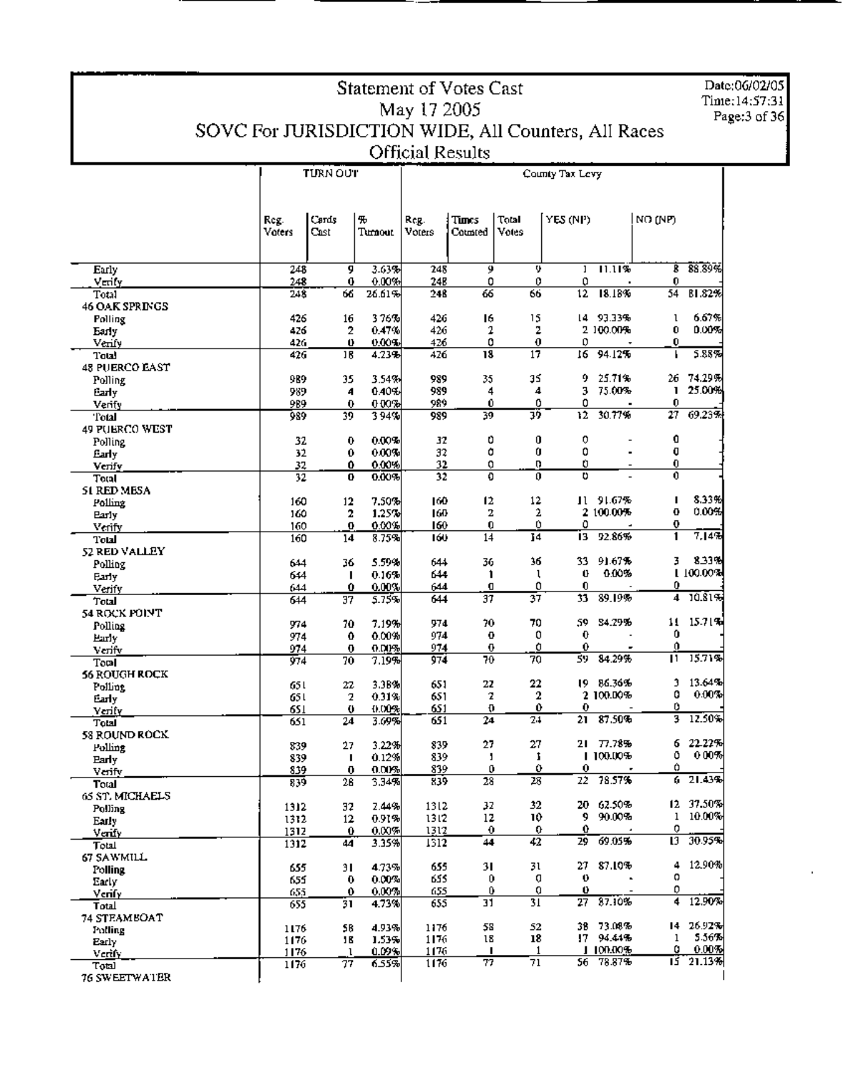#### Date:06/02/05 Time:14:57:31 Page:3 of 36

### **Statement of Votes Cast** May 17 2005 SOVC For JURISDICTION WIDE, All Counters, All Races **Official Results**

County Tax Levy

**TURN OUT** 

#### Reg. YES (NP) NO (NP) Cards Times Total Reg. Т, Voters Cast Turnout Voters Counted Votes 18 88.89% Early 248  $3.63%$  $\overline{248}$ ᢌ T  $1 - 11.11%$ g Verity  $0.00%$ 248 248 0 0 0 0  $\mathbf 0$  $12$  18.18%  $81.82%$ 66  $26.61%$ 248 66  $\overline{54}$ 748 66 Total **46 OAK SPRINGS** Polling 426 16 376% 426 16 15 14 93.33%  $\mathfrak l$ 6.67% Early 426 2 0.47% 426 2 2 2 100.00%  $\mathbf{0}$ 0.00% Verify 426 0  $0.00%$ 426 0  $\mathbf 0$ 0  $\mathbf{0}$  $16 - 94.12%$ 5.88% 426 18  $17$ Total 426  $18$ 4.23% к. **48 PUERCO EAST** 35 9 25.71% 26 74.29% 989 35 3.54% 989 35 Polling 25.00% 989 3. 75.00%  $\mathbf{I}$ Early 989 4 0.40% 4 4 989  $0.00%$ 989 Û O 0  $\mathbf 0$ Verify  $\bf{0}$ 12 30.77%  $\overline{27}$  $69.23%$ 989 36 39 39 Total 989 394% 49 PUERCO WEST 0 32  $\pmb{0}$  $0.00%$  $32<sub>1</sub>$ Ů  $\mathbf 0$  $\circ$ Polling 0 Q.  $\bf{0}$  $0.00%$ 32 ٥ 0 Early  $32$ ä, 0.00% o Q. Ù  $\pmb{0}$ Ô. 32 Verify 32 32  $\overline{\mathbf{u}}$  $\overline{0}$ 32 ō  $0.00%$ Đ  $\mathbf{a}$ Total **51 RED MESA** 11 91.67% 8.33% 160  $\mathbf{I}$ Polling 160  $12$ 7.50% 12 12 0  $0.00%$ 160  $\mathbf{2}$ 1.25% 160  $\mathbf{z}$ 2 2 100.00% **Barly** 160 0.00%  $\mathbf 0$ 0 ۵  $\mathbf 0$ Verify 160 0  $7.14%$ 13 92.86% 160  $\overline{14}$ 8.75% 160  $14$  $14$ 1 Total **52 RED VALLEY** 8.33%  $36$ 33 91.67% 3 5.59% 644 36 Polling 644 36 1 100.00% 644  $\mathbf{I}$  $0.16%$ 644  $\mathbf{1}$ l Ü. 0.00% Farly  $\mathbf 0$ Ď 644 0  $\mathbf 0$ 644 0  $0.00\%$ Verify  $4 - 10.81%$ 89.19%  $\overline{644}$ 37 37 33 644 37 5.75% Total 54 ROCK POINT 11 15.71%  $70$ 70 59. 34.29% 974 70 7.19% 974 Polling 974  $\pmb{0}$ 0  $\pmb{0}$ 0 974  $\ddot{\mathbf{0}}$ 0.00% **Barly**  $\theta$ 974  $\bf 0$ 0.01% 974  $\pmb{\theta}$ 0 0 Verify  $11 - 15.71%$ 59 84.29% 974 70 70 974  $70$  $7.19%$ Total 56 ROUGH ROCK 19 86.36% 3 13.64% 22 22 651 22 3.38% 651 Polling  $\overline{2}$ 2 100.00% o  $0.00%$  $\overline{2}$ 0.31% 651  $\mathbf{z}$ Early 651 0  $\mathbf 0$  $0.00%$ 651 O  $\mathbf{0}$ 0. 651 Verify  $3 - 12.50%$ 3.69% 651  $\overline{24}$  $7.1$  $21 87.50%$  $\overline{24}$ 651 Total 58 ROUND ROCK 22.22% 27 27 21 77.78% 6 839 27 3.22% 839 Polling 0.12% 839 1 100.00% ٥  $000%$ J.  $\mathbf{I}$ 839  $\blacksquare$ **Early** û 839  $\bf{0}$  $0.00%$ 839 0 0 0. Verify 21.43% 78.57%  $\overline{28}$ 3.34% 839  $\overline{28}$ 28 22. 6. Total 839 65 ST. MICHAELS 12 37.50% 20 62.50% 2.44% 1312 32 32 1312 32 Polling  $12$ 10 9 90.00% 1 10.00% 0.91%  $1312$  $12 \text{ }$ Early 1312 0 ο  $0.00%$ 0 0 1312 0 1312 Venfy 30.95% 69.05%  $\overline{42}$ 29  $\overline{13}$ 44 3.35%  $\overline{1512}$ 44 Total 1312 67 SAWMILL 4 12.90% 27 87.10% 4.73% 655 31 31 655  $31$ Polling  $0.00%$  $\mathbf 0$ o 655  $\Omega$  $\Omega$ 655  $\bf{0}$ Early  $0.00%$ 655  $\bf{0}$ Q ō n 655 0 <u>Verify</u> 4 12.90%  $\overline{31}$ 87.10% 4.73% 655 31 27 31  $\mathsf{T}_{\mathsf{otal}}$ 655 74 STEAMBOAT 58 58 52 38 73.08% 14 26.92% 1176 4.93% 1176 Polling 18 17 94.44% 5.56% 18  $\mathbf{1}$ 1.53% 1176 1176 18 Early 1.100.00%  $0.00%$ 0 1176  $0.09%$ 1176 п Verify 21.13% 77 6.55% 1176 77 71  $56$ 78.87% ΤŜ 1176

 $T<sub>0</sub>$ tal **76 SWEETWATER**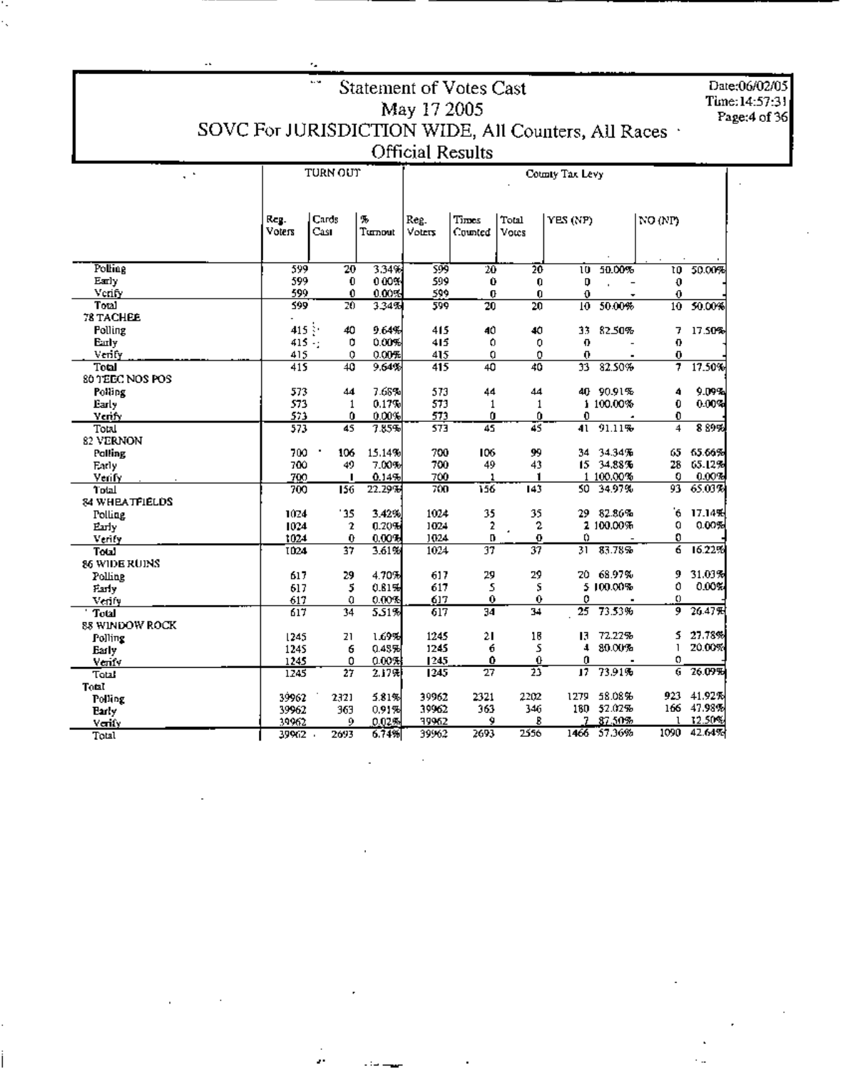$\ddot{\phantom{a}}$ 

| $\sim$ $^{\circ}$     |                     | TURN OUT             |                | County Tax Levy |                  |                 |             |                        |                 |                 |
|-----------------------|---------------------|----------------------|----------------|-----------------|------------------|-----------------|-------------|------------------------|-----------------|-----------------|
|                       | Reg.<br>Voters      | Cards<br>Cast        | ъ<br>Turnout   | Reg.<br>Voters  | Times<br>Counted | Total<br>Votes  | YES (NP)    |                        | NO (NP)         |                 |
|                       |                     |                      |                |                 |                  |                 |             |                        |                 |                 |
| Polling               | 599                 | 20                   | 3.34%          | 599             | $\overline{20}$  | 20              | w           | 50.00%                 |                 | 10 50.00%       |
| Early                 | 599                 | $\mathbf 0$          | 0.00%          | 599             | Û                | 0               | D           |                        | $\mathbf{0}$    |                 |
| Verify                | 599                 | 0                    | 0.00%          | 599             | $\mathbf 0$      | $\mathbf 0$     | 0           |                        | $\bf{0}$        |                 |
| Total<br>78 TACHEE    | 599                 | 20.                  | 3.34%          | 599             | 20               | $\overline{20}$ | 10          | 50.00%                 | 10 <sub>1</sub> | 50.00%          |
| Polling               | $415$ $\frac{1}{2}$ | 40                   | 9.64%          | 415             | 40               | 40              |             | 33 82.50%              | 7               | 17.50%          |
| Eшlү                  | $415 - 1$           | o                    | 0.00%          | 415             | 0                | 0               | 0           |                        | 0               |                 |
| Verify                | 415                 | 0                    | 0.00%          | 415             | o                | 0               | $\mathbf 0$ |                        | 0               |                 |
| Total                 | 415                 | 40                   | 9.64%          | 415             | 40               | 40              | 33          | 82.50%                 | 7               | 17.50%          |
| 80 TEEC NOS POS       |                     |                      |                |                 |                  |                 |             |                        |                 |                 |
| Polling               | 573                 | 44                   | 7.68%          | 573             | 44               | 44              |             | 40 90.91%              | 4               | 9.09%           |
| Early                 | 573                 | 1                    | 0.17%          | 573             | 1                | 1               |             | 1 100.00%              | 0               | 0.00%           |
| Verify                | 573                 | 0                    | 0.00%          | 573             | Û                | 0               | 0           |                        | 0               |                 |
| Total                 | 573                 | 45                   | 7.85%          | 573             | 45               | 45              | 41.         | 91.11%                 | $\overline{4}$  | 889%            |
| 82 VERNON             |                     |                      |                |                 |                  |                 |             |                        |                 |                 |
| Polling               | 700                 | 106                  | 15.14%         | 700             | 106              | 99              |             | 34 34.34%              |                 | 65 65.66%       |
| Early                 | 700                 | 49                   | 7.00%          | 700             | 49               | 43              |             | 15 34.88%              | 28              | 65.12%          |
| Verify                | 700                 | п                    | 0.14%          | 700             | 1                | 1               |             | 1 100,00%              | 0.              | 0.00%           |
| Total                 | 700                 | 156                  | 22.29%         | 700             | 156              | 143             | 50.         | 34.97%                 | 93.             | 65.03%          |
| <b>84 WHEATFIELDS</b> |                     |                      |                |                 |                  |                 |             |                        | 'n.             |                 |
| Polling               | 1024                | ' 15<br>$\mathbf{2}$ | 3.42%<br>0.20% | 1024<br>1024    | 35               | 35              |             | 29 82.86%<br>2 100.00% | 0               | 17.14%<br>0.00% |
| Early                 | 1024<br>1024        | $\mathbf 0$          | 0.00%          | 1024            | 2<br>D           | 2<br>0          | 0           |                        | 0               |                 |
| Verify<br>Total       | <b>ID24</b>         | 37                   | 3.61%          | 1024            | 37               | 37              | 31          | 83.78%                 | 6               | 16.22%          |
| <b>86 WIDE RUINS</b>  |                     |                      |                |                 |                  |                 |             |                        |                 |                 |
| Polling               | 617                 | 29                   | 4.70%          | 617             | 29               | 29              |             | 20 68.97%              | 9.              | 31.03%          |
| Farly                 | 617                 | 5                    | 0.81%          | 617             | 5                | s               |             | 5 100.00%              | 0               | 0.00%           |
| Venty                 | 617                 | Q                    | 0.00%          | 617             | $\mathbf 0$      | 0               | 0           |                        | 0               |                 |
| Total                 | 617                 | 34                   | 5.51%          | 617             | $\overline{34}$  | 34              | 25          | 73.53%                 | 9               | 26.47%          |
| 88 WINDOW ROCK        |                     |                      |                |                 |                  |                 |             |                        |                 |                 |
| Polling               | 1245                | 21                   | 1.69%          | 1245            | 21               | 16              |             | 13 72.22%              |                 | 5 27.78%        |
| Early                 | 1245                | 6                    | 0.43%          | 1245            | б                | s               | 4           | 80.00%                 | $\mathbf{1}$    | 20.00%          |
| Venty                 | 1245                | 0                    | 0.00%          | 1245            | 0                | 0               | 0           |                        | 0               |                 |
| $T$ otal              | 1245                | 27                   | 2.1791         | 1245            | $\overline{27}$  | 73              | 17          | 73.91%                 | G               | 26.09%          |
| Total                 |                     |                      |                |                 |                  |                 |             |                        |                 | 923 41.92%      |
| Polling               | 39962               | 2321                 | 5.81%          | 39962           | 2321             | 2202            | 1279        | 58.08%<br>180 52.02%   |                 | 166 47.98%      |
| Early                 | 39962               | 363                  | 0.91%          | 19962<br>39962  | 363<br>9         | 346<br>В.       |             | 7 87.50%               | ı               | 12.50%          |
| Verify                | 39962<br>39962 -    | 9<br>2693            | 0.02%<br>6.74% | 39962           | 2693             | 2556            |             | 1466 57.36%            |                 | 1090 42.64%     |
| Total                 |                     |                      |                |                 |                  |                 |             |                        |                 |                 |

Date:06/02/05 Time: 14:57:31 Page: 4 of 36

 $\overline{\phantom{a}}$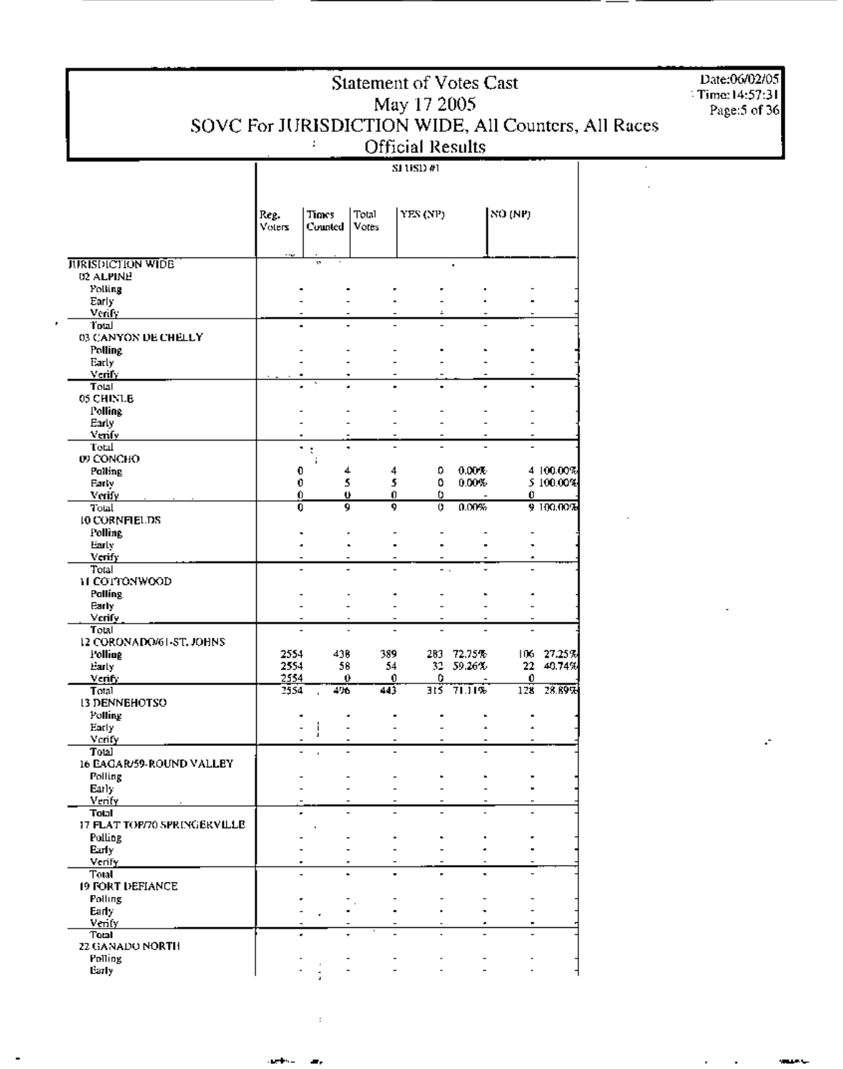$\overline{\text{S11}}$   $\overline{\text{S11}}$   $\overline{\text{H1}}$ 

|                              | Reg.<br>Voters | Times<br>Counted | Total<br>Votes | YES (NP)  |                  | NO (NP)    |                  |
|------------------------------|----------------|------------------|----------------|-----------|------------------|------------|------------------|
|                              |                |                  |                |           |                  |            |                  |
| <b>JURISDICTION WIDE</b>     |                | $\mathbf{a}$     |                |           |                  |            |                  |
| 02 ALPINE                    |                |                  |                |           |                  |            |                  |
| Polling                      |                |                  |                |           |                  |            |                  |
| Early<br><b>Verify</b>       |                |                  |                |           |                  |            |                  |
| Total                        |                |                  | ٠              |           |                  |            |                  |
| 03 CANYON DE CHELLY          |                |                  |                |           |                  |            |                  |
| <b>Polling</b>               |                |                  |                |           |                  |            |                  |
| Early                        |                |                  |                |           |                  |            |                  |
| Venfy                        |                |                  |                |           |                  | ۰          |                  |
| Total<br>05 CHINLE           |                |                  |                |           |                  |            |                  |
| Polling                      |                |                  |                |           |                  |            |                  |
| Early                        |                |                  |                |           |                  |            |                  |
| Venfy                        |                |                  |                |           |                  |            |                  |
| Total                        |                | ۰<br>t           | ٠              |           |                  |            |                  |
| 09 CONCHO<br>Polling         |                | ï<br>0           | 4              | ٥<br>4    | 0.00%            |            | 4 100.00%        |
| Farly                        |                | 0                | 5              | 5<br>٥    | 0.00%            |            | 5 100.00%        |
| Verify                       |                | 0                | Ü.             | 0<br>υ    |                  | Û          |                  |
| Total                        |                | 0                | 9              | Q.<br>0   | 0.00%            |            | 9 100.00%        |
| 10 CORNFIELDS                |                |                  |                |           |                  |            |                  |
| <b>Folling</b>               |                |                  | ٠              |           |                  |            |                  |
| Early                        |                |                  |                |           |                  |            |                  |
| Verify.                      |                |                  |                |           |                  |            |                  |
| Total<br><b>H</b> COLTONWOOD |                |                  |                |           |                  |            |                  |
| Polling                      |                |                  |                | ٠         |                  |            |                  |
| Early                        |                |                  |                |           |                  |            |                  |
| Verify                       |                |                  |                |           |                  |            |                  |
| Total                        |                |                  |                |           |                  |            |                  |
| 12 CORONADO/61-ST, JOHNS     |                |                  |                |           |                  |            |                  |
| <b>Folline</b><br>Early      | 2554<br>2554   | 43B<br>58        | 389<br>54      | 283<br>32 | 72.75%<br>59.26% | 106.<br>22 | 27.25%<br>40.74% |
| Venfy                        | 2554           |                  | 0              | 0<br>٥    |                  | 0          |                  |
| Total                        | 2554           | 456              | 443            | 315       | 71.11%           | 128        | 28.89%           |
| <b>13 DENNEHOTSO</b>         |                |                  |                |           |                  |            |                  |
| Polling                      |                |                  | ٠              |           |                  | ٠          |                  |
| Early                        |                | ļ                |                |           |                  | Ŧ<br>Ŧ     |                  |
| Verify<br>Total              |                |                  |                |           |                  |            |                  |
| 16 EAGAR/59-ROUND VALLEY     |                |                  |                |           |                  |            |                  |
| Polling                      |                |                  |                |           |                  |            |                  |
| Early                        |                |                  |                |           |                  |            |                  |
| Venty                        |                |                  |                |           |                  |            |                  |
| Tolal                        |                |                  |                |           |                  |            |                  |
| 17 FLAT TOP/70 SPRINGERVILLE |                |                  |                |           |                  |            |                  |
| Polling<br>Early             |                |                  |                |           |                  |            |                  |
| Verify                       |                |                  |                |           |                  |            |                  |
| Total                        |                |                  |                |           |                  |            |                  |
| 19 FORT DEFIANCE             |                |                  |                |           |                  |            |                  |
| Polling                      |                |                  |                |           |                  |            |                  |
| Early                        |                |                  |                |           |                  |            |                  |
| Verify<br><b>Total</b>       |                |                  |                |           |                  |            |                  |
| 22 GANADO NORTH              |                |                  |                |           |                  |            |                  |
| Polling                      |                |                  |                |           |                  |            |                  |
| Early                        |                |                  |                |           |                  |            |                  |

Date:06/02/05 Time:  $14:57:31$ <br>Page: 5 of 36

 $\Box$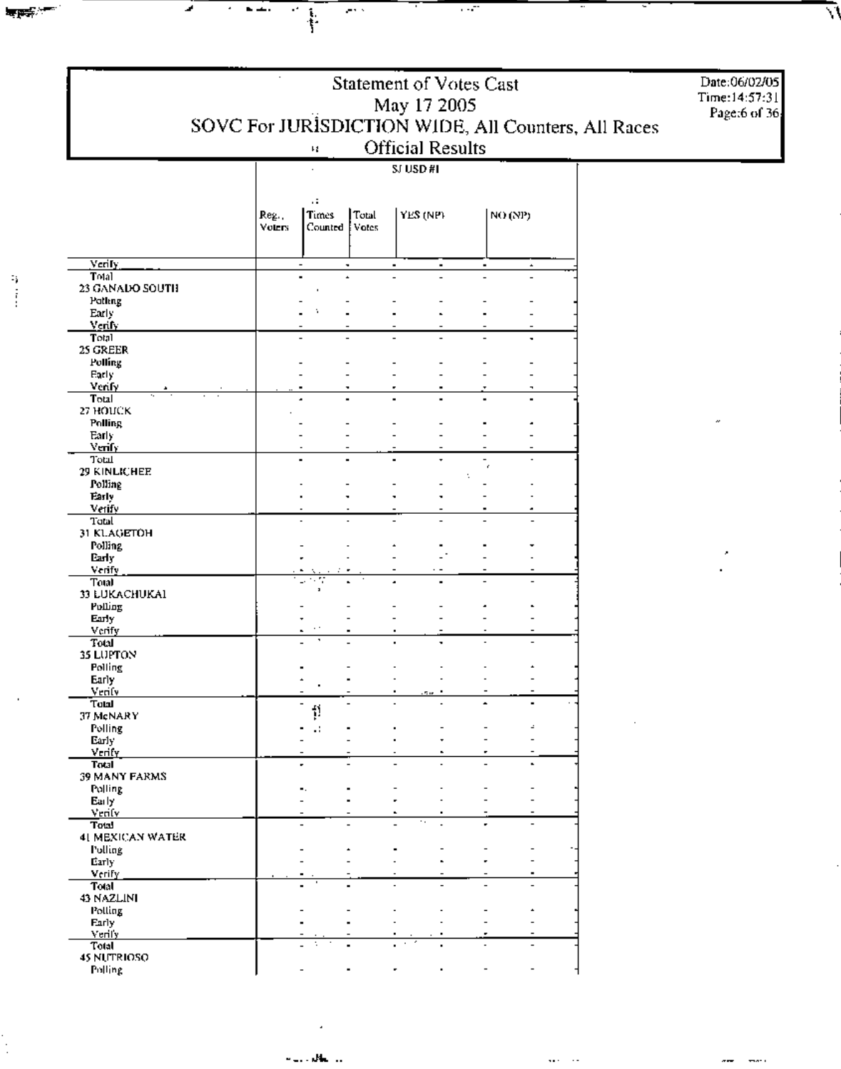| Statement of Votes Cast<br>May 17 2005<br>SOVC For JURISDICTION WIDE, All Counters, All Races |                        |                             |                          |                                            |                               |  | Date:06/02/05<br>Time:14:57:31<br>Page:6 of 36. |
|-----------------------------------------------------------------------------------------------|------------------------|-----------------------------|--------------------------|--------------------------------------------|-------------------------------|--|-------------------------------------------------|
|                                                                                               |                        | и                           |                          | <b>Official Results</b>                    |                               |  |                                                 |
|                                                                                               |                        | $\ddot{\phantom{0}}$        |                          | SJ USD #1                                  |                               |  |                                                 |
|                                                                                               |                        |                             |                          |                                            |                               |  |                                                 |
|                                                                                               | Reg.,<br><b>Voters</b> | и<br>Times<br>Counted Votes | Total                    | YES (NP)                                   | NO (NP)                       |  |                                                 |
| Verify                                                                                        |                        | $\overline{\phantom{a}}$    | ٠                        | ٠<br>٠                                     | ٠<br>٠                        |  |                                                 |
| Total                                                                                         |                        |                             |                          |                                            |                               |  |                                                 |
| 23 GANADO SOUTH                                                                               |                        |                             |                          |                                            |                               |  |                                                 |
| Potting<br>Early                                                                              |                        |                             |                          |                                            |                               |  |                                                 |
| <u>Verify</u>                                                                                 |                        |                             |                          |                                            |                               |  |                                                 |
| Total                                                                                         |                        |                             |                          |                                            |                               |  |                                                 |
| 25 GREER<br>Polling                                                                           |                        |                             |                          |                                            |                               |  |                                                 |
| Early                                                                                         |                        |                             |                          |                                            |                               |  |                                                 |
| <b>venly</b>                                                                                  |                        |                             |                          |                                            |                               |  |                                                 |
| Total<br>27 HOUCK                                                                             |                        |                             |                          |                                            |                               |  |                                                 |
| Polling                                                                                       |                        |                             |                          |                                            |                               |  |                                                 |
| Early                                                                                         |                        |                             |                          |                                            |                               |  |                                                 |
| Verify<br>Total                                                                               |                        |                             |                          |                                            |                               |  |                                                 |
| 29 KINLICHEE                                                                                  |                        |                             |                          |                                            |                               |  |                                                 |
| Polling                                                                                       |                        |                             |                          |                                            |                               |  |                                                 |
| Early<br>Verify                                                                               |                        |                             |                          |                                            |                               |  |                                                 |
| Total                                                                                         |                        |                             |                          |                                            |                               |  |                                                 |
| 31 KLAGETOH                                                                                   |                        |                             |                          |                                            |                               |  |                                                 |
| Polling<br>Early                                                                              |                        |                             |                          |                                            |                               |  |                                                 |
| Verify                                                                                        |                        |                             |                          |                                            |                               |  |                                                 |
| <b>Total</b>                                                                                  |                        |                             |                          |                                            |                               |  |                                                 |
| 33 LUKACHUKAI<br>Polling                                                                      |                        |                             |                          |                                            |                               |  |                                                 |
| Early                                                                                         |                        |                             |                          |                                            |                               |  |                                                 |
| Verify                                                                                        |                        |                             |                          | $\blacksquare$                             | ٠                             |  |                                                 |
| Total<br>35 LUPTON                                                                            |                        |                             |                          |                                            |                               |  |                                                 |
| Polling                                                                                       |                        |                             |                          | $\overline{\phantom{a}}$<br>$\blacksquare$ | $\overline{\phantom{a}}$<br>۰ |  |                                                 |
| Early                                                                                         |                        | $\blacktriangle$            | ٠                        | $\blacksquare$<br>$\blacksquare$           |                               |  |                                                 |
| Venty<br>Total                                                                                |                        | $\overline{\phantom{a}}$    |                          | Ser 1                                      |                               |  |                                                 |
| 37 McNARY                                                                                     |                        | ţ)                          |                          |                                            |                               |  |                                                 |
| Polling                                                                                       |                        |                             |                          |                                            | ÷.                            |  |                                                 |
| Early<br>Venty                                                                                |                        |                             |                          | ٠                                          |                               |  |                                                 |
| Total                                                                                         |                        |                             | $\overline{\phantom{0}}$ | $\overline{a}$<br>$\overline{\phantom{a}}$ | $\overline{a}$                |  |                                                 |
| <b>39 MANY FARMS</b>                                                                          |                        |                             |                          |                                            |                               |  |                                                 |
| Polling<br>Early                                                                              |                        |                             |                          |                                            |                               |  |                                                 |
| Verify                                                                                        |                        |                             |                          |                                            |                               |  |                                                 |
| Total                                                                                         |                        |                             |                          | ٠.                                         |                               |  |                                                 |
| 41 MEXICAN WATER<br>Polling                                                                   |                        |                             |                          |                                            |                               |  |                                                 |
| Early                                                                                         |                        |                             |                          |                                            |                               |  |                                                 |
| Verify                                                                                        |                        |                             |                          |                                            |                               |  |                                                 |
| Total<br>43 NAZLINI                                                                           |                        |                             |                          | $\overline{a}$                             |                               |  |                                                 |
| Polling                                                                                       |                        |                             |                          |                                            |                               |  |                                                 |
| Early                                                                                         |                        |                             |                          |                                            |                               |  |                                                 |
| <b>Verify</b><br>Total                                                                        |                        |                             |                          |                                            |                               |  |                                                 |
| 45 NUTRIOSO                                                                                   |                        |                             |                          |                                            |                               |  |                                                 |
| <b>Polling</b>                                                                                |                        |                             |                          | ٠                                          |                               |  |                                                 |

 $\sim$ 

 $\frac{1}{\sqrt{1-\frac{1}{2}}\cdot\frac{1}{\sqrt{1-\frac{1}{2}}}}$ 

क <del>प्रदर्श</del>

 $\begin{array}{c} 2\frac{1}{2} \\ 2\frac{1}{2} \end{array}$ 

Ĵ,

 $\overline{\mathcal{L}^{(0)}}$ 

ł,

7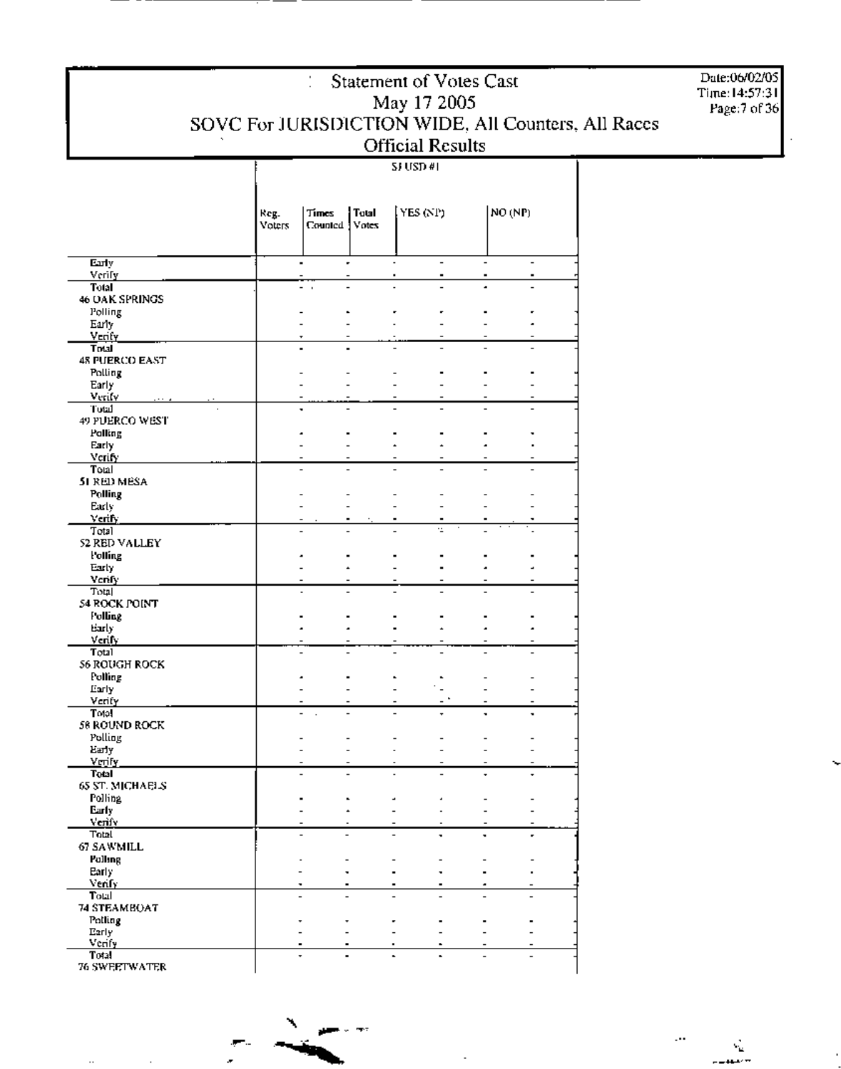$SU(SD#)$ 

|                                 | Reg.<br>Voters | Times<br>Counted 1 | Total<br>Votes | [YES (NP)      |                | NO (NP)                                                                          |  |
|---------------------------------|----------------|--------------------|----------------|----------------|----------------|----------------------------------------------------------------------------------|--|
|                                 |                |                    |                |                |                |                                                                                  |  |
| Early                           | ٠              |                    |                |                | $\overline{a}$ | $\overline{\phantom{a}}$                                                         |  |
| Verify<br>Total                 |                |                    |                |                |                |                                                                                  |  |
| 46 OAK SPRINGS                  |                |                    |                |                |                |                                                                                  |  |
| Polling                         |                |                    |                |                |                |                                                                                  |  |
| Early                           |                |                    |                |                |                |                                                                                  |  |
| Verify<br>Total                 |                |                    |                |                |                |                                                                                  |  |
| 48 PUERCO EAST                  |                |                    |                |                |                |                                                                                  |  |
| Polling                         |                |                    |                |                |                |                                                                                  |  |
| Early                           |                |                    |                |                |                |                                                                                  |  |
| Verify                          |                |                    |                |                |                |                                                                                  |  |
| Total<br>49 PUERCO WEST         |                |                    |                |                |                |                                                                                  |  |
| Polling                         |                |                    |                |                |                |                                                                                  |  |
| Early                           |                |                    |                |                |                |                                                                                  |  |
| Verify                          |                |                    |                |                |                |                                                                                  |  |
| Total<br>51 RED MESA            |                |                    |                |                |                |                                                                                  |  |
| Polling                         |                |                    |                |                |                |                                                                                  |  |
| Early                           |                |                    |                |                |                |                                                                                  |  |
| Venfy                           |                |                    |                |                |                |                                                                                  |  |
| Total                           |                |                    |                |                | $\cdot$        |                                                                                  |  |
| 52 RED VALLEY<br>l olling       |                |                    |                |                |                |                                                                                  |  |
| Early                           |                |                    |                |                |                |                                                                                  |  |
| Venfy                           |                |                    |                |                |                |                                                                                  |  |
| Total                           |                |                    |                |                |                |                                                                                  |  |
| 54 ROCK POINT<br>I olling       |                |                    |                |                |                |                                                                                  |  |
| Early                           |                |                    |                |                | ä.             |                                                                                  |  |
| Verify.                         |                |                    |                |                |                |                                                                                  |  |
| Total                           |                |                    |                |                |                |                                                                                  |  |
| <b>56 ROUGH ROCK</b><br>Polling |                |                    |                |                |                |                                                                                  |  |
| Early                           |                |                    |                |                |                |                                                                                  |  |
| Verify                          |                |                    |                |                |                |                                                                                  |  |
| Total                           |                |                    |                |                |                | ÷                                                                                |  |
| 58 ROUND ROCK<br>Polling        |                |                    |                |                |                |                                                                                  |  |
| Early                           |                |                    |                |                |                |                                                                                  |  |
| <u>Verify,</u>                  |                |                    |                |                |                |                                                                                  |  |
| Total                           |                |                    |                |                |                |                                                                                  |  |
| 65 ST. MICHAELS                 | ٠              |                    | $\blacksquare$ |                | ٠              |                                                                                  |  |
| Polling<br>Early                |                |                    | ٠              | ٠<br>٠         |                | $\overline{\phantom{0}}$<br>$\overline{\phantom{a}}$<br>$\overline{\phantom{a}}$ |  |
| <b>Verify</b>                   |                |                    |                | $\overline{a}$ |                | $\overline{a}$                                                                   |  |
| <b>Total</b>                    |                |                    |                |                |                |                                                                                  |  |
| 67 SAWMILL                      |                |                    |                |                |                |                                                                                  |  |
| Polling<br><b>Barly</b>         |                |                    |                |                |                |                                                                                  |  |
| Venfy                           |                |                    |                |                |                |                                                                                  |  |
| Total                           |                |                    |                |                |                | $\overline{a}$                                                                   |  |
| <b>74 STEAMBOAT</b>             |                |                    |                |                |                |                                                                                  |  |
| Polling<br>Early                |                |                    |                |                |                |                                                                                  |  |
| Verify                          |                |                    |                |                |                |                                                                                  |  |
| Total                           |                |                    |                | $\blacksquare$ |                |                                                                                  |  |
| 76 SWEETWATER                   |                |                    |                |                |                |                                                                                  |  |



 $\ddot{\phantom{a}}$ 

 $\ddotsc$ 

Date:06/02/05<br>Time:14:57:31<br>Page:7 of 36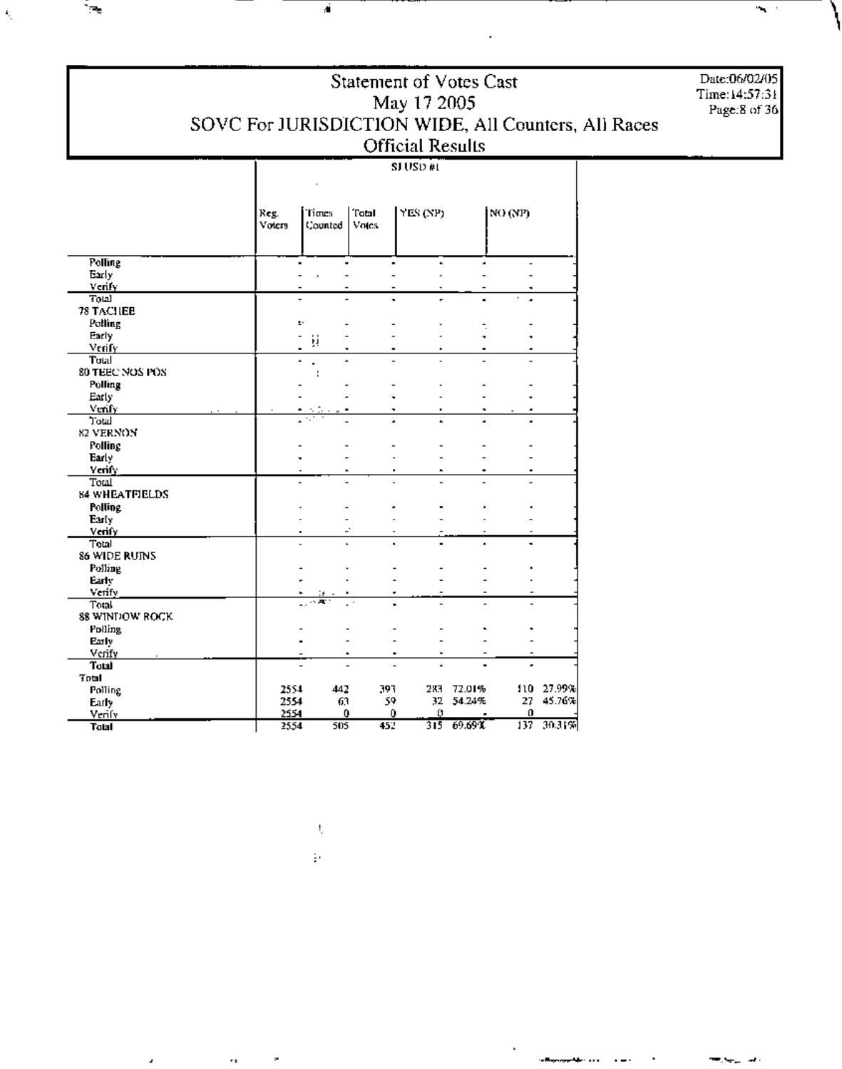$SUSD#I$ 

|                       | Reg.<br>Voters | Times<br>Counted | 'Fatal<br>Votes | YES (NP)                         |                | NO (NP)        |        |
|-----------------------|----------------|------------------|-----------------|----------------------------------|----------------|----------------|--------|
| <b>Polling</b>        | $\blacksquare$ | $\blacksquare$   |                 | $\blacksquare$<br>$\blacksquare$ | ٠              |                |        |
| Early                 |                |                  |                 |                                  |                |                |        |
| Verify.               |                |                  |                 |                                  |                |                |        |
| Total                 | $\overline{a}$ | $\overline{a}$   |                 |                                  |                |                |        |
| 78 TACHEB             |                |                  |                 |                                  |                |                |        |
| Polling               | ŗ.             |                  |                 |                                  | ۳.             |                |        |
| Early                 |                |                  |                 |                                  |                |                |        |
| Verify                |                | ij               |                 |                                  |                | ٠              |        |
| Total                 |                |                  |                 |                                  |                |                |        |
| 80 TEEC NOS POS       |                |                  |                 |                                  |                |                |        |
| Polling               |                |                  |                 |                                  |                |                |        |
| Early                 |                |                  |                 |                                  |                |                |        |
| Venfy                 |                |                  |                 |                                  |                | ٠              |        |
| Total                 |                | ٠.               |                 |                                  |                | ٠              |        |
| 82 VERNON             |                |                  |                 |                                  |                |                |        |
| Polling               |                |                  |                 |                                  |                |                |        |
| Early                 |                |                  |                 |                                  |                |                |        |
| Verify                |                |                  |                 |                                  |                | ٠              |        |
| Total                 | $\overline{a}$ | $\overline{a}$   |                 |                                  | $\overline{a}$ | $\overline{a}$ |        |
| <b>84 WHEATFIELDS</b> |                |                  |                 |                                  |                |                |        |
| <b>Polling</b>        |                |                  |                 |                                  |                |                |        |
| Early                 |                |                  |                 |                                  |                |                |        |
| Venfy                 |                |                  |                 |                                  |                |                |        |
| Total                 |                |                  |                 |                                  |                | ÷              |        |
| <b>86 WIDE RUINS</b>  |                |                  |                 |                                  |                |                |        |
| Polling               |                |                  |                 |                                  |                |                |        |
| Early                 |                |                  |                 |                                  |                |                |        |
| verify                |                | ۰,               |                 |                                  |                |                |        |
| Total                 |                | $\sim$ AU        |                 |                                  |                |                |        |
| 88 WINDOW ROCK        |                |                  |                 |                                  |                |                |        |
| Polling               |                |                  |                 |                                  |                |                |        |
| Early                 |                |                  |                 |                                  |                |                |        |
| Verify                |                |                  |                 | ٠                                |                |                |        |
| <b>Total</b>          |                |                  |                 | ×.                               |                |                |        |
| Total                 |                |                  |                 |                                  |                |                |        |
| Polling               | 2554           | 442              | 393             | 283                              | 72.01%         | 110            | 27.99% |
| Early                 | 2554           | 63.              |                 | 59<br>32                         | 54.24%         | 27             | 45.76% |
| Verify                | 2554           | 0                |                 | $\boldsymbol{\theta}$<br>0       |                | $\mathbf{0}$   |        |
| <b>Total</b>          | 2554           | 505              | 452             | 315                              | 69.697         | 137            | 30.31% |

đ

۰.

 $\tilde{\mathbf{S}}_1$ 

 $\bar{\mathbf{f}}_i$ 

 $\mathbb{R}^2$ 

Date:06/02/05

Time:14:57:31<br>Page:8 of 36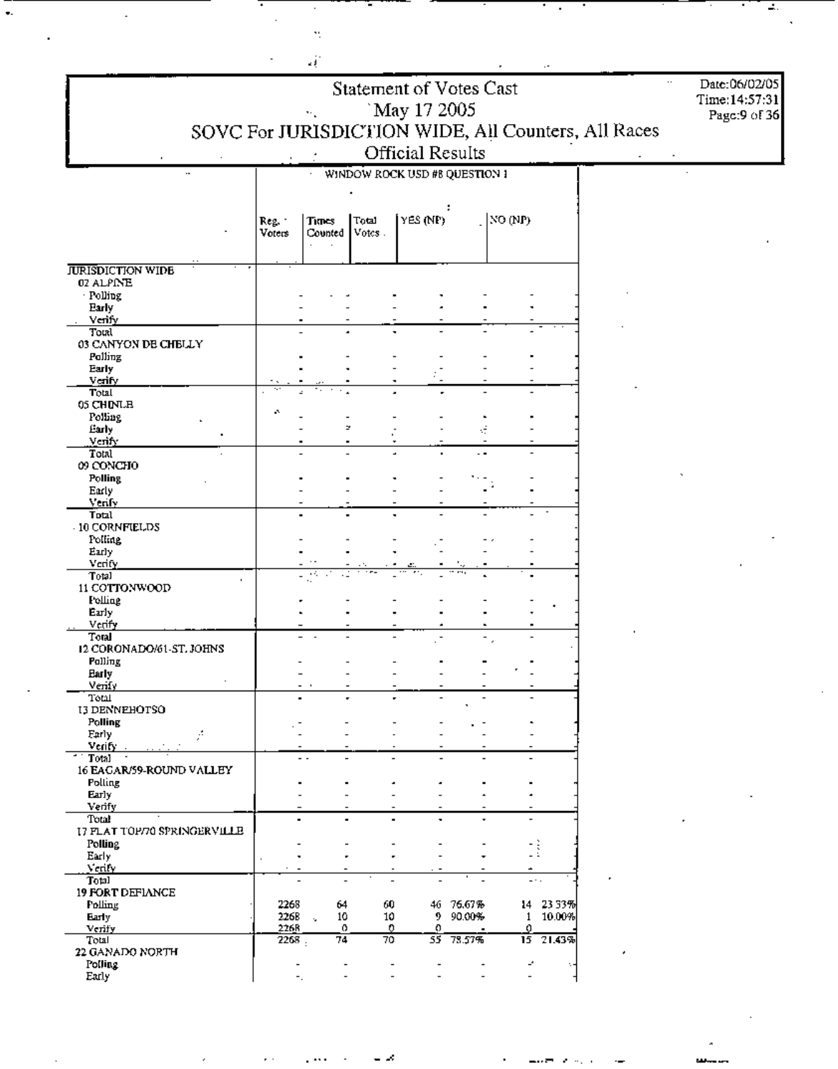|                                            |                  | 4Ê                         |                 |                                               |                     |                |                          |                                                     |                                                |
|--------------------------------------------|------------------|----------------------------|-----------------|-----------------------------------------------|---------------------|----------------|--------------------------|-----------------------------------------------------|------------------------------------------------|
|                                            |                  |                            |                 | <b>Statement of Votes Cast</b><br>May 17 2005 |                     |                |                          |                                                     | Date:06/02/05<br>Time:14:57:31<br>Page:9 of 36 |
|                                            |                  |                            |                 |                                               |                     |                |                          | SOVC For JURISDICTION WIDE, All Counters, All Races |                                                |
|                                            |                  |                            |                 | <b>Official Results</b>                       |                     |                |                          |                                                     |                                                |
| $\ddotsc$                                  |                  |                            |                 | WINDOW ROCK USD #8 QUESTION 1                 |                     |                |                          |                                                     |                                                |
|                                            |                  |                            |                 |                                               |                     |                |                          |                                                     |                                                |
|                                            | Reg. .<br>Voters | Times<br>Counted           | Total<br>Votes. | YES (NP)                                      |                     | NO(NP)         |                          |                                                     |                                                |
| <b>JURISDICTION WIDE</b>                   |                  |                            |                 |                                               |                     |                |                          |                                                     |                                                |
| 02 ALPINE<br>· Polling<br><b>Early</b>     |                  |                            |                 |                                               |                     |                |                          |                                                     |                                                |
| Verify<br>Toul                             |                  |                            |                 |                                               |                     |                |                          |                                                     |                                                |
| 03 CANYON DE CHELLY<br>Polling<br>Early    |                  |                            |                 |                                               |                     |                |                          |                                                     |                                                |
| Verify<br>Total                            |                  |                            |                 |                                               |                     |                |                          |                                                     |                                                |
| 05 CHINLE                                  |                  |                            |                 |                                               |                     |                |                          |                                                     |                                                |
| <b>Polling</b><br>Early<br>Verify.         |                  |                            | Þ,              |                                               | ć                   |                |                          |                                                     |                                                |
| Total                                      |                  |                            |                 |                                               |                     |                |                          |                                                     |                                                |
| 09 CONCHO<br>Polling                       |                  |                            |                 |                                               |                     |                |                          |                                                     |                                                |
| Early                                      |                  |                            |                 |                                               |                     |                |                          |                                                     |                                                |
| Venfy<br>Total                             |                  |                            |                 |                                               |                     |                |                          |                                                     |                                                |
| - 10 CORNFIELDS<br>Polling                 |                  |                            |                 |                                               |                     |                |                          |                                                     |                                                |
| Early                                      |                  |                            |                 |                                               |                     |                |                          |                                                     |                                                |
| Verify<br>Total                            |                  |                            |                 |                                               |                     |                |                          |                                                     |                                                |
| 11 COTTONWOOD                              |                  |                            |                 |                                               |                     |                |                          |                                                     |                                                |
| <b>Folling</b><br>Early                    |                  |                            |                 |                                               |                     |                |                          |                                                     |                                                |
| Verify                                     |                  |                            |                 |                                               |                     |                |                          |                                                     |                                                |
| Total<br>12 CORONADO/61-ST. JOHNS          |                  |                            |                 |                                               |                     |                |                          |                                                     |                                                |
| Polling                                    |                  |                            |                 |                                               |                     |                |                          |                                                     |                                                |
| Early<br>Verify                            |                  | $\blacksquare$             |                 |                                               |                     |                |                          |                                                     |                                                |
| Total<br><b>I3 DENNEHOTSO</b>              |                  |                            |                 |                                               |                     |                |                          |                                                     |                                                |
| Polling                                    |                  |                            |                 |                                               |                     |                |                          |                                                     |                                                |
| Early<br>A<br>Verify .                     |                  |                            |                 |                                               |                     |                |                          |                                                     |                                                |
| Total                                      |                  |                            |                 |                                               |                     |                |                          |                                                     |                                                |
| 16 EAGAR/59-ROUND VALLEY<br><b>Polling</b> |                  |                            |                 |                                               |                     |                |                          |                                                     |                                                |
| Early                                      |                  |                            |                 |                                               |                     |                |                          |                                                     |                                                |
| Verify<br>Total                            |                  |                            |                 |                                               |                     | $\overline{a}$ |                          |                                                     |                                                |
| I7 FLAT TOP70 SPRINGERVILLE                |                  |                            |                 |                                               |                     |                |                          |                                                     |                                                |
| Polling<br>Early                           |                  |                            |                 |                                               |                     |                | $\overline{\phantom{a}}$ |                                                     |                                                |
| <b>Nenty</b>                               |                  |                            |                 |                                               |                     |                |                          |                                                     |                                                |
| Total<br>19 FORT DEFIANCE                  |                  |                            |                 |                                               |                     |                | $ \cdot$ $\cdot$         |                                                     |                                                |
| <b>Polling</b>                             | 2268             | 64<br>10                   | 60              | 9.                                            | 46 76.67%<br>90.00% |                | 14 23 33%<br>1 10.00%    |                                                     |                                                |
| Early<br>Verify                            | 226B<br>226R     | $\ddot{\phantom{a}}$<br>O. | 10              | 0<br>O                                        |                     | o              |                          |                                                     |                                                |
| Total<br>22 GANADO NORTH                   | 2268             | 74                         |                 | $\overline{70}$                               | 55 78.57%           |                | 15 21.43%                |                                                     |                                                |
| <b>Polling</b>                             |                  |                            |                 |                                               |                     | ÷.             |                          |                                                     |                                                |
| Early                                      |                  |                            |                 |                                               |                     | $\overline{a}$ |                          |                                                     |                                                |

 $\ddot{\phantom{a}}$ 

Ξ.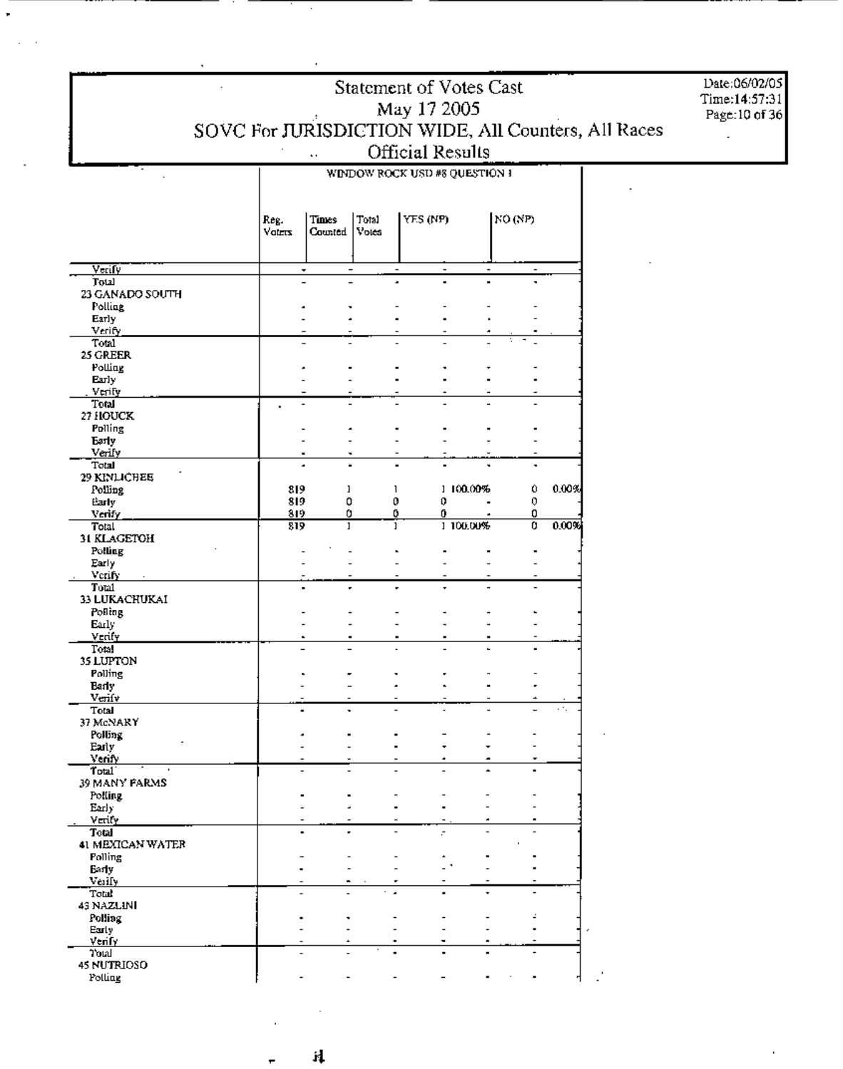Date:06/02/05 Time:14:57:31 Page: 10 of 36

t,

### WINDOW ROCK USD #8 QUESTION !

|                        | Reg.<br>Vours  | <b>Times</b><br>Counted  | Total<br>Votes | YES (NP)                      |                          | NO (NP) |       |
|------------------------|----------------|--------------------------|----------------|-------------------------------|--------------------------|---------|-------|
| Verify <sup>-</sup>    | ۰              | $\overline{\phantom{0}}$ |                | ۰<br>$\overline{\phantom{a}}$ | $\overline{\phantom{a}}$ | ٠       |       |
| Total                  | $\overline{a}$ | $\overline{a}$           |                | ٠<br>$\blacksquare$           | $\blacksquare$           | ÷       |       |
| 23 GANADO SOUTH        |                |                          |                |                               |                          |         |       |
| Polling                |                |                          |                |                               |                          |         |       |
| Early                  |                |                          |                |                               |                          |         |       |
| Verify_                |                |                          |                |                               |                          |         |       |
| Total                  |                |                          |                |                               |                          |         |       |
| 25 GREER               |                |                          |                |                               |                          |         |       |
| Polling                |                |                          |                |                               |                          |         |       |
| Early                  |                |                          |                |                               |                          |         |       |
| Verify                 |                |                          |                |                               |                          |         |       |
| Total                  |                |                          |                |                               |                          |         |       |
| 27 HOUCK               |                |                          |                |                               |                          |         |       |
| Polling                |                |                          |                |                               |                          |         |       |
| Балу                   |                |                          |                |                               |                          |         |       |
| Verify                 |                |                          |                |                               |                          |         |       |
| Total                  |                |                          |                |                               |                          | ٠       |       |
| 29 KINLICHEE           |                |                          |                |                               |                          |         |       |
| Polling                | 819            | ı                        |                | 1                             | 1100.00%                 | ٥       | 0.00% |
| Early                  | 819            | 0                        |                | 0<br>0                        |                          | 0.      |       |
| Verify                 | 819            | ٥                        |                | 0<br>0                        |                          | 0       |       |
| Total                  | 819            | ı                        |                | ı                             | 1 100,00%                | ٥       | 0.00% |
| 31 KLAGETOH            |                |                          |                |                               |                          |         |       |
| Polling                |                |                          |                |                               |                          |         |       |
| Early                  |                |                          |                |                               |                          |         |       |
| verify                 |                |                          |                |                               |                          |         |       |
| Total<br>33 LUKACHUKAI |                |                          |                |                               |                          |         |       |
|                        |                |                          |                |                               |                          |         |       |
| Polling                |                |                          |                |                               |                          | L.      |       |
| Early                  |                |                          |                |                               |                          |         |       |
| <u>Verify</u>          |                |                          |                |                               |                          |         |       |
| Total                  |                |                          |                |                               |                          |         |       |
| 35 LUPTON              |                |                          |                |                               |                          |         |       |
| Polling                |                |                          |                |                               |                          |         |       |
| Barly                  |                |                          |                |                               |                          |         |       |
| Verify                 |                |                          |                |                               |                          |         |       |
| Total<br>37 McNARY     |                |                          |                |                               |                          |         |       |
|                        |                |                          |                |                               |                          |         |       |
| Polling                |                |                          |                |                               |                          |         |       |
| Early<br>Verify        |                |                          |                | ٠                             |                          | ٠       |       |
| Total <sup>®</sup>     |                |                          |                |                               |                          |         |       |
| 39 MANY FARMS          |                |                          |                |                               |                          |         |       |
| Polling                |                |                          |                |                               |                          |         |       |
| Early                  |                |                          |                |                               |                          |         |       |
| <u>Verify</u>          |                |                          |                |                               |                          |         |       |
| Total                  |                |                          |                |                               |                          |         |       |
| 41 MEXICAN WATER       |                |                          |                |                               |                          |         |       |
| Polling                |                |                          |                |                               |                          |         |       |
| Early                  |                |                          |                |                               |                          |         |       |
| Verify                 |                |                          |                |                               |                          |         |       |
| Total                  |                |                          |                |                               |                          |         |       |
| 43 NAZLINI             |                |                          |                |                               |                          |         |       |
| Polling                |                |                          |                |                               |                          | ÷       |       |
| Early                  |                |                          |                |                               |                          |         |       |
| venty.                 |                |                          |                |                               |                          |         |       |
| Total                  |                |                          |                |                               |                          |         |       |
| 45 NUTRIOSO            |                |                          |                |                               |                          |         |       |
| Polling                |                |                          |                |                               |                          |         |       |

'n.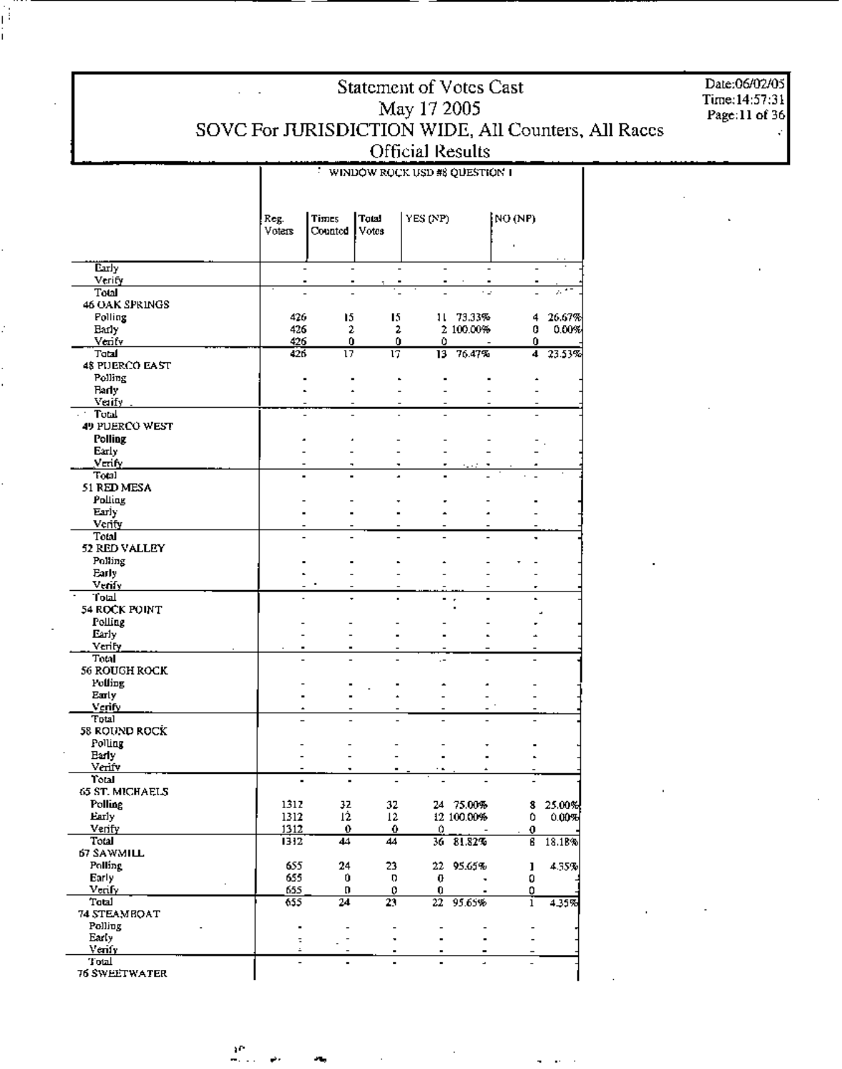Date:06/02/05 Time:14:57:31<br>Page:11 of 36 ŀ.

### WINDOW ROCK USD #8 QUESTION I

|                        | Reg.<br>Voters           | Times<br>Counted | Total<br>Votes | YES (NP)       |                       | NO (NP)                 |                    |
|------------------------|--------------------------|------------------|----------------|----------------|-----------------------|-------------------------|--------------------|
| Early                  | $\overline{a}$           | $\overline{a}$   |                | $\overline{a}$ |                       | $\overline{a}$          |                    |
| Verify                 |                          |                  |                |                |                       |                         |                    |
| Total                  |                          |                  |                |                |                       |                         | z.                 |
| 46 OAK SPRINGS         |                          |                  |                |                |                       |                         |                    |
| Polling                | 426                      | 15               | 15             | 11             | 73.33%                | 4                       | 26.67%             |
| Early                  | 426                      | 2                | 2              |                | 2 100.00%             | 0                       | 0.00%              |
| Verify                 | 426                      | 0                | 0              | ٥              |                       | 0                       |                    |
| Total                  | 426                      | $\overline{17}$  | 17             | 13             | 76.47%                | 4                       | 23.53%             |
| 48 PUERCO EAST         |                          |                  |                |                |                       |                         |                    |
| Polling                |                          |                  |                |                |                       |                         |                    |
| <b>Bady</b>            |                          |                  |                |                |                       |                         |                    |
| Verify<br>Total        |                          |                  |                |                |                       |                         |                    |
| 49 PUERCO WEST         |                          |                  |                |                |                       |                         |                    |
| Polling                |                          |                  |                |                |                       |                         |                    |
| Early                  |                          |                  |                |                |                       |                         |                    |
| Vmity                  |                          |                  |                |                |                       |                         |                    |
| Total                  |                          |                  |                |                |                       |                         |                    |
| 51 RED MESA            |                          |                  |                |                |                       |                         |                    |
| Polling                |                          |                  |                |                |                       |                         |                    |
| Early                  |                          |                  |                |                |                       |                         |                    |
| Verify                 |                          |                  |                |                |                       |                         |                    |
| Total                  |                          |                  |                |                |                       |                         |                    |
| 52 RED VALLEY          |                          |                  |                |                |                       |                         |                    |
| Polling                |                          |                  |                |                |                       |                         |                    |
| Early                  |                          |                  |                |                |                       |                         |                    |
| Venfy                  |                          |                  |                |                |                       |                         |                    |
| Total<br>54 ROCK POINT |                          |                  | $\blacksquare$ |                |                       |                         |                    |
| Polling                |                          |                  |                |                |                       |                         |                    |
| Early                  |                          |                  |                |                |                       |                         |                    |
| Verify                 |                          |                  |                |                |                       |                         |                    |
| Total                  |                          |                  |                |                |                       |                         |                    |
| 56 ROUGH ROCK          |                          |                  |                |                |                       |                         |                    |
| Polling                |                          |                  |                |                |                       |                         |                    |
| Early                  |                          |                  |                |                |                       |                         |                    |
| Verify                 |                          |                  |                |                |                       |                         |                    |
| Total                  |                          |                  |                |                |                       |                         |                    |
| 58 ROUND ROCK          |                          |                  |                |                |                       |                         |                    |
| Polling                |                          |                  |                |                |                       |                         |                    |
| <b>Barly</b>           |                          |                  |                |                |                       |                         |                    |
| Verify<br>Total        |                          |                  |                |                |                       |                         |                    |
| 65 ST. MICHAELS        |                          |                  |                |                |                       |                         |                    |
| Polling                | 1312                     | 32               | 32             |                | 24 75.00%             | 8                       |                    |
| Early                  | 1312                     | 12               | $12\,$         |                | 12 100.00%            |                         | 25.00%<br>0 0.00%에 |
| Verify                 | 1312                     | $\mathbf{0}$     | 0              | $\Omega$       |                       | $\overline{\mathbf{0}}$ |                    |
| Total                  | 1312                     | 44               | 44             |                | $\frac{6}{36}$ 81.82% | $\overline{\mathbf{g}}$ | 18.18%             |
| 67 SAWMILL             |                          |                  |                |                |                       |                         |                    |
| Polling                | 655                      | 24               | 23             |                | 22 95.65%             | ı                       | 4.35%              |
| Early                  | 655                      | 0.               | o              | 0              |                       | 0                       |                    |
| Venfy                  | 655                      | D                | 0              | 0              |                       | 0                       |                    |
| Total                  | 655                      | 24               | 23             | 22             | 95.65%                | ı                       | 4.35%              |
| 74 STEAMBOAT           |                          |                  |                |                |                       |                         |                    |
| Polling                |                          |                  |                |                |                       |                         |                    |
| Early                  | ÷                        |                  |                |                |                       |                         |                    |
| Verify<br>Total        | $\hat{\mathbf{r}}$       |                  |                |                |                       |                         |                    |
| <b>76 SWEETWATER</b>   | $\overline{\phantom{0}}$ | ٠                |                |                | ٠                     |                         |                    |
|                        |                          |                  |                |                |                       |                         |                    |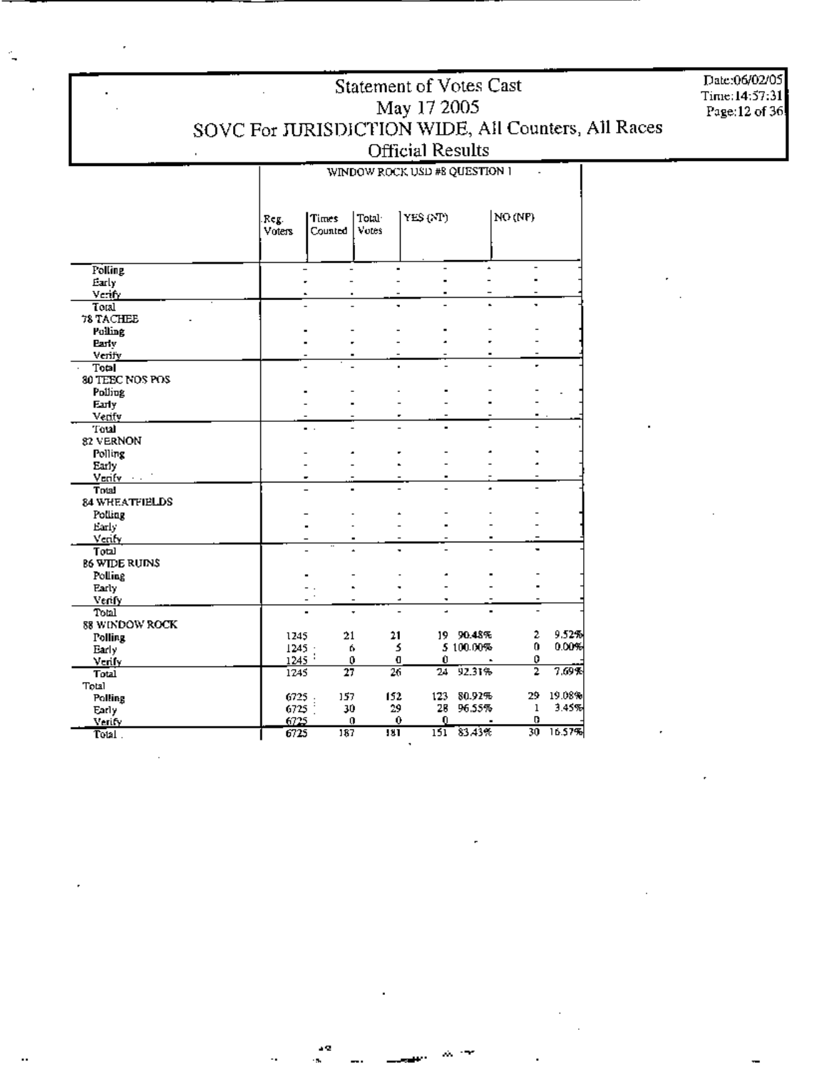Reg. Times Tota<br>Voters Counted Vote  $Reg.$  Times Total  $YES(NP)$  NO(NP)<br>Voters Counted Votes Pol[j'g ~ ~ ~  $\frac{1}{1}$   $\frac{1}{1}$   $\frac{1}{1}$   $\frac{1}{1}$   $\frac{1}{1}$   $\frac{1}{1}$   $\frac{1}{1}$   $\frac{1}{1}$   $\frac{1}{1}$   $\frac{1}{1}$   $\frac{1}{1}$   $\frac{1}{1}$   $\frac{1}{1}$   $\frac{1}{1}$   $\frac{1}{1}$   $\frac{1}{1}$   $\frac{1}{1}$   $\frac{1}{1}$   $\frac{1}{1}$   $\frac{1}{1}$   $\frac{1}{1}$   $\frac{1}{1}$  vd ~ ~ ~ ThO ~ ~ ~ ~, <sup>~</sup> <sup>~</sup> <sup>~</sup> <sup>~</sup> "oiling ~ ~ 7STACHE5 Polling<br>Polling<br>Verify Metal Contract Contract Contract Contract Contract Contract Contract Contract Contract Contract Contract<br>Contract Contract Contract Contract Contract Contract Contract Contract Contract Contract Cont  $\overline{a}$ <u>Using</u><br>Verify **and the compact of the compact of the compact of the compact of the compact of the compact of the compact of the compact of the compact of the compact of the compact of the compact of the compact of the com** Total<br>
TEEC NOS POS<br>
Polling<br>
Karify 3lJ 1'EEC NOS !'OS PD1l;ng ~ ~ r ann an Christian ann an Christian ann an Christian ann an Christian ann an Christian ann an Christian ann an<br>Neatharta nul ~ ~ ~, <sup>~</sup> <sup>~</sup> Polling ~ ~ ~ ~ \$2 VERNON rvania<br>Early the contract of the contract of the contract of the contract of the contract of the contract of the cont<br>Venify the contract of the contract of the contract of the contract of the contract of the contract of t Early<br> $\frac{V_{\text{left}}(v)}{V_{\text{right}}(v)}$  ,  $\frac{V_{\text{left}}(v)}{V_{\text{right}}(v)}$  ,  $\frac{V_{\text{right}}(v)}{V_{\text{right}}(v)}$  ,  $\frac{V_{\text{right}}(v)}{V_{\text{right}}(v)}$  ,  $\frac{V_{\text{right}}(v)}{V_{\text{right}}(v)}$  $\overline{a}$ E4 WHEATFIELDS<br>Polling<br>Polling &ttl)' ~ ~ ÷,  $\overline{a}$ V,n ~ ~ ~ ~  $\frac{\text{Satisfy}}{\text{Toval}}$ <br>Total verify and the contract of the contract of the contract of the contract of the contract of the contract of the contract of the contract of the contract of the contract of the contract of the contra |<br>| WIDE RUINS<br>Polling 86 WIDE RUINS<br>Polling reduced the control of the control of the control of the control of the control of the control of the control of<br>Fairly the control of the control of the control of the control of the control of the control of the control المسيح المسيح المسيح المسيح المسيح المسيح المسيح المسيح المسيح المسيح المسيح المسيح المسيح المسيح المسيح المسي<br>المسيح المسيح المسيح المسيح المسيح المسيح المسيح المسيح المسيح المسيح المسيح المسيح المسيح المسيح المسيح المسي ThO ~ ~ ~ ~  $90.48%$  ,  $2$ Total<br>88 WINDOW ROCK<br>Polling  $\begin{array}{ccccccc} \text{Folling} & & & & & & & \text{Folling} & & & \text{Folling} & & \text{Folling} & & \text{Folling} & & \text{Folling} & & \text{Folling} & & \text{Folling} & & \text{Folling} & & \text{Filling} & & \text{Filling} & & \text{Filling} & & \text{Filling} & & \text{Filling} & & \text{Filling} & & \text{Filling} & & \text{Filling} & & \text{Filling} & & \text{Filling} & & \text{Filling} & & \text{Filling} & & \text{Filling} & & \text{Filling} &$ ,<br>1 19 90.48%<br>5 100.00% Polling<br>Polling (1245 21 21 19)<br>Barly (1245 6 5 5<br>Martin (1945 0 0 0 0  $\frac{50.4876}{00.00\%}$  ,  $\frac{6}{0}$  0.00%<br> $\frac{1}{92.31\%}$  ,  $\frac{0}{2}$  7.69%  $~\overset{\circ}{\phantom{0}}~\overset{\circ}{\phantom{0}}~\overset{\circ}{\phantom{0}}~\overset{\circ}{\phantom{0}}~\overset{\circ}{\phantom{0}}$  $\frac{0}{2}$ Early 1245<br><u>Verify 1245</u><br>Total 1245<br>\*\* المسيح السين السين المسيح المسيح المسيح المسيح<br>السين السين المسيح المسيح المسيح المسيح المسيح المسيح المسيح المسيح المسيح المسيح المسيح المسيح المسيح المسيح<br>المسيح المسيح المسيح المسيح المسيح المسيح المسيح المسيح المسيح ا  $\frac{0}{6}$   $\frac{0}{24}$ 

 $\frac{1}{27}$   $\frac{1}{26}$ <br> $\frac{1}{32}$   $\frac{1}{32}$ 

 $\frac{6725}{6725}$   $\frac{157}{30}$   $\frac{152}{29}$   $\frac{28}{6725}$ <br> $\frac{6725}{67}$   $\frac{10}{15}$   $\frac{0}{15}$   $\frac{10}{15}$ 

 $\frac{0}{131}$ 

 $\frac{3}{187}$   $\frac{181}{151}$   $\frac{83.43\%}{83.43\%}$   $\frac{30}{16.5}$ 

 $\begin{smallmatrix} 29 \ 1 \ 0 \end{smallmatrix}$ 

 $\frac{1}{2}$ 

19.08%<br>3.45%

1'om"~ 6nj ,;, m m so.n"" %,55% , 1.45

 $\frac{0}{187}$ 

6725<br>6725<br>6725

 $6725$ 

Total

Early<sup>"</sup>

Verify

Total.

ä,

WINDOW ROCK USD #8 QUESTION 1

Time:14:57:31 Page: 12 of 36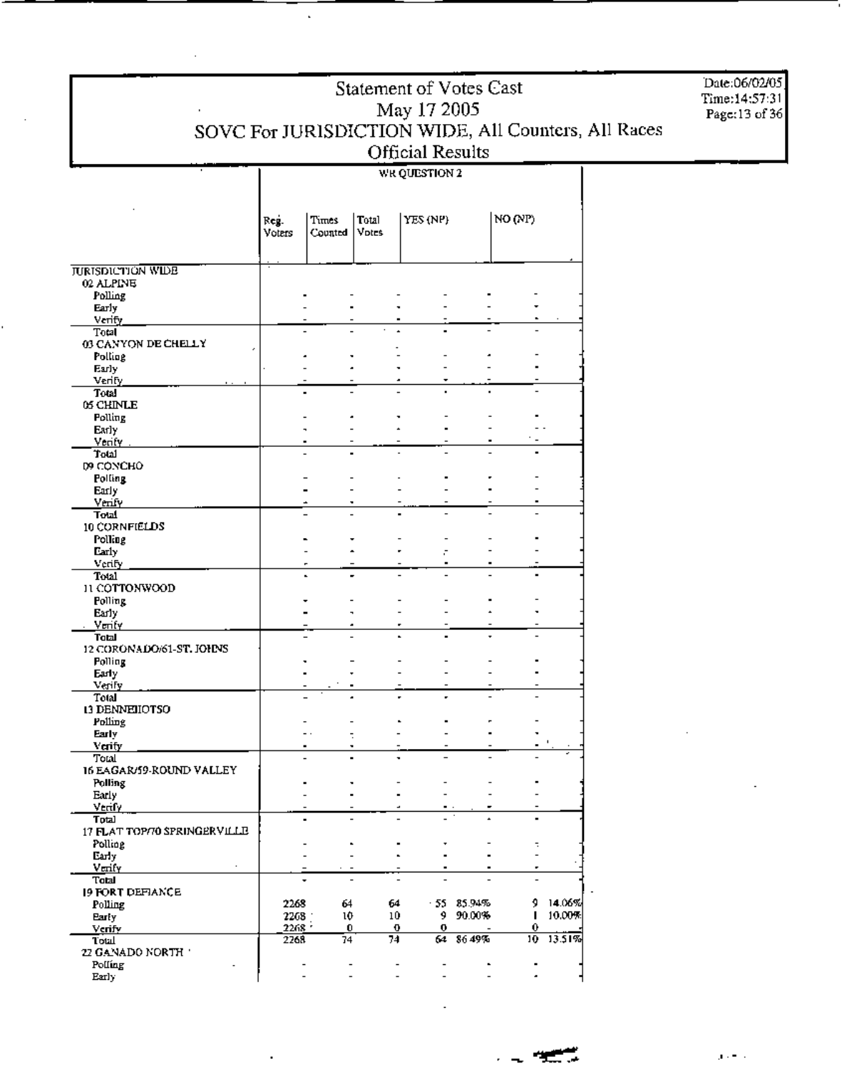Date:06/02/05 Time:14:57:31 Page: 13 of 36

WR QUESTION 2

|                              | Reg.<br>Voters   | Times<br>Counted | Total<br>Votes  | YES (NP) |        | NO (NP)                  |        |
|------------------------------|------------------|------------------|-----------------|----------|--------|--------------------------|--------|
|                              |                  |                  |                 |          |        |                          |        |
| <b>JURISDICTION WIDE</b>     |                  |                  |                 |          |        |                          |        |
| 02 ALPINE                    |                  |                  |                 |          |        |                          |        |
| Polling                      |                  |                  |                 |          |        |                          |        |
| Early<br>Verity              |                  |                  |                 |          |        |                          |        |
| Total                        |                  |                  |                 |          |        |                          |        |
| <b>03 CANYON DE CHELLY</b>   |                  |                  |                 |          |        |                          |        |
| Polling                      |                  |                  |                 |          |        |                          |        |
| Early                        |                  |                  |                 |          |        |                          |        |
| Verify                       |                  |                  |                 |          |        |                          |        |
| Total                        |                  |                  |                 |          |        |                          |        |
| 05 CHINLE                    |                  |                  |                 |          |        |                          |        |
| Polling                      |                  |                  |                 |          |        |                          |        |
| Early                        |                  |                  |                 |          |        |                          |        |
| Venty<br>Total               |                  |                  |                 |          |        |                          |        |
| D9 CONCHO                    |                  |                  |                 |          |        |                          |        |
| <b>Polling</b>               |                  |                  |                 |          |        |                          |        |
| Early                        |                  |                  |                 |          |        |                          |        |
| Venfy                        |                  |                  |                 |          |        |                          |        |
| Total                        |                  |                  |                 |          |        |                          |        |
| 10 CORNFIELDS                |                  |                  |                 |          |        |                          |        |
| Polling                      |                  |                  |                 |          |        |                          |        |
| Early                        |                  |                  |                 | ÷        |        |                          |        |
| Verify                       |                  |                  |                 |          |        |                          |        |
| Total                        |                  |                  |                 |          |        |                          |        |
| 11 COTTONWOOD                |                  |                  |                 |          |        |                          |        |
| <b>Polling</b>               |                  |                  |                 |          |        |                          |        |
| Early<br>Venty               |                  |                  |                 |          |        |                          |        |
| Total                        |                  |                  |                 |          |        |                          |        |
| 12 CORONADO/61-ST. JOHNS     |                  |                  |                 |          |        |                          |        |
| Polling                      |                  |                  |                 |          |        |                          |        |
| Early                        |                  |                  |                 |          |        |                          |        |
| Verify                       |                  |                  |                 |          |        |                          |        |
| Total                        |                  |                  |                 |          |        |                          |        |
| 13 DENNEHOTSO                |                  |                  |                 |          |        |                          |        |
| Polling                      |                  |                  |                 |          |        |                          |        |
| Early                        |                  |                  |                 |          |        |                          |        |
| Verity<br>Total              |                  |                  |                 |          |        |                          |        |
| 16 EAGAR/59-ROUND VALLEY     |                  |                  |                 |          |        |                          |        |
| <b>Polling</b>               |                  |                  |                 |          |        |                          |        |
| Early                        |                  |                  |                 |          |        |                          |        |
| <b>Verify</b>                |                  |                  |                 |          |        |                          |        |
| Total                        |                  |                  |                 |          |        |                          |        |
| 17 FLAT TOP/70 SPRINGERVILLE |                  |                  |                 |          |        |                          |        |
| Polling                      |                  |                  |                 |          |        | ÷                        |        |
| Early                        |                  |                  |                 |          |        | $\overline{\phantom{a}}$ |        |
| Verify                       |                  |                  |                 |          |        | ٠                        |        |
| <b>Total</b>                 |                  |                  |                 |          |        |                          |        |
| 19 FORT DEFIANCE             | 2268             | 64               | 64              | $-55$    | 85.94% | 9                        | 14.06% |
| Polling                      |                  | 10               | 10 <sub>1</sub> | 9.       | 90.00% | п                        | 10.00% |
| <b>Party</b><br>Verify       | 2268<br>$2268 +$ | 0                |                 | 0<br>0   |        | 0                        |        |
| Total                        | 2268             | 74               | 74              | 64       | 86 49% | 10.                      | 13.51% |
| 22 GANADO NORTH :            |                  |                  |                 |          |        |                          |        |
| Polling                      |                  |                  |                 |          |        |                          |        |
| Early                        |                  |                  |                 |          |        | ۰                        |        |

l,

 $\mu$  ,  $\mu$  ,  $\mu$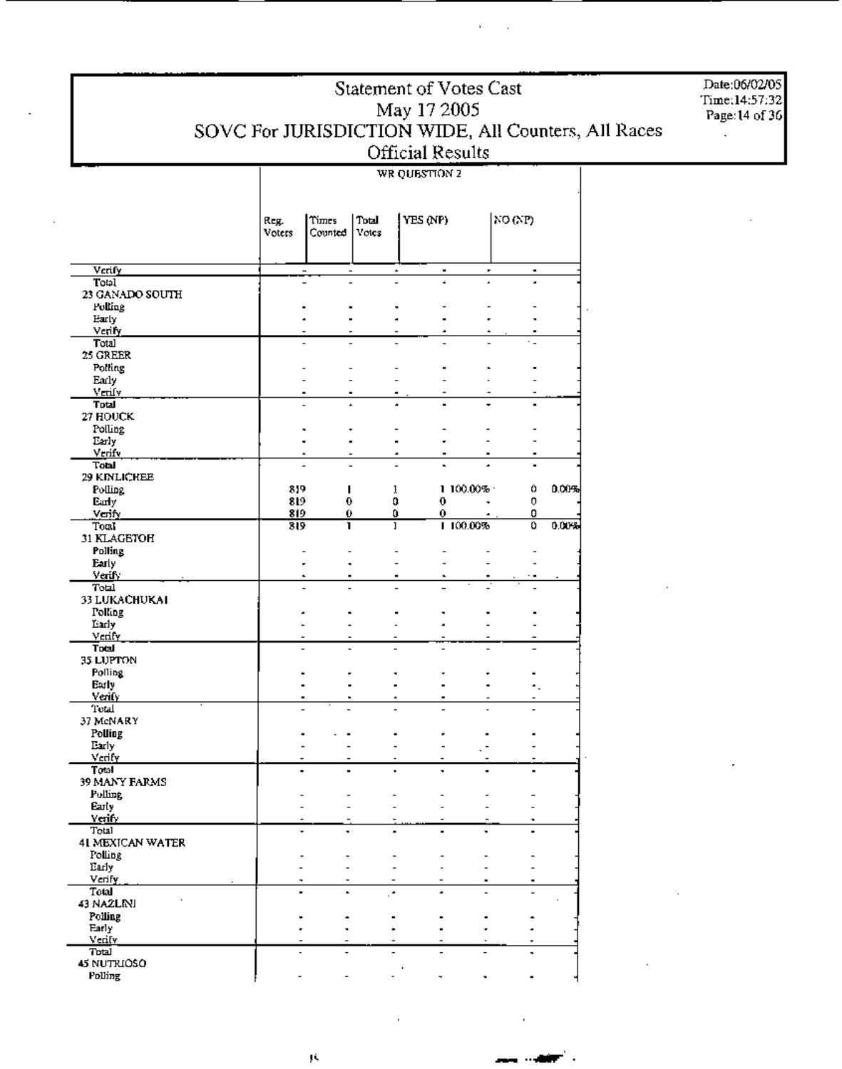### Statement of Votes Cast Date:06/02/05<br>Time:14:57:32 May 17 2005 SOVC For JURISDICTION WIDE, All Counters, All Races Official Results

rage:14of3G  $\mathbb{R}^2$ 

WR QUESTION 2

|                                  | Reg.<br>Voters | Times<br>Counted | Total<br>Votes           | YES (NP) |              | NO (NP)        |       |
|----------------------------------|----------------|------------------|--------------------------|----------|--------------|----------------|-------|
|                                  |                |                  |                          |          |              |                |       |
| Verify                           |                |                  | ٠                        |          | ٠            |                |       |
| Total                            |                |                  |                          |          |              |                |       |
| 23 GANADO SOUTH                  |                |                  |                          |          |              |                |       |
| Polling<br>Early                 |                |                  |                          |          |              |                |       |
| Verify.                          |                |                  |                          |          |              |                |       |
| Total<br>25 GREER                |                |                  |                          |          |              |                |       |
| Polling                          |                |                  |                          |          |              |                |       |
| Early                            |                |                  |                          |          |              |                |       |
| Verify<br>Total                  |                |                  |                          |          |              |                |       |
| 27 HOUCK                         |                |                  |                          |          |              |                |       |
| Polling                          |                |                  |                          |          |              |                |       |
| Early                            |                |                  |                          |          |              |                |       |
| Verify<br>Total                  |                |                  |                          |          |              |                |       |
| 29 KINLICHEE                     |                |                  |                          |          |              |                |       |
| <b>Polling</b><br>Early          | 819<br>819     | 1<br>0           | ı<br>0                   | 0        | $1.100.00\%$ | ۵<br>0         | 0.00% |
| Venfy.                           | 819            | Ù                | 0                        | 0        |              | 0              |       |
| Total                            | 319            | ı                | ı                        |          | 1100.00%     | Ú              | 0.00% |
| 31 KLAGETOH<br>Polling           |                |                  |                          |          |              |                |       |
| Early                            |                |                  |                          |          |              |                |       |
| Verif.                           |                |                  |                          |          |              |                |       |
| Total<br>33 LUKACHUKAI           |                |                  |                          |          |              |                |       |
| Polling                          |                |                  |                          |          |              |                |       |
| Early                            |                |                  |                          |          |              |                |       |
| Verify<br>Total                  | $\overline{a}$ | $\overline{a}$   |                          |          |              | $\overline{a}$ |       |
| 35 LUPTON                        |                |                  |                          |          |              |                |       |
| Polling                          |                |                  |                          |          |              |                |       |
| Early<br><b>Venty</b>            |                |                  |                          |          |              | ٠.             |       |
| Total                            |                |                  |                          |          |              |                |       |
| 37 McNARY                        |                |                  |                          |          |              |                |       |
| Polling<br>Early                 |                |                  |                          |          |              |                |       |
| Verify                           |                |                  |                          |          |              |                |       |
| Total                            |                |                  |                          |          |              |                |       |
| 39 MANY FARMS<br><b>Pulling</b>  |                |                  | $\overline{\phantom{0}}$ | -        |              |                |       |
| Early                            | $\overline{a}$ |                  |                          |          |              |                |       |
| <u>Verify</u>                    |                |                  |                          |          |              |                |       |
| Total<br><b>41 MEXICAN WATER</b> | ٠              |                  |                          |          |              |                |       |
| Folling                          |                |                  |                          |          |              |                |       |
| Early                            |                |                  |                          |          |              |                |       |
| Verify,<br>Total                 |                |                  | ۰                        |          |              |                |       |
| 43 NAZLINI                       |                |                  |                          |          |              |                |       |
| Polling                          |                |                  |                          |          |              |                |       |
| Early<br>Verify                  |                |                  |                          |          |              |                |       |
| Total                            |                |                  |                          |          |              |                |       |
| 45 NUTRIOSO<br>Polling           |                |                  |                          |          |              |                |       |
|                                  |                |                  |                          |          |              |                |       |

" \_ ..\_'.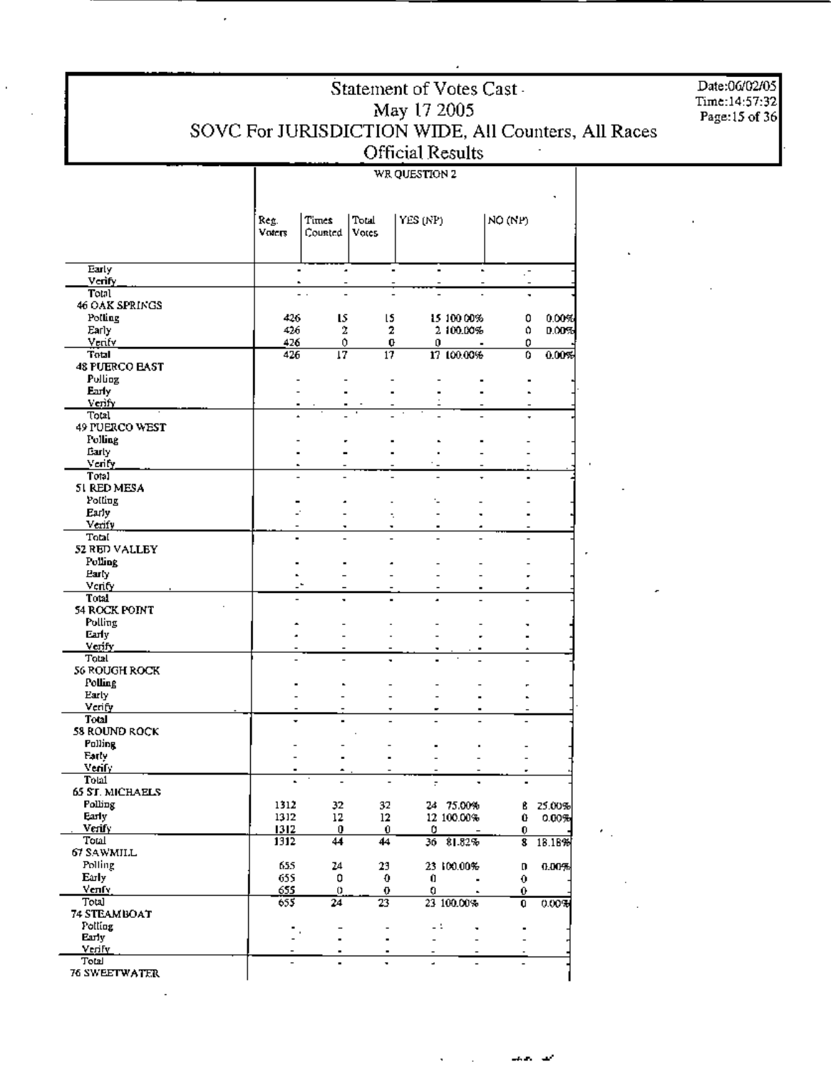WR QUESTION 2

|                        | Reg.<br>Voters | Times<br>Counted | Total<br>Votes    | YES (NP) |                | NO (NP)                 |        |
|------------------------|----------------|------------------|-------------------|----------|----------------|-------------------------|--------|
|                        |                |                  |                   |          |                |                         |        |
| Early                  |                | ٠                | ٠                 | ٠        |                | $\blacksquare$<br>И,    |        |
| Verify<br>Total        |                | . .              |                   |          |                | ۰                       |        |
| 46 OAK SPRINGS         |                |                  |                   |          |                |                         |        |
| Polling                | 426            | IS.              | l5                |          | 15 100 00%     | 0                       | 0.00%  |
| Early                  | 426            | 2                | 2                 |          | 2 100.00%      | ۵                       | 0.00%  |
| Verify                 | 426            | 0                | 0                 | 0        |                | 0                       |        |
| Total                  | 426            | 17               | $\overline{17}$   |          | 17 100.00%     | ٥                       | 0.00%  |
| <b>48 PUERCO EAST</b>  |                |                  |                   |          |                |                         |        |
| Pulling                |                |                  |                   |          |                |                         |        |
| Early<br>Verify        |                |                  |                   |          |                |                         |        |
| Total                  |                |                  |                   |          |                |                         |        |
| 49 PUERCO WEST         |                |                  |                   |          |                |                         |        |
| Folling                |                |                  |                   |          |                |                         |        |
| Early                  |                |                  |                   |          |                |                         |        |
| Venty                  |                |                  |                   |          |                |                         |        |
| Total                  |                |                  |                   |          |                |                         |        |
| 51 RED MESA            |                |                  |                   |          |                |                         |        |
| Polling                |                |                  |                   |          |                |                         |        |
| Early<br>Verify        |                |                  | ٠                 |          |                |                         |        |
| Total                  |                |                  |                   |          |                |                         |        |
| 52 RED VALLEY          |                |                  |                   |          |                |                         |        |
| Polling                |                |                  |                   |          |                |                         |        |
| Early                  |                |                  |                   |          |                |                         |        |
| Verity                 |                |                  |                   |          |                |                         |        |
| Total                  |                | ٠                |                   |          |                |                         |        |
| 54 ROCK POINT          |                |                  |                   |          |                |                         |        |
| Polling<br>Early       |                |                  |                   |          |                |                         |        |
| <u>Verify</u>          |                |                  |                   |          |                |                         |        |
| Total                  |                |                  |                   |          |                |                         |        |
| 56 ROUGH ROCK          |                |                  |                   |          |                |                         |        |
| Polling                |                |                  |                   |          |                |                         |        |
| Early                  |                |                  |                   |          |                |                         |        |
| Verify                 |                |                  |                   |          |                |                         |        |
| Total                  |                |                  |                   |          |                |                         |        |
| 58 ROUND ROCK          |                |                  |                   |          |                |                         |        |
| Polling<br>Farly       |                |                  |                   |          |                |                         |        |
| Verify                 |                |                  |                   |          |                |                         |        |
| Total                  |                |                  |                   |          |                |                         |        |
| <b>65 ST. MICHAELS</b> |                |                  |                   |          |                |                         |        |
| Folling                | 1312           | 32               | 32                |          | 24 75.00%      | ß                       | 25.00% |
| Early                  | 1312           | 12               | 12                |          | 12 100.00%     | Û                       | 0.00%  |
| <b>Verify</b>          | 1312           | 0                | 0                 | 0.       |                | 0.                      |        |
| Total                  | 1312           | 44               | 44                |          | 36 81.82%      | $\overline{\mathbf{3}}$ | 18.18% |
| 67 SAWMILL<br>Polling  |                |                  |                   |          |                |                         |        |
| Early                  | 655<br>655     | 24<br>0          | 23<br>$\mathbf 0$ | 0        | 23 100.00%     | D                       | 0.00%  |
| Venfy                  | 655            | 0                | 0                 | 0        |                | 0<br>0.                 |        |
| Total                  | 655            | 24               | 23                |          | 23 100.00%     | 0                       | 0.00%  |
| 74 STEAMBOAT           |                |                  |                   |          |                |                         |        |
| Polling                |                |                  |                   | 2 E      |                |                         |        |
| Early                  |                |                  |                   |          |                |                         |        |
| Verify                 |                |                  |                   |          |                |                         |        |
| Total<br>76 SWEETWATER | $\overline{a}$ | ä,               |                   | ä,       | $\overline{a}$ |                         |        |
|                        |                |                  |                   |          |                |                         |        |

Date:06/02/05<br>Time:14:57:32 Page: 15 of 36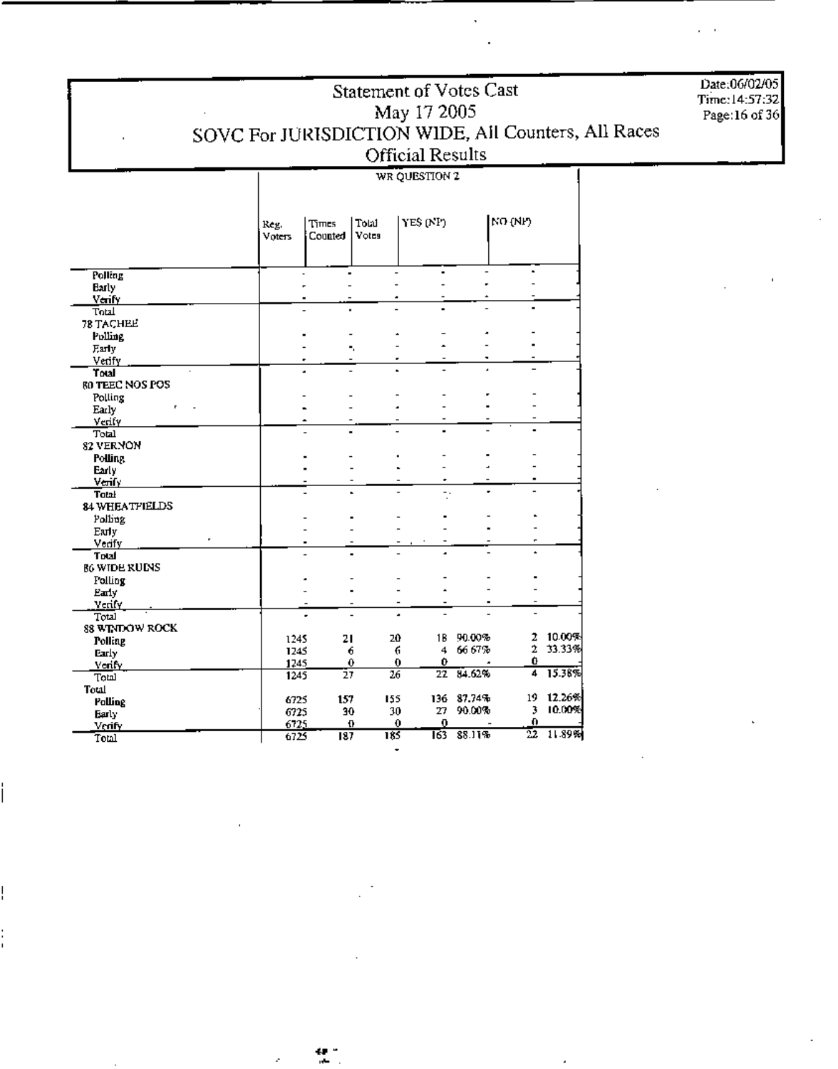WR QUESTION 2

|                         | Reg.<br>Voters | Times<br>Counted | Total<br><b>Votes</b> | YES (NP)                 |            | NO (NP)    | $\blacksquare$<br>$\blacksquare$ |  |  |  |
|-------------------------|----------------|------------------|-----------------------|--------------------------|------------|------------|----------------------------------|--|--|--|
| Polling                 |                |                  |                       |                          |            |            |                                  |  |  |  |
| <b>Early</b>            |                |                  |                       |                          |            |            |                                  |  |  |  |
| Venfy                   |                |                  |                       |                          |            |            |                                  |  |  |  |
| Total                   |                |                  |                       |                          |            |            |                                  |  |  |  |
| 78 TACHEE               |                |                  |                       |                          |            |            |                                  |  |  |  |
| <b>Polling</b>          |                |                  |                       |                          |            |            |                                  |  |  |  |
| Early                   |                |                  | ۰.                    |                          |            |            |                                  |  |  |  |
| Verify                  |                |                  |                       |                          |            |            |                                  |  |  |  |
| Total                   |                | ٠                |                       |                          |            |            |                                  |  |  |  |
| <b>RO TEEC NOS POS</b>  |                |                  |                       |                          |            |            |                                  |  |  |  |
| Polling                 |                |                  |                       |                          |            |            |                                  |  |  |  |
| Early                   |                |                  |                       |                          |            |            |                                  |  |  |  |
| Verify                  |                |                  |                       |                          |            |            |                                  |  |  |  |
| $T$ olal                |                |                  |                       |                          |            |            |                                  |  |  |  |
| 82 VERNON               |                |                  |                       |                          |            |            |                                  |  |  |  |
| Polling.                |                |                  |                       |                          |            |            |                                  |  |  |  |
| Early                   |                |                  |                       |                          |            |            |                                  |  |  |  |
| Verify.                 |                |                  |                       |                          |            |            |                                  |  |  |  |
| Total                   |                |                  |                       |                          |            |            |                                  |  |  |  |
| 84 WHEATFIELDS          |                |                  |                       |                          |            |            |                                  |  |  |  |
| Polling                 |                |                  |                       |                          |            |            |                                  |  |  |  |
| Early                   |                |                  |                       |                          |            |            |                                  |  |  |  |
| Verify                  |                |                  | $\blacksquare$        |                          |            | ٠.         |                                  |  |  |  |
| Total                   |                |                  |                       |                          |            |            |                                  |  |  |  |
| <b>B6 WIDE RUINS</b>    |                |                  |                       |                          |            |            |                                  |  |  |  |
| Folling                 |                |                  |                       |                          |            |            |                                  |  |  |  |
| Early                   |                |                  |                       |                          |            |            |                                  |  |  |  |
| Verify                  |                |                  |                       |                          |            |            |                                  |  |  |  |
| Total<br>88 WINDOW ROCK |                |                  |                       |                          |            |            |                                  |  |  |  |
|                         | 1245           | 21               |                       | 20<br>18                 | 90.00%     | 2          | 10.00%                           |  |  |  |
| Polling                 | 1245           |                  | 6                     | 4<br>6                   | 66 67%     | $\ddot{z}$ | 33.33%                           |  |  |  |
| Early                   | 1245           |                  | $\theta$              | 0<br>$\ddot{\mathbf{0}}$ |            | Û          |                                  |  |  |  |
| <b>Venty</b><br>Total   | 1245           | 27               |                       | $\overline{26}$          | 22 84.62%  | 4          | 15.38%                           |  |  |  |
| Total                   |                |                  |                       |                          |            |            |                                  |  |  |  |
|                         | 6725           | 157              |                       | 155                      | 136 87.74% | 19         | 12.26%                           |  |  |  |
| Polling                 | 6725           |                  | 30                    | 27<br>30                 | 90.00%     | 3          | 10.00%                           |  |  |  |
| Early<br>Verify         | 6725           |                  | o                     | 0<br>0                   |            | 0          |                                  |  |  |  |
| Total                   | 6725           | $\overline{187}$ |                       | $\overline{185}$<br>163  | 88.11%     | 22         | 11.89%                           |  |  |  |
|                         |                |                  |                       |                          |            |            |                                  |  |  |  |

Date:06/02/05<br>Time:14:57:32<br>Page:16 of 36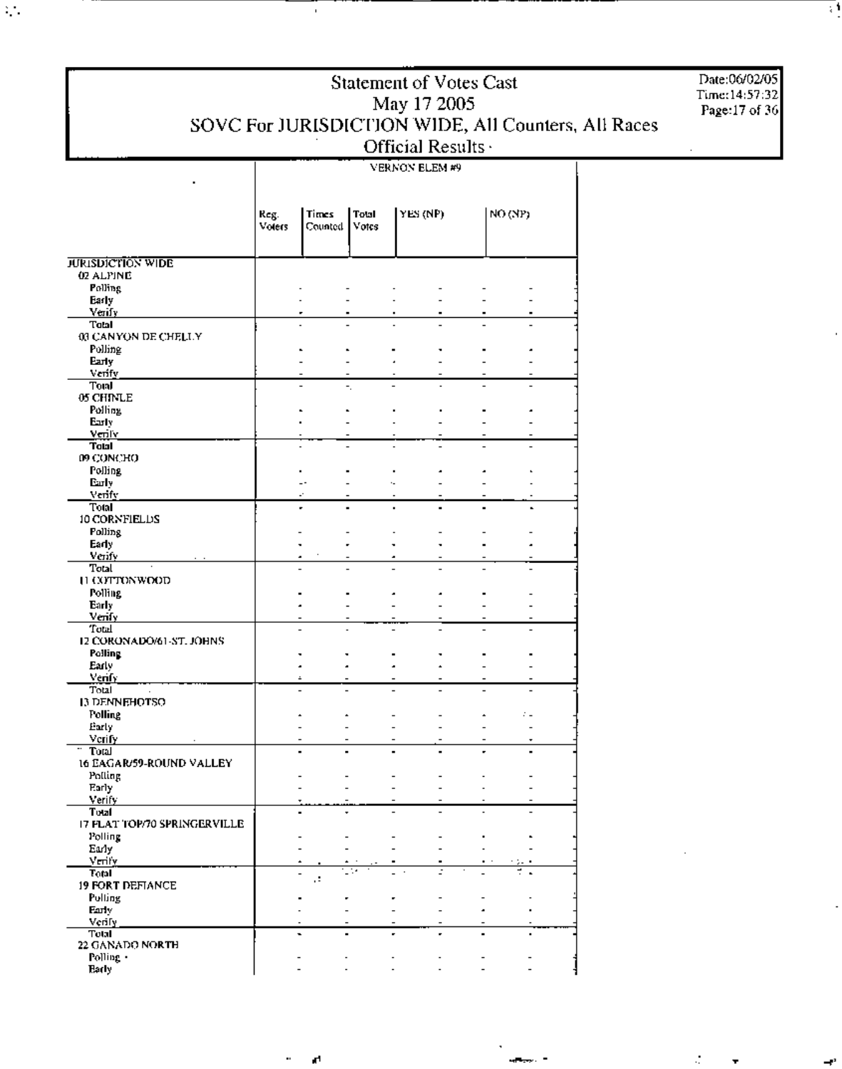VERNON ELEM #9

|                              | Reg.<br>Voters | Times<br>Counted | Total<br>Votes | YES (NP)       | NO (NP)       |  |
|------------------------------|----------------|------------------|----------------|----------------|---------------|--|
| JURISDICTION WIDE            |                |                  |                |                |               |  |
| 02 ALPINE                    |                |                  |                |                |               |  |
| Polling                      |                |                  |                |                |               |  |
| Early                        |                |                  |                |                |               |  |
| Verify<br>Total              |                |                  |                |                |               |  |
| 03 CANYON DE CHELLY          |                |                  |                |                |               |  |
| Polling                      |                |                  |                |                |               |  |
| Early                        |                |                  |                |                |               |  |
| Verify                       |                |                  |                |                |               |  |
| Tonl                         |                |                  | Ξ.             |                |               |  |
| 05 CHINLE                    |                |                  |                |                |               |  |
| Polling<br>Early             |                |                  |                |                |               |  |
| Veniv                        |                |                  |                |                |               |  |
| Total                        |                |                  |                |                |               |  |
| 09 CONCHO                    |                |                  |                |                |               |  |
| Polling                      |                |                  |                |                |               |  |
| Eurly                        |                |                  |                |                |               |  |
| venty<br><b>Total</b>        |                |                  |                |                |               |  |
| 10 CORNFIELDS                |                |                  |                | $\blacksquare$ |               |  |
| <b>Folling</b>               |                |                  |                |                |               |  |
| Early                        |                |                  |                |                |               |  |
| venty                        |                |                  |                |                |               |  |
| Total                        |                |                  |                |                |               |  |
| II COTTONWOOD                |                |                  |                |                |               |  |
| <b>Polling</b>               |                |                  |                |                |               |  |
| Early<br>Venfy               |                |                  |                |                |               |  |
| Total                        |                |                  |                |                |               |  |
| 12 CORONADO/61-ST, JOHNS     |                |                  |                |                |               |  |
| <b>Polling</b>               |                |                  |                |                |               |  |
| Early                        |                |                  |                |                |               |  |
| Venfy.<br>Total              |                | $\overline{a}$   |                |                |               |  |
| <b>13 DENNEHOTSO</b>         |                |                  |                |                |               |  |
| <b>Folling</b>               |                |                  |                |                | $\mathcal{L}$ |  |
| Early                        |                |                  |                |                |               |  |
| Verify                       |                |                  |                |                | ٠             |  |
| Total                        |                |                  |                |                |               |  |
| 16 EAGAR/59-ROUND VALLEY     |                |                  |                |                |               |  |
| Polling<br>Early             |                |                  |                |                |               |  |
| Verify                       |                |                  |                |                |               |  |
| Total                        |                |                  |                |                |               |  |
| 17 PLAT TOP/70 SPRINGERVILLE |                |                  |                |                |               |  |
| Polling                      |                |                  |                |                |               |  |
| Early                        |                |                  |                |                |               |  |
| Verify<br><b>Total</b>       |                |                  |                |                |               |  |
| <b>19 FORT DEFIANCE</b>      |                | г.               |                |                |               |  |
| Polling                      |                |                  |                |                |               |  |
| Farly                        |                |                  |                |                |               |  |
| Verify.                      |                |                  |                |                |               |  |
| <b>Total</b>                 |                |                  |                |                |               |  |
| 22 GANADO NORTH<br>Polling - |                |                  |                |                |               |  |
| <b>Bady</b>                  |                |                  |                |                |               |  |

 $\bar{\phantom{a}}$ 

ä,

 $\mathcal{L}_{\mathcal{A}}$ 

Date:06/02/05 Time:14:57:32<br>Page:17 of 36 편

÷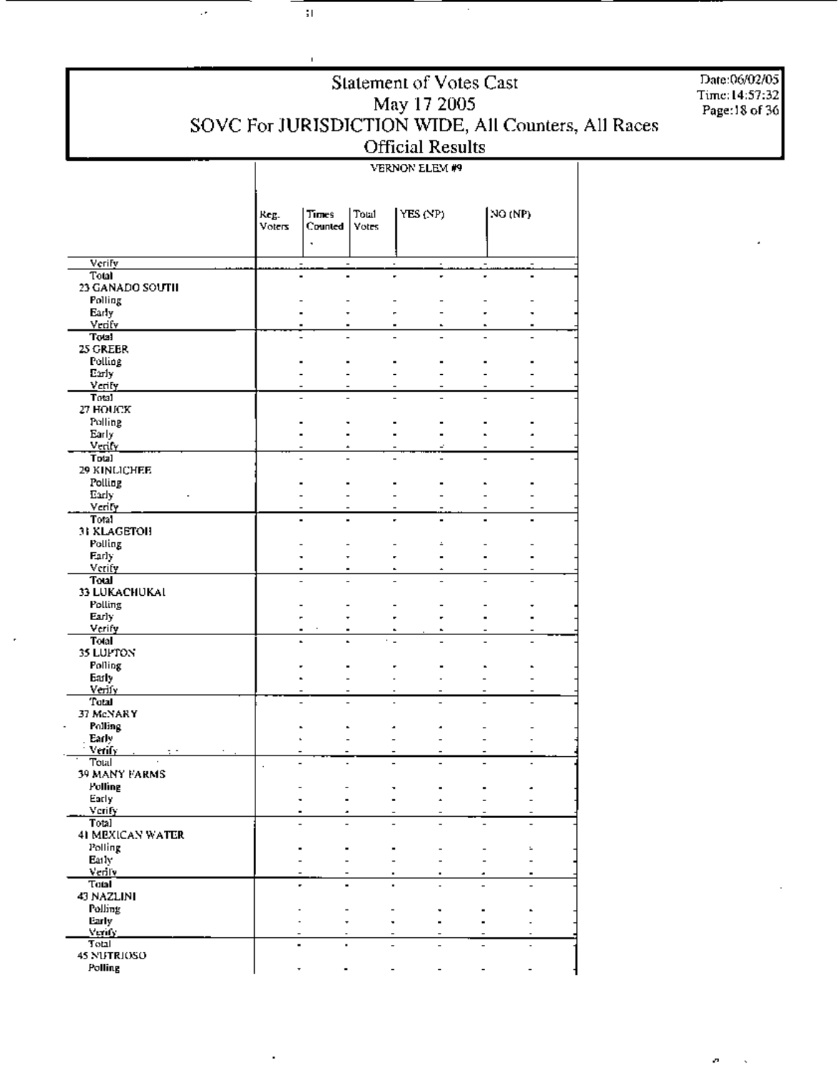$\cdot$ 

#### VERNON ELEM #9

|                                 | Reg.<br>Voters | Times<br>Counted                 | Total<br><b>Yotes</b> | YES (NP)       |                | NO (NP)        |  |
|---------------------------------|----------------|----------------------------------|-----------------------|----------------|----------------|----------------|--|
|                                 |                | Ä,                               |                       |                |                |                |  |
| Verify                          |                | $\overline{\phantom{a}}$         |                       |                |                |                |  |
| <b>Total</b><br>23 GANADO SOUTH |                | $\blacksquare$<br>$\blacksquare$ |                       | ÷.<br>×,       |                |                |  |
| <b>Polling</b>                  |                |                                  |                       |                |                |                |  |
| Early                           |                |                                  |                       |                |                |                |  |
| Vrtify                          |                |                                  |                       | $\blacksquare$ | ٠              |                |  |
| <b>Total</b><br>25 GREER        |                |                                  |                       |                |                |                |  |
| Polling                         |                |                                  |                       |                |                |                |  |
| Early                           |                |                                  |                       |                |                |                |  |
| Verify                          |                |                                  |                       |                |                |                |  |
| Total<br>27 HOUCK               |                |                                  |                       |                |                |                |  |
| Polling                         |                |                                  |                       |                |                |                |  |
| Early                           |                |                                  |                       |                |                |                |  |
| Venty                           |                |                                  |                       | ÷,             |                |                |  |
| Total<br>29 KINLICHEE           |                |                                  |                       |                |                |                |  |
| Polling                         |                |                                  |                       |                | $\blacksquare$ |                |  |
| Early                           |                |                                  |                       |                |                |                |  |
| Verity                          |                |                                  |                       |                |                |                |  |
| Total<br>31 KLAGETOH            |                |                                  |                       |                |                |                |  |
| Polling                         |                |                                  |                       | ÷              |                |                |  |
| <b>Early</b>                    |                | ÷                                |                       | $\blacksquare$ |                |                |  |
| Verify                          |                |                                  |                       |                |                |                |  |
| Total<br>33 LUKACHUKAL          |                | $\overline{a}$                   |                       | $\overline{a}$ | $\overline{a}$ |                |  |
| Polling                         |                |                                  |                       |                |                |                |  |
| Early                           |                |                                  |                       | ٠              |                |                |  |
| Verify                          |                |                                  |                       |                |                |                |  |
| Total<br>35 LUPTON              |                |                                  |                       |                |                |                |  |
| Polling                         |                |                                  |                       |                |                |                |  |
| Early                           |                |                                  |                       |                |                |                |  |
| Verify<br><b>Total</b>          |                |                                  |                       |                |                |                |  |
| 37 McNARY                       |                |                                  |                       |                |                |                |  |
| Polling.                        |                |                                  |                       |                |                |                |  |
| Early                           |                |                                  |                       |                |                |                |  |
| Verify<br>Total                 |                |                                  |                       |                |                |                |  |
| 39 MANY FARMS                   |                |                                  | $\overline{a}$        |                | $\overline{a}$ |                |  |
| Polling                         |                |                                  |                       |                |                |                |  |
| Early                           |                |                                  |                       |                |                |                |  |
| Verify<br>Total                 |                |                                  |                       |                |                |                |  |
| 41 MEXICAN WATER                |                |                                  |                       |                |                |                |  |
| Polling                         |                |                                  |                       |                |                | ÷.             |  |
| Early                           |                |                                  |                       |                |                |                |  |
| Venty                           |                |                                  | ٠                     | ٠              |                | ۰              |  |
| Total<br>43 NAZLINI             |                |                                  |                       |                |                | $\overline{a}$ |  |
| Polling                         |                |                                  |                       |                |                |                |  |
| Early                           |                |                                  |                       |                |                |                |  |
| Verify.<br>Total                |                |                                  |                       |                | $\overline{a}$ |                |  |
| 45 NUTRIOSO                     |                |                                  |                       |                |                |                |  |
| Polling                         |                |                                  |                       |                |                |                |  |

 $\overline{\phantom{a}}$ 

 $\mathbf{H}$ 

 $\epsilon$ 

Date:06/02/05 Time: 14:57:32<br>Page: 18 of 36

 $\boldsymbol{\sigma}$ 

 $\mathbf{v}$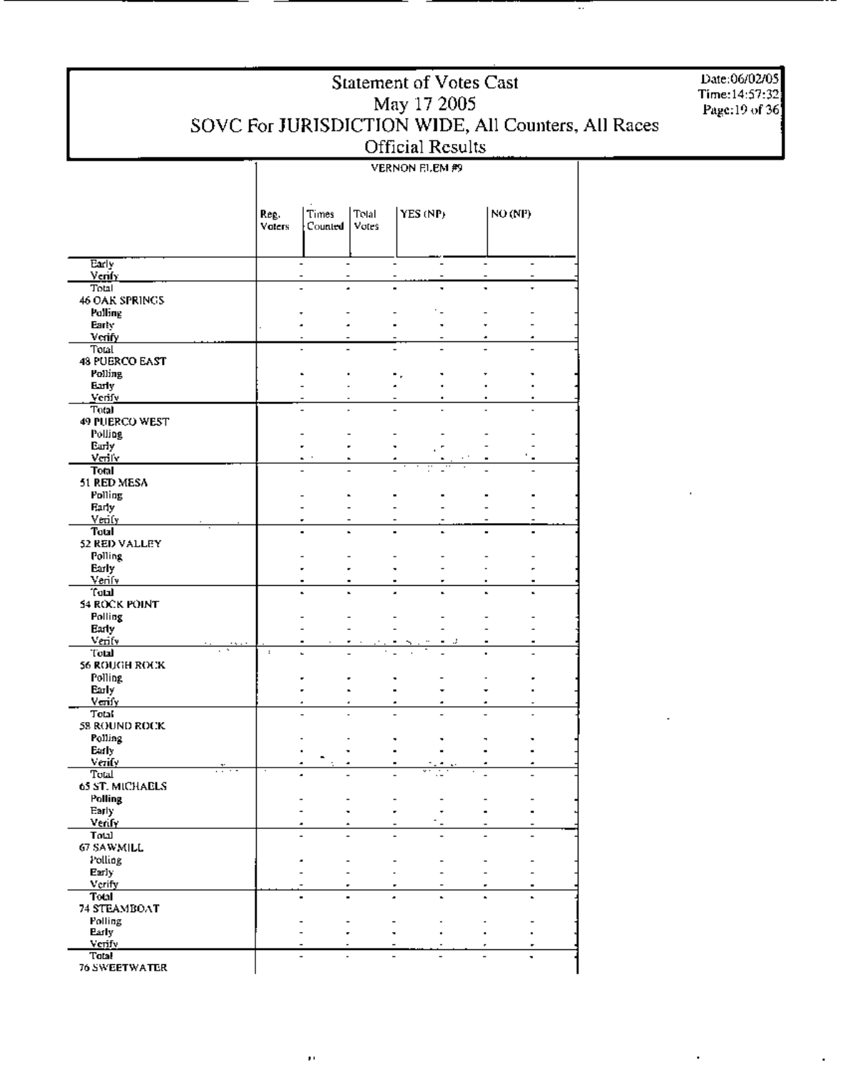#### VERNON FILEM #9

|                                      | Reg.<br><b>Voters</b> | Times<br>Counted         | Total<br>Votes | YES (NP)                 | NO (NP)                                              |
|--------------------------------------|-----------------------|--------------------------|----------------|--------------------------|------------------------------------------------------|
| Early                                | $\overline{a}$        | $\overline{\phantom{a}}$ |                | $\overline{\phantom{a}}$ | $\overline{\phantom{0}}$<br>$\overline{\phantom{a}}$ |
| Venfy<br>Total                       |                       | $\overline{a}$           |                | ÷,                       | Ĭ.                                                   |
| 46 OAK SPRINGS                       |                       |                          |                |                          |                                                      |
| Polling                              |                       |                          |                |                          |                                                      |
| Early                                |                       |                          |                |                          |                                                      |
| Verify                               |                       |                          |                |                          |                                                      |
| Total                                |                       |                          |                |                          |                                                      |
| 48 PUERCO EAST                       |                       |                          |                |                          |                                                      |
| Polling                              |                       |                          |                |                          |                                                      |
| Early<br>Verify                      |                       |                          |                |                          |                                                      |
| Total                                |                       |                          |                |                          |                                                      |
| 49 PUERCO WEST                       |                       |                          |                |                          |                                                      |
| Polling                              |                       |                          |                |                          |                                                      |
| Early                                |                       |                          |                |                          |                                                      |
| Veniv                                |                       |                          |                |                          |                                                      |
| Total                                |                       |                          |                |                          |                                                      |
| 51 RED MESA<br>Polling               |                       |                          |                |                          |                                                      |
| Early                                |                       |                          |                |                          |                                                      |
| Venly                                |                       |                          |                |                          |                                                      |
| <b>Total</b>                         |                       |                          | L.             |                          |                                                      |
| 52 RED VALLEY                        |                       |                          |                |                          |                                                      |
| Polling                              |                       |                          |                |                          |                                                      |
| Early                                |                       |                          |                |                          |                                                      |
| Venfy<br>Total <sup>*</sup>          |                       |                          |                |                          |                                                      |
| 54 ROCK POINT                        |                       |                          |                |                          |                                                      |
| Polling                              |                       |                          |                |                          |                                                      |
| Early                                |                       |                          |                |                          |                                                      |
| Verify                               |                       |                          |                |                          |                                                      |
| Total                                | ÷                     | L                        |                |                          |                                                      |
| 56 ROUGH ROCK                        |                       |                          |                |                          |                                                      |
| Polling<br>Early                     |                       |                          |                |                          |                                                      |
| Verify                               |                       |                          |                |                          |                                                      |
| Total                                |                       |                          |                |                          |                                                      |
| 58 ROUND ROCK                        |                       |                          |                |                          |                                                      |
| Polling                              |                       |                          |                |                          |                                                      |
| Early                                |                       |                          |                |                          |                                                      |
| Verify                               |                       |                          |                | $\blacksquare$           |                                                      |
| Total<br>65 ST. MICHAELS             |                       |                          |                |                          |                                                      |
| <b>Polling</b>                       |                       |                          |                |                          |                                                      |
| Early                                |                       |                          |                |                          |                                                      |
| <u>Verify</u>                        |                       |                          |                |                          |                                                      |
| Total                                |                       |                          |                |                          |                                                      |
| 67 SAWMILL                           |                       |                          |                |                          |                                                      |
| Polling                              |                       |                          |                |                          |                                                      |
| Early<br>Verify                      |                       |                          |                |                          |                                                      |
| Total                                |                       |                          |                |                          |                                                      |
| 74 STEAMBOAT                         |                       |                          |                |                          |                                                      |
| Polling                              |                       |                          |                |                          |                                                      |
| <b>Early</b>                         |                       |                          |                |                          |                                                      |
| Verify                               |                       |                          |                |                          |                                                      |
| <b>Total</b><br><b>76 SWEETWATER</b> |                       |                          |                |                          |                                                      |

Date:06/02/05 Time:14:57:32 Page: 19 of 36

Ŧ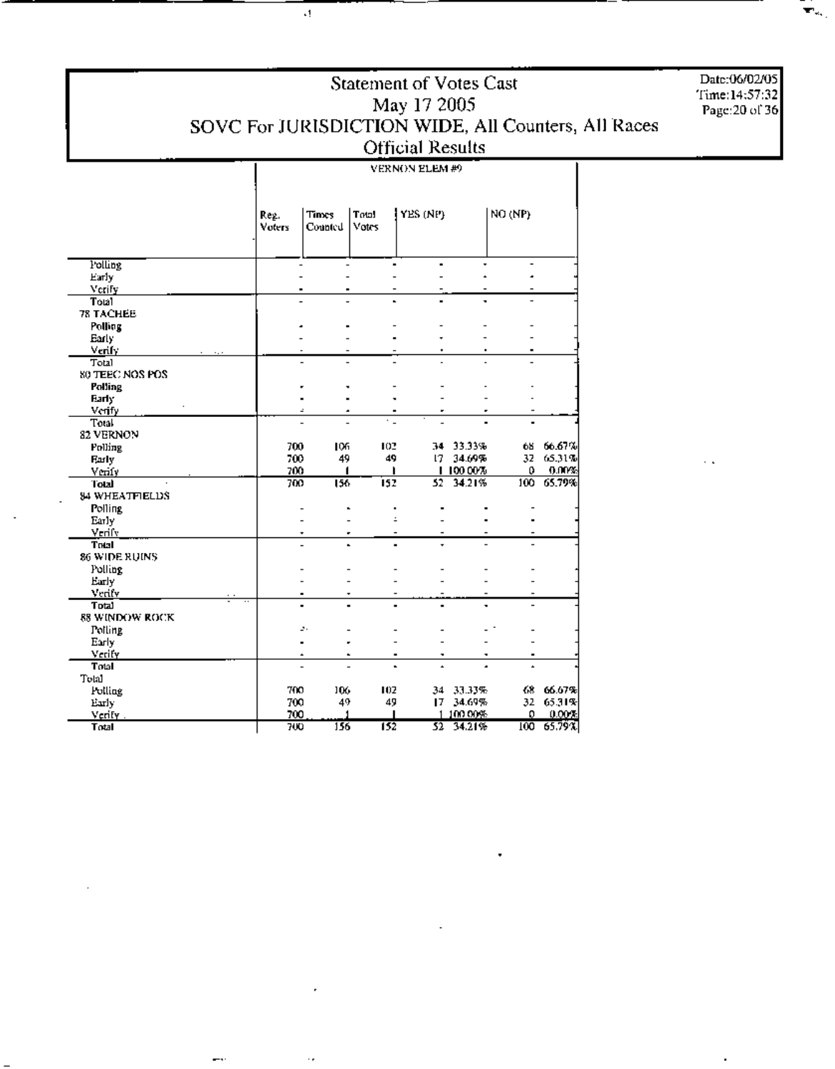#### VERNON ELEM#9

|                          | Reg.<br>Voters | <b>Times</b><br>Counted | Total<br>Votes | YES (NP) |                | NO (NP)                  |        |
|--------------------------|----------------|-------------------------|----------------|----------|----------------|--------------------------|--------|
|                          |                |                         |                |          |                |                          |        |
| Polling                  |                |                         |                |          |                | $\overline{\phantom{0}}$ |        |
| Early                    |                |                         |                |          |                | ٠                        |        |
| Verify                   |                |                         |                |          |                |                          |        |
| Total                    |                |                         |                |          |                |                          |        |
| <b>78 TACHEE</b>         |                |                         |                |          |                |                          |        |
| Polling                  |                |                         |                |          |                |                          |        |
| Early                    |                |                         |                |          |                |                          |        |
| Verify                   |                |                         |                |          |                |                          |        |
| Total<br>80 TEEC NOS POS |                |                         |                |          |                |                          |        |
| <b>Polling</b>           |                |                         |                |          |                |                          |        |
| Early                    |                |                         |                |          |                |                          |        |
| Verify                   |                | ٠                       |                |          |                |                          |        |
| Total                    |                |                         |                |          |                |                          |        |
| <b>82 VERNON</b>         |                |                         |                |          |                |                          |        |
| Polling                  | 700            | 106                     | 102            |          | 34 33.33%      | 68                       | 66.67% |
| Farly                    | 700            | 49                      | 49             | 17.      | 34.69%         | 32                       | 65.31% |
| Verify                   | 700            | 1                       | ı              | ı        | 100 00%        | 0                        | 0.00%  |
| Total                    | 700            | 156                     | ÎSZ.           | 52       | 34.21%         | 100                      | 65.79% |
| <b>84 WHEATFIELDS</b>    |                |                         |                |          |                |                          |        |
| <b>Polling</b>           |                |                         |                |          |                |                          |        |
| Early                    |                |                         | $\overline{a}$ |          |                |                          |        |
| Verify                   |                |                         |                |          |                |                          |        |
| Trual                    |                |                         |                |          | $\overline{a}$ | $\overline{\phantom{0}}$ |        |
| 86 WIDE RUINS            |                |                         |                |          |                |                          |        |
| Polling                  |                |                         |                |          |                |                          |        |
| Early                    |                |                         |                |          |                |                          |        |
| venfy                    |                |                         |                |          |                |                          |        |
| Total                    |                |                         |                |          |                |                          |        |
| 88 WINDOW ROCK           |                |                         |                |          |                |                          |        |
| Polling                  |                | 2.                      |                |          |                |                          |        |
| Early                    |                |                         |                |          |                |                          |        |
| Verify                   |                |                         | ۰.<br>٠        | ٠        |                |                          |        |
| Total                    |                |                         |                |          |                |                          |        |
| Total                    |                |                         |                |          |                |                          |        |
| Folling                  | 700            | 106                     | 102            |          | 34 33.33%      | 68.                      | 66.67% |
| Early                    | 700            | 49                      | 49             |          | 17 34.69%      | 32                       | 65.31% |
| Verify                   | 700            |                         |                |          | 1-100.00%      | o                        | 0.00%  |
| Total                    | 700            | 156                     | 152            | 52       | 34.21%         | 100                      | 65.79% |

 $\mathcal{A}$ 

Date:06/02/05 Time:14:57:32<br>Page:20 of 36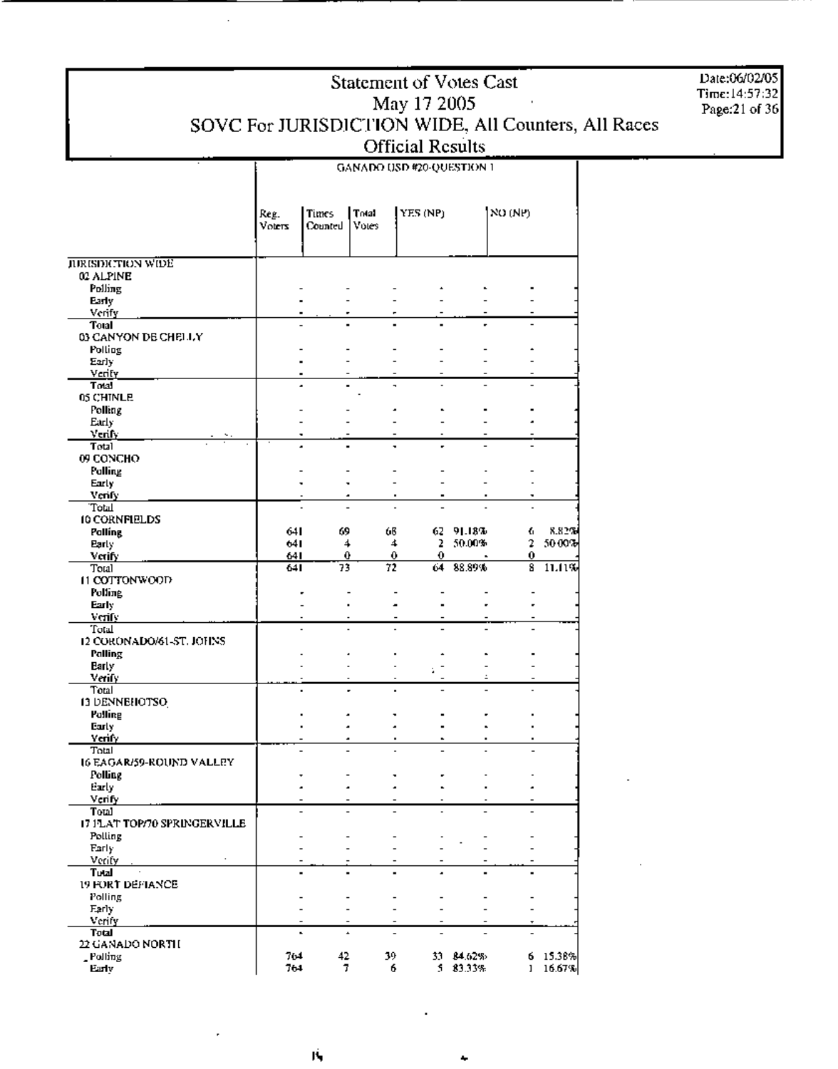GANADO USD #20-QUESTION 1

Date:06/02/05 Time:14:57:32

Page:21 of 36

|                                         | Reg.   | <b>Times</b>   | Total          |           | YES (NP) |           | NO (NP)        |        |
|-----------------------------------------|--------|----------------|----------------|-----------|----------|-----------|----------------|--------|
|                                         | Voters | Counted        | Votes          |           |          |           |                |        |
|                                         |        |                |                |           |          |           |                |        |
| <b>JURISDICTION WIDE</b>                |        |                |                |           |          |           |                |        |
| 02 ALPINE                               |        |                |                |           |          |           |                |        |
| Polling                                 |        |                |                |           |          |           |                |        |
| Early                                   |        |                |                |           |          |           |                |        |
| Verify                                  |        |                |                |           |          |           |                |        |
| <b>Total</b><br>03 CANYON DE CHELLY     |        |                |                |           |          |           |                |        |
| Polling                                 |        |                |                |           |          |           |                |        |
| Early                                   |        |                |                |           |          |           |                |        |
| Verify                                  |        |                |                |           |          |           |                |        |
| Total                                   |        |                |                |           |          |           |                |        |
| 05 CHINLE                               |        |                |                |           |          |           |                |        |
| Polling                                 |        |                |                | ٠         | ä.       |           |                |        |
| Early                                   |        |                |                |           |          |           |                |        |
| Verify.<br>Total                        |        |                |                |           |          |           |                |        |
| 09 CONCHO                               |        |                |                |           |          |           |                |        |
| Polling                                 |        |                |                |           |          |           |                |        |
| Early                                   |        |                |                |           |          |           |                |        |
| Venfy                                   |        |                |                |           |          |           |                |        |
| Total                                   |        |                |                |           |          |           |                |        |
| <b>10 CORNFIELDS</b>                    | 641    | 69             |                | 66        |          | 62 91.18% | 6              | 8.82%  |
| Polling<br><b>Barly</b>                 | 641    |                | 4              | 4         |          | 2 50.00%  | 2              | 50.00% |
| Verify                                  | 641    |                | 0              | $\bullet$ | 0        |           | 0              |        |
| Total                                   | 641    | 73             |                | 72        | 64       | 88.89%    | 8              | 11.11% |
| 11 COTTONWOOD                           |        |                |                |           |          |           |                |        |
| Polling                                 |        |                |                |           |          |           |                |        |
| Early                                   |        |                |                |           |          |           |                |        |
| verify                                  |        |                |                |           |          |           |                |        |
| Total<br>12 CORONADO/61-ST. JOHNS       |        |                |                |           |          |           |                |        |
| Palling                                 |        |                |                |           |          |           |                |        |
| Barly                                   |        |                |                |           |          |           |                |        |
| Verify                                  |        |                |                |           |          |           |                |        |
| Total                                   |        | $\blacksquare$ |                |           |          |           |                |        |
| 13 DENNEHOTSO                           |        |                |                |           |          |           |                |        |
| Polling                                 |        |                |                |           |          |           |                |        |
| Early<br><b>Verify</b>                  |        |                |                |           |          |           |                |        |
| Total                                   |        |                |                |           |          |           |                |        |
| 16 EAGAR/59-ROUND VALLEY                |        |                |                |           |          |           |                |        |
| Polling                                 |        |                |                |           |          |           |                |        |
| Early                                   |        |                |                |           |          |           |                |        |
| Verify                                  |        |                |                |           |          |           |                |        |
| Total                                   |        |                |                |           |          |           |                |        |
| 17 PLAT TOP/70 SPRINGERVILLE<br>Polling |        |                |                |           |          |           |                |        |
| Early                                   |        |                | $\overline{a}$ |           |          |           |                |        |
| Verify                                  |        |                |                |           |          |           | ٠              |        |
| Tutal                                   |        |                |                |           |          |           | $\blacksquare$ |        |
| 19 FORT DEFIANCE                        |        |                |                |           |          |           |                |        |
| Polling                                 |        |                |                |           |          |           | ٠              |        |
| Early                                   |        |                |                |           |          |           |                |        |
| Verify<br>Total                         |        |                |                |           |          |           | ۰              |        |
| 22 GANADO NORTH                         |        |                |                |           |          |           |                |        |
| Polling                                 | 764    | 42             |                | 39        |          | 33 84.62% | 6.             | 15.38% |
| Early                                   | 764    | 7.             |                | 6.        |          | 5 83.33%  | ı              | 16.67% |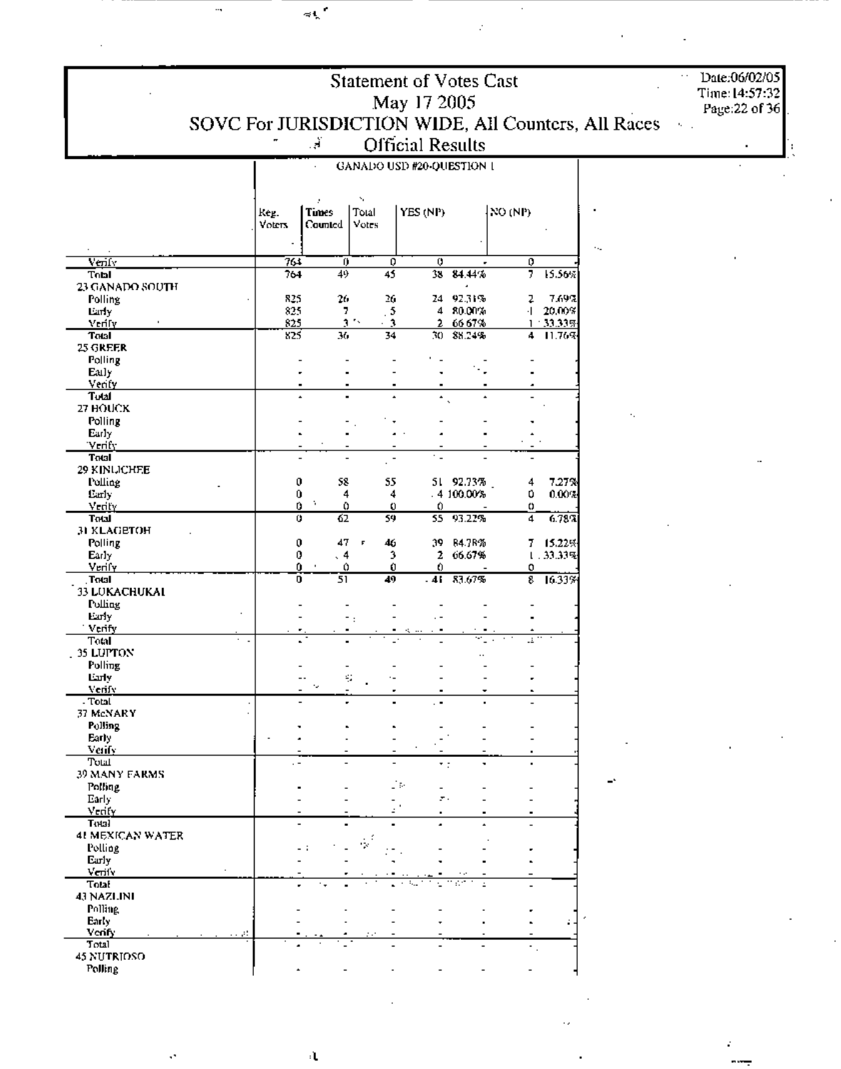|                            |                       | Date:06/02/05<br>$\cdot$ .<br>Time: 14:57:32<br>Page:22 of 36 |                                       |                           |                       |                     |                               |                                                     |  |
|----------------------------|-----------------------|---------------------------------------------------------------|---------------------------------------|---------------------------|-----------------------|---------------------|-------------------------------|-----------------------------------------------------|--|
|                            |                       |                                                               |                                       |                           |                       |                     |                               | SOVC For JURISDICTION WIDE, All Counters, All Races |  |
|                            |                       | ्में                                                          |                                       | Official Results          |                       |                     |                               |                                                     |  |
|                            |                       |                                                               |                                       | GANADO USD #20-QUESTION 1 |                       |                     |                               |                                                     |  |
|                            |                       |                                                               |                                       |                           |                       |                     |                               |                                                     |  |
|                            | Reg.<br>Voters        | Times<br>Counted                                              | Total<br>Votes                        | YES (NP)                  |                       | NO (NP)             |                               |                                                     |  |
|                            |                       |                                                               |                                       |                           |                       |                     |                               |                                                     |  |
| Veniv                      | $\overline{n}$<br>764 | 70<br>49                                                      | 0<br>45                               | 0                         | 38 84.44%             | 0<br>$\overline{7}$ | 15.56%                        |                                                     |  |
| Total<br>23 GANADO SOUTH   |                       |                                                               |                                       |                           |                       |                     |                               |                                                     |  |
| Polling                    | 825                   | 26                                                            | 26.                                   |                           | 24 92.31%             | ı                   | 7.69%                         |                                                     |  |
| Larry<br>Verify            | 825<br>825            | 7.                                                            | $\overline{\mathbf{5}}$<br>a N<br>- 3 | 4<br>2                    | 80.00%<br>66 67%      |                     | $-1 - 20,00%$<br>$1 - 33.33%$ |                                                     |  |
| Tatal                      | 825                   | 36                                                            | 34                                    | 30.                       | 88.24%                |                     | 4 11.76%                      |                                                     |  |
| 25 GREER<br>Polling        |                       |                                                               |                                       |                           |                       |                     |                               |                                                     |  |
| Eally                      |                       |                                                               |                                       |                           |                       |                     |                               |                                                     |  |
| Venty<br>Tutal             | $\blacksquare$        |                                                               | ٠                                     | ÷.                        |                       |                     |                               |                                                     |  |
| 27 HOUCK                   |                       |                                                               |                                       |                           |                       |                     |                               |                                                     |  |
| Polling                    |                       |                                                               |                                       |                           |                       |                     |                               |                                                     |  |
| Early<br>'Verify           |                       |                                                               |                                       |                           |                       |                     |                               |                                                     |  |
| Tatal                      |                       |                                                               | $\overline{\phantom{a}}$              | ٠.                        |                       |                     |                               |                                                     |  |
| 29 KINLICHEE<br>Polling    | 0                     | 58                                                            | 55                                    |                           | 51 92.73%             | 4                   | 7.27%                         |                                                     |  |
| Early                      | 0                     | 4                                                             | 4                                     |                           | .4100.00%             | 0.                  | 0.00%                         |                                                     |  |
| Verify<br>Total            | 0<br>ō                | ÷,<br>۵<br>62                                                 | o<br>59                               | 0                         | 55 93.22%             | 0<br>4              | 6.78%                         |                                                     |  |
| 31 KLAGETOH                |                       |                                                               |                                       |                           |                       |                     |                               |                                                     |  |
| Polling<br>Early           | 0<br>0                | 47<br>$\ddot{4}$                                              | 46<br>F<br>3.                         |                           | 39 84.78%<br>2 66.67% |                     | 7 15.22%<br>1.33.33%          |                                                     |  |
| Verify                     | 0                     | ۵<br>$\blacksquare$                                           | 0.                                    | 0                         |                       | ٥                   |                               |                                                     |  |
| <b>Tatal</b>               | Ō                     | 51                                                            | 49                                    |                           | $-41$ $83.67\%$       |                     | $8 - 16.33%$                  |                                                     |  |
| 33 LUKACHUKAL<br>Polling   |                       |                                                               |                                       |                           |                       |                     |                               |                                                     |  |
| Early                      |                       |                                                               |                                       |                           |                       |                     |                               |                                                     |  |
| Verify<br>Total<br>$\cdot$ |                       |                                                               |                                       |                           |                       | u n                 |                               |                                                     |  |
| 35 LUPTON                  |                       |                                                               |                                       |                           |                       |                     |                               |                                                     |  |
| Polling<br>Luly            |                       |                                                               |                                       |                           |                       |                     |                               |                                                     |  |
| veniv                      |                       | ÷,                                                            | $\blacksquare$                        |                           |                       |                     |                               |                                                     |  |
| . Total<br>37 McNARY       |                       |                                                               |                                       |                           |                       |                     |                               |                                                     |  |
| Polling                    |                       |                                                               |                                       |                           |                       |                     |                               |                                                     |  |
| Early<br>Verify            |                       |                                                               |                                       |                           |                       |                     |                               |                                                     |  |
| Total                      |                       |                                                               |                                       |                           | ÷ :                   |                     |                               |                                                     |  |
| 39 MANY FARMS              |                       |                                                               |                                       | J⊳                        |                       |                     |                               |                                                     |  |
| Polling<br>Early           |                       |                                                               |                                       | у.                        |                       |                     |                               |                                                     |  |
| Verify                     |                       |                                                               |                                       |                           |                       |                     |                               |                                                     |  |
| Tutal<br>41 MEXICAN WATER  |                       |                                                               |                                       |                           |                       |                     |                               |                                                     |  |
| Polling                    |                       |                                                               |                                       |                           |                       |                     |                               |                                                     |  |
| Early<br>Verify            |                       |                                                               |                                       |                           |                       |                     |                               |                                                     |  |
| Total                      |                       |                                                               |                                       |                           |                       |                     |                               |                                                     |  |
| 43 NAZLINI<br>Polling      |                       |                                                               |                                       |                           |                       |                     |                               |                                                     |  |
| Early                      |                       |                                                               |                                       |                           |                       |                     |                               |                                                     |  |
| Venfy<br>Total             |                       |                                                               |                                       |                           |                       |                     |                               |                                                     |  |
| 45 NUTRIOSO                |                       |                                                               |                                       |                           |                       |                     |                               |                                                     |  |
| Polling                    |                       |                                                               |                                       |                           |                       |                     |                               |                                                     |  |

 $\frac{1}{2}$ 

 $\frac{1}{2}$ 

 $\frac{1}{2}$ 

 $\mathbb{R}^d$  ,  $\mathbb{R}^d$  and

 $\langle \sigma \rangle$ 

 $\mathcal{L}(\mathcal{L}^{\mathcal{L}})$  and  $\mathcal{L}^{\mathcal{L}}$  and  $\mathcal{L}^{\mathcal{L}}$ 

 $\mathcal{L}_{\text{max}}$  and  $\mathcal{L}_{\text{max}}$ 

the contract of the contract of the

 $\sim 10^{11}$  m

 $\mathbb{R}^2$ 

 $\sqrt{2\pi r^2}$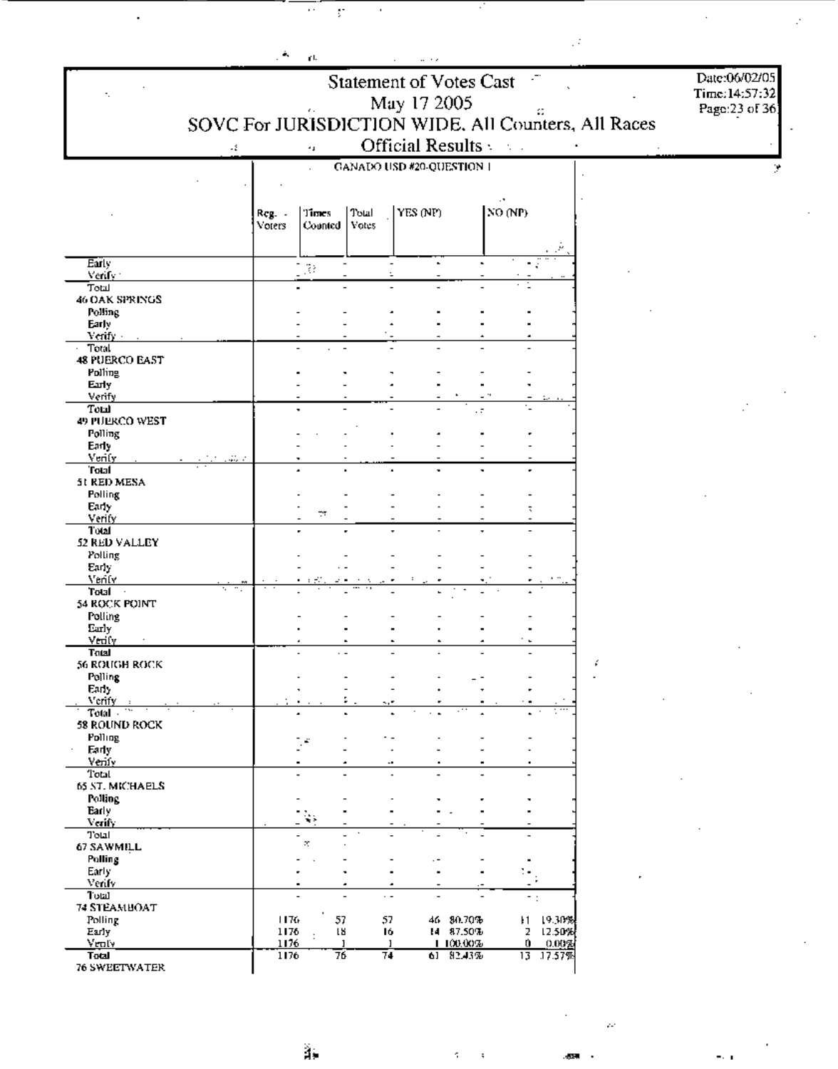|                               |    | ۰              | ŗt.      |              | $\cdots$                       |                       |         |                 |                                                     |                                 |
|-------------------------------|----|----------------|----------|--------------|--------------------------------|-----------------------|---------|-----------------|-----------------------------------------------------|---------------------------------|
|                               |    |                |          |              | <b>Statement of Votes Cast</b> |                       |         |                 |                                                     | Date:06/02/05<br>Time: 14:57:32 |
| ۰.                            |    |                | ċ.       |              | May 17 2005                    |                       |         |                 |                                                     | Page: 23 of 36]                 |
|                               |    |                |          |              |                                |                       |         |                 | SOVC For JURISDICTION WIDE. All Counters, All Races |                                 |
|                               | -1 |                | ٠,       |              | Official Results               |                       |         |                 |                                                     |                                 |
|                               |    |                |          |              | GANADO USD #20-QUESTION        |                       |         |                 |                                                     |                                 |
|                               |    |                |          |              |                                |                       |         |                 |                                                     |                                 |
|                               |    | Reg. -         | Times    | Total        | YES (NP)                       |                       | NO (NP) |                 |                                                     |                                 |
|                               |    | Voters         | Counted  | <b>Votes</b> |                                |                       |         |                 |                                                     |                                 |
|                               |    |                |          |              |                                |                       |         |                 |                                                     |                                 |
| Early<br>Verify:              |    |                | 138      |              |                                |                       |         |                 |                                                     |                                 |
| Total<br>46 OAK SPRINGS       |    |                |          |              |                                |                       |         |                 |                                                     |                                 |
| Polling.                      |    |                |          |              |                                |                       |         |                 |                                                     |                                 |
| Early<br>Venty -              |    |                |          |              |                                |                       |         |                 |                                                     |                                 |
| Total<br>48 PUERCO EAST       |    |                |          |              |                                |                       |         |                 |                                                     |                                 |
| <b>Polling</b>                |    |                |          |              |                                |                       |         |                 |                                                     |                                 |
| Early<br>Verify               |    |                |          |              |                                |                       |         |                 |                                                     |                                 |
| Total<br>49 PUERCO WEST       |    |                |          |              |                                |                       |         |                 |                                                     |                                 |
| Polling                       |    |                |          |              |                                |                       |         |                 |                                                     |                                 |
| Early<br>Verify               |    |                |          |              |                                |                       |         |                 |                                                     |                                 |
| 'Folaf<br>51 RED MESA         |    |                |          |              |                                |                       |         |                 |                                                     |                                 |
| Polling                       |    |                |          |              |                                |                       |         |                 |                                                     |                                 |
| Early<br>Verify               |    |                | v        |              |                                |                       |         |                 |                                                     |                                 |
| Total<br>52 RED VALLEY        |    |                |          |              |                                |                       |         |                 |                                                     |                                 |
| Polling                       |    |                |          |              |                                |                       |         |                 |                                                     |                                 |
| Early<br>Venty                |    |                |          |              |                                |                       |         |                 |                                                     |                                 |
| Total<br>$\cdot$              |    |                |          |              |                                |                       |         |                 |                                                     |                                 |
| 54 ROCK POINT<br>Polling      |    |                |          |              |                                |                       |         |                 |                                                     |                                 |
| Early<br>Venfy                |    |                |          |              |                                |                       |         |                 |                                                     |                                 |
| Total<br>56 ROUGH ROCK        |    |                |          |              |                                |                       |         |                 |                                                     |                                 |
| Polling                       |    |                |          |              |                                |                       |         |                 |                                                     |                                 |
| Early<br>Verify               |    | $\blacksquare$ |          |              |                                |                       |         |                 |                                                     |                                 |
| Total -<br>58 ROUND ROCK      |    |                |          |              |                                |                       |         |                 |                                                     |                                 |
| Polling                       |    |                | ÷        |              |                                |                       |         |                 |                                                     |                                 |
| Early<br>Verify               |    |                |          |              | ٠.                             |                       |         |                 |                                                     |                                 |
| Total<br>65 ST. MICHAELS      |    |                |          |              |                                |                       |         |                 |                                                     |                                 |
| <b>Polling</b>                |    |                |          |              |                                |                       |         |                 |                                                     |                                 |
| <b>Early</b><br>Verify        |    |                | ç,       |              |                                |                       |         |                 |                                                     |                                 |
| Total                         |    |                | ×        |              |                                |                       |         |                 |                                                     |                                 |
| 67 SAWMILL<br>Polling         |    |                |          |              |                                |                       |         |                 |                                                     |                                 |
| Early<br>Verify               |    |                |          |              |                                |                       |         |                 |                                                     |                                 |
| Total                         |    |                |          |              | $\cdot$ $\sim$                 |                       |         | $-$ :           |                                                     |                                 |
| 74 STEAMBOAT<br>Polling       |    | 1176           | 57       |              | 57.                            | 46 80.70%             |         | 11 19.30%       |                                                     |                                 |
| Early<br>Venty                |    | 1176<br>1176   | នេ<br>-1 |              | 16.<br>-1                      | 14 87.50%<br>1100.00% | 2<br>0. | 12.50%<br>0.00% |                                                     |                                 |
| Total<br><b>76 SWEETWATER</b> |    | 1176           | 76       |              | 74                             | 61 82.43%             |         | 13 17.57%       |                                                     |                                 |
|                               |    |                |          |              |                                |                       |         |                 |                                                     |                                 |

ă.

 $\overline{\mathbb{R}}$ 

Ŧ

J.

À,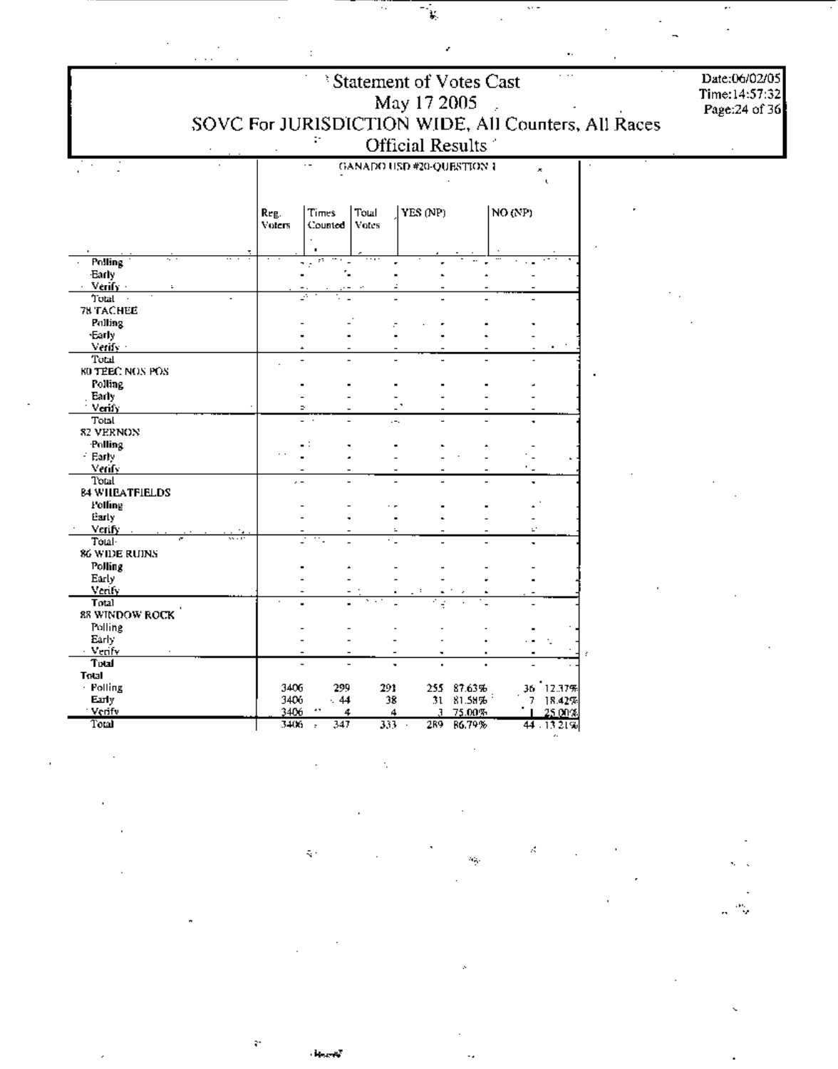| <sup>3</sup> Statement of Votes Cast<br>May 17 2005<br>SOVC For JURISDICTION WIDE, All Counters, All Races<br>Official Results |                       |                    |                |                           |                          |         |                    |  |  |
|--------------------------------------------------------------------------------------------------------------------------------|-----------------------|--------------------|----------------|---------------------------|--------------------------|---------|--------------------|--|--|
| $\overline{a}$                                                                                                                 |                       |                    |                | GANADO USD #20-QUESTION 1 |                          |         | ×                  |  |  |
|                                                                                                                                |                       |                    |                |                           |                          |         |                    |  |  |
|                                                                                                                                | Reg.<br><b>VOICES</b> | Times<br>Counted   | Total<br>Votes | YES (NP)                  |                          | NO (NP) |                    |  |  |
|                                                                                                                                |                       |                    |                |                           |                          |         |                    |  |  |
| <b>Polling</b><br>Early                                                                                                        |                       |                    |                |                           |                          |         |                    |  |  |
| Verify -                                                                                                                       |                       |                    |                |                           |                          |         |                    |  |  |
| Total<br>78 TACHEE                                                                                                             |                       |                    |                |                           |                          |         |                    |  |  |
| Pulling                                                                                                                        |                       |                    |                |                           |                          |         |                    |  |  |
| ·Early                                                                                                                         |                       |                    |                |                           |                          |         |                    |  |  |
| Verify :<br>Total                                                                                                              |                       |                    |                |                           |                          |         |                    |  |  |
| K0 TEEC NOS POS                                                                                                                |                       |                    |                |                           |                          |         |                    |  |  |
| Polling.<br>Early                                                                                                              |                       |                    |                |                           |                          |         |                    |  |  |
| Verify                                                                                                                         |                       |                    |                |                           |                          |         |                    |  |  |
| Total<br>82 VERNON                                                                                                             |                       |                    |                | $\overline{a}$            |                          |         |                    |  |  |
| Polling                                                                                                                        |                       |                    |                |                           |                          |         |                    |  |  |
| - Early                                                                                                                        |                       |                    |                |                           |                          |         |                    |  |  |
| Venfy.<br>Total                                                                                                                |                       |                    |                |                           |                          |         |                    |  |  |
| <b>84 WILBATFIELDS</b>                                                                                                         |                       |                    |                |                           |                          |         |                    |  |  |
| Folling<br>Early                                                                                                               |                       |                    |                |                           |                          |         |                    |  |  |
| Verify                                                                                                                         |                       |                    |                |                           |                          | r.      |                    |  |  |
| Total-<br>86 WIDE RUINS                                                                                                        |                       |                    |                |                           |                          |         |                    |  |  |
| Polling                                                                                                                        |                       |                    |                |                           |                          |         |                    |  |  |
| Early<br>Venty                                                                                                                 |                       |                    |                |                           |                          |         |                    |  |  |
| Total                                                                                                                          |                       |                    |                |                           |                          |         |                    |  |  |
| 88 WINDOW ROCK                                                                                                                 |                       |                    |                |                           |                          |         |                    |  |  |
| Polling<br>Early                                                                                                               |                       |                    |                |                           |                          | . .     | ٠.                 |  |  |
| - Venfy                                                                                                                        |                       |                    |                |                           |                          |         |                    |  |  |
| Total<br>Total                                                                                                                 |                       |                    |                |                           |                          |         |                    |  |  |
| · Polling                                                                                                                      | 3406                  | 299                | 291            |                           | 255 87.63%               |         | 36 12.37%          |  |  |
| Early<br>Verify                                                                                                                | 3406<br>3406          | $\cdot$ 44<br>- 49 | 38<br>4        | 4<br>Я                    | $31 - 81.58\%$<br>75.00% |         | 7 18.42%<br>25.00% |  |  |
| Total                                                                                                                          | $3406 - 7$            | 347                |                | $333 -$                   | 289 86.79%               |         | 44 - 13 21%        |  |  |

 $\mathcal{E}^{\mathcal{E}}$  and  $\mathcal{E}^{\mathcal{E}}$  are the contract of  $\mathcal{E}^{\mathcal{E}}$  and  $\mathcal{E}^{\mathcal{E}}$  are the contract of  $\mathcal{E}^{\mathcal{E}}$ 

 $\label{eq:2.1} \frac{1}{\sqrt{2}}\left(\frac{1}{\sqrt{2}}\right)^{2} \frac{1}{\sqrt{2}}\left(\frac{1}{\sqrt{2}}\right)^{2} \frac{1}{\sqrt{2}}\left(\frac{1}{\sqrt{2}}\right)^{2} \frac{1}{\sqrt{2}}\left(\frac{1}{\sqrt{2}}\right)^{2} \frac{1}{\sqrt{2}}\left(\frac{1}{\sqrt{2}}\right)^{2} \frac{1}{\sqrt{2}}\left(\frac{1}{\sqrt{2}}\right)^{2} \frac{1}{\sqrt{2}}\left(\frac{1}{\sqrt{2}}\right)^{2} \frac{1}{\sqrt{2}}\left(\frac{$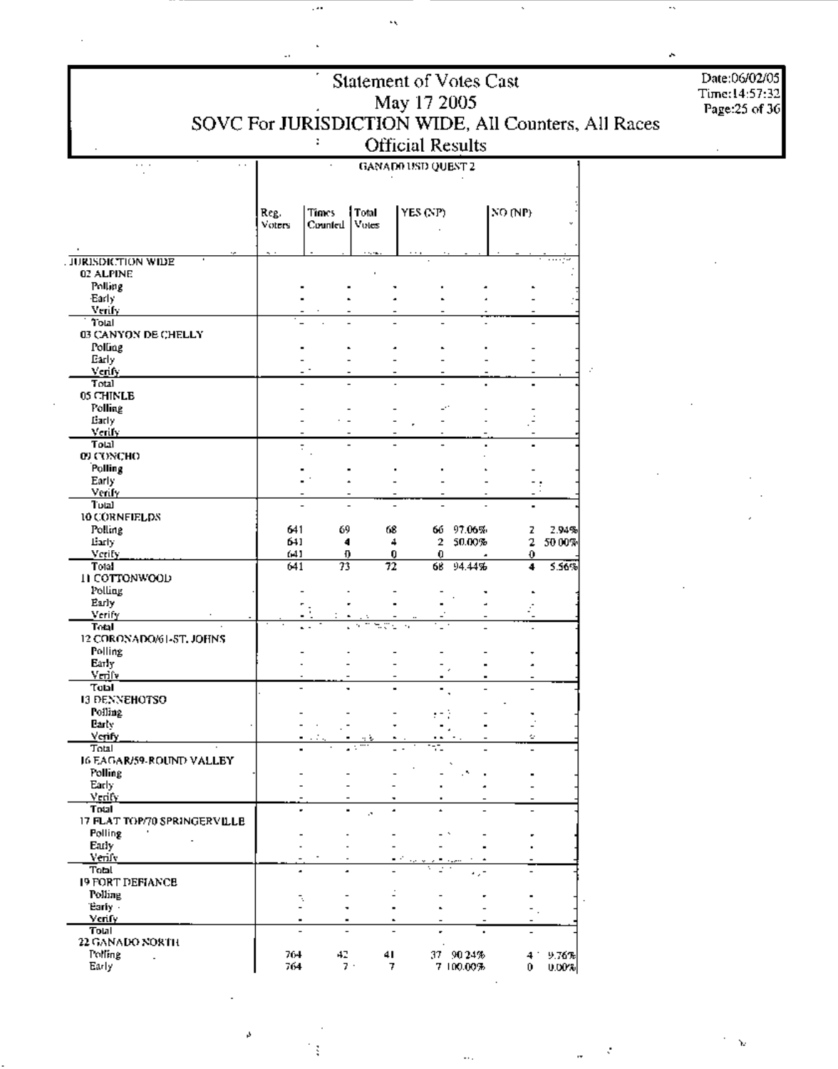| Statement of Votes Cast<br>May 17 2005<br>SOVC For JURISDICTION WIDE, All Counters, All Races<br><b>Official Results</b><br>GANADO USD QUEST 2<br>. |                          |                          |                                  |              |           |                              |        |  |  |
|-----------------------------------------------------------------------------------------------------------------------------------------------------|--------------------------|--------------------------|----------------------------------|--------------|-----------|------------------------------|--------|--|--|
|                                                                                                                                                     | Reg.<br>Voters           | Times<br>Counted Votes   | Total                            | YES (NP)     |           | $\ket{\text{NO}(\text{NP})}$ |        |  |  |
|                                                                                                                                                     |                          |                          |                                  |              |           |                              |        |  |  |
| <b>JURISDICTION WIDE</b><br>02 ALPINE                                                                                                               |                          |                          |                                  |              |           |                              |        |  |  |
| Polling                                                                                                                                             |                          |                          |                                  |              |           |                              |        |  |  |
| Early<br>Verify                                                                                                                                     |                          |                          |                                  |              |           |                              |        |  |  |
| Total                                                                                                                                               |                          |                          |                                  |              |           |                              |        |  |  |
| 03 CANYON DE CHELLY<br>Polling                                                                                                                      |                          |                          |                                  |              |           |                              |        |  |  |
| Early                                                                                                                                               |                          |                          |                                  |              |           |                              |        |  |  |
| Yerify,<br>Total                                                                                                                                    |                          |                          |                                  |              |           |                              |        |  |  |
| 05 CHINLE                                                                                                                                           |                          |                          |                                  |              |           |                              |        |  |  |
| Polling<br>Early                                                                                                                                    |                          |                          |                                  |              |           |                              |        |  |  |
| Verify.                                                                                                                                             |                          |                          |                                  |              |           |                              |        |  |  |
| Total<br>09 CONCHO                                                                                                                                  | ÷                        | $\overline{\phantom{a}}$ |                                  |              |           |                              |        |  |  |
| Polling                                                                                                                                             |                          |                          |                                  |              |           |                              |        |  |  |
| Early<br><b>Verify</b>                                                                                                                              |                          |                          |                                  |              |           |                              |        |  |  |
| Tutal                                                                                                                                               |                          |                          |                                  |              |           |                              |        |  |  |
| 10 CORNEIELDS<br>Polling                                                                                                                            | 641                      | 69                       | 68                               | 66.          | 97.06%    | z                            | 2.94%  |  |  |
| Early                                                                                                                                               | 641<br>(41)              | 4                        | 4                                | $\mathbf{2}$ | 50.00%    | 2                            | 50 00% |  |  |
| Verify<br>Total                                                                                                                                     | 641                      | Ð<br>73                  | 0<br>$\overline{\boldsymbol{n}}$ | 0<br>68      | 94.44%    | $\theta$<br>4                | 5.56%  |  |  |
| II COTTONWOOD<br>Polling                                                                                                                            |                          |                          |                                  |              |           |                              |        |  |  |
| Early                                                                                                                                               |                          |                          |                                  |              |           |                              |        |  |  |
| Verify<br>Total                                                                                                                                     |                          |                          | <b>ACL</b><br>÷,                 | п.           |           |                              |        |  |  |
| 12 CORONADO/61-ST, JOHNS                                                                                                                            |                          |                          |                                  |              |           |                              |        |  |  |
| Polling<br>Early                                                                                                                                    |                          |                          |                                  |              |           |                              |        |  |  |
| Verify                                                                                                                                              |                          |                          |                                  |              |           |                              |        |  |  |
| Total<br>13 DENNEHOTSO                                                                                                                              | $\overline{\phantom{a}}$ |                          |                                  |              |           |                              |        |  |  |
| Polling                                                                                                                                             |                          |                          |                                  |              |           |                              |        |  |  |
| <b>Barly</b><br>$X$ erify,                                                                                                                          |                          |                          |                                  |              |           | ċ,                           |        |  |  |
| Total                                                                                                                                               |                          |                          |                                  | ÷.           |           |                              |        |  |  |
| 16 EAGAR/59-ROUND VALLEY<br>Polling                                                                                                                 |                          |                          |                                  |              |           |                              |        |  |  |
| Early<br>Venfy.                                                                                                                                     |                          |                          |                                  |              |           |                              |        |  |  |
| Treat                                                                                                                                               |                          |                          | ٠<br>А,                          |              |           | $\overline{\phantom{0}}$     |        |  |  |
| 17 FLAT TOP/70 SPRINGERVILLE<br>Polling                                                                                                             |                          |                          |                                  |              |           |                              |        |  |  |
| Early                                                                                                                                               |                          |                          |                                  |              |           |                              |        |  |  |
| Venfy<br>Total                                                                                                                                      | ٠                        |                          |                                  |              |           |                              |        |  |  |
| 19 FORT DEFIANCE                                                                                                                                    |                          |                          |                                  |              | аўн       |                              |        |  |  |
| Polling.<br>'Early                                                                                                                                  | t,                       | $\blacksquare$           |                                  |              |           |                              |        |  |  |
| Verify                                                                                                                                              | $\blacksquare$           | ٠                        | $\blacksquare$                   |              |           |                              |        |  |  |
| Total<br>22 GANADO NORTH                                                                                                                            | $\overline{\phantom{0}}$ | $\overline{\phantom{a}}$ | $\overline{\phantom{a}}$         |              | ٠         |                              |        |  |  |
| Tolling<br>L.                                                                                                                                       | 764                      | 42                       | 41                               |              | 37 90 24% | $4^{\circ}$                  | 9.76%  |  |  |
| Early                                                                                                                                               | 764                      | 7.1                      | 7                                |              | 7 100.00% | 0                            | 0.00%  |  |  |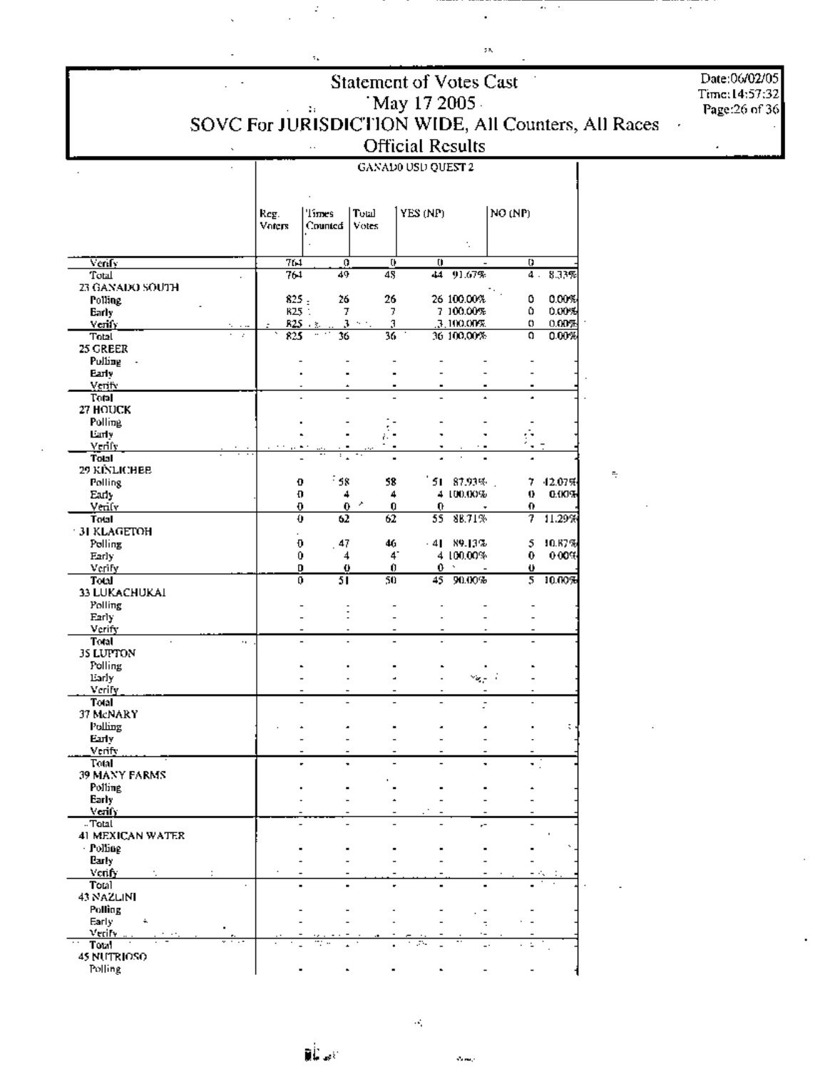| <b>Statement of Votes Cast</b><br>'May 17 2005 - |                  |                  |                         |                             |                                                     |   |               |  |  |  |
|--------------------------------------------------|------------------|------------------|-------------------------|-----------------------------|-----------------------------------------------------|---|---------------|--|--|--|
|                                                  | Η.               |                  |                         |                             | SOVC For JURISDICTION WIDE, All Counters, All Races |   | Page:26 of 36 |  |  |  |
|                                                  |                  |                  | <b>Official Results</b> |                             |                                                     |   |               |  |  |  |
|                                                  |                  |                  | GANADO USD QUEST 2      |                             |                                                     |   |               |  |  |  |
|                                                  |                  |                  |                         |                             |                                                     |   |               |  |  |  |
|                                                  |                  |                  |                         |                             |                                                     |   |               |  |  |  |
|                                                  | 'l'imes<br>Reg.  | Total            | YES (NP)                |                             | NO(NP)                                              |   |               |  |  |  |
|                                                  | Voters           | Counted<br>Votes |                         |                             |                                                     |   |               |  |  |  |
| Verify                                           | 764              |                  | U.<br>o                 |                             | o                                                   |   |               |  |  |  |
| Total                                            | 764              | 0<br>49.         | 48                      | 44 91.67%                   | 4.8.33%                                             |   |               |  |  |  |
| 23 GANADO SOUTH                                  |                  |                  |                         |                             |                                                     |   |               |  |  |  |
| <b>Polling</b><br>Early                          | 825.<br>$R25$ :  | 26<br>T.         | 26<br>7                 | 26 100.00%<br>7 100.00%     | 0.00%<br>٥<br>0.00%<br>۵                            |   |               |  |  |  |
| Verify<br>r in                                   | $R25 - 8$        | 3 - 1            | 3                       | 3,100,00%                   | o<br>0.00%                                          |   |               |  |  |  |
| Total<br>25 GREER                                | $\overline{825}$ | 36               | 36                      | 36-100,00%                  | u<br>0.00%                                          |   |               |  |  |  |
| Pulling                                          |                  |                  |                         |                             |                                                     |   |               |  |  |  |
| Early<br><u>Venih</u>                            |                  |                  |                         |                             |                                                     |   |               |  |  |  |
| Total                                            |                  |                  |                         |                             |                                                     |   |               |  |  |  |
| 27 HOUCK<br>Polling                              |                  |                  |                         |                             |                                                     |   |               |  |  |  |
| Larly                                            |                  |                  |                         |                             |                                                     |   |               |  |  |  |
| <b>Yenfy</b><br>Total                            |                  |                  |                         |                             |                                                     |   |               |  |  |  |
| 29 KINLICHEE                                     |                  |                  |                         |                             |                                                     | ÷ |               |  |  |  |
| <b>Polling</b><br>Early                          | o<br>Ð           | $-58$<br>4       | 58<br>4                 | 51 87.93%<br>4 100.00%      | 7 42.07%<br>0.00%<br>0                              |   |               |  |  |  |
| Venfy                                            | 0                | $0$ $\prime$     | 0<br>0                  |                             | 0.                                                  |   |               |  |  |  |
| Taal                                             | 0                | 62               | 62.                     | 55 88.71%                   | $7 - 11.29%$                                        |   |               |  |  |  |
| <b>31 KLAGETOH</b><br>Polling                    | Ð                | 47               | 46                      | $-41$ 89.13%                | 5 10.87%                                            |   |               |  |  |  |
| Early                                            | 0                | 4                | 41                      | 4 100,00%                   | $\mathbf{0}$<br>0.00%                               |   |               |  |  |  |
| Verify<br>Total                                  | D<br>0           | 0<br>51          | 0<br>50                 | $\mathbf{0}$ .<br>45 90.00% | υ.<br>$5 - 10.00%$                                  |   |               |  |  |  |
| 33 LUKACHUKAI                                    |                  |                  |                         |                             |                                                     |   |               |  |  |  |
| Polling<br>Early                                 |                  |                  |                         |                             |                                                     |   |               |  |  |  |
| Verify                                           |                  |                  |                         |                             |                                                     |   |               |  |  |  |
| Total<br><b>35 LUPTON</b>                        | $\cdot$ .        |                  |                         |                             |                                                     |   |               |  |  |  |
| Polling                                          |                  |                  |                         |                             |                                                     |   |               |  |  |  |
| Early<br>Verify                                  |                  |                  |                         |                             |                                                     |   |               |  |  |  |
| Total                                            |                  |                  |                         |                             |                                                     |   |               |  |  |  |
| 37 McNARY<br>Polling                             |                  |                  |                         |                             |                                                     |   |               |  |  |  |
| Early                                            |                  |                  |                         |                             |                                                     |   |               |  |  |  |
| Verify<br>Total                                  |                  |                  |                         |                             | ۰.                                                  |   |               |  |  |  |
| 39 MANY FARMS                                    |                  |                  |                         |                             |                                                     |   |               |  |  |  |
| Polling.<br>Early                                |                  |                  |                         |                             |                                                     |   |               |  |  |  |
| Verify                                           |                  |                  |                         |                             |                                                     |   |               |  |  |  |
| Total                                            |                  |                  |                         | .-                          |                                                     |   |               |  |  |  |
| 41 MEXICAN WATER<br>- Polling                    |                  |                  |                         |                             |                                                     |   |               |  |  |  |
| <b>Barly</b>                                     |                  |                  |                         |                             |                                                     |   |               |  |  |  |
| Verify.<br>Total                                 |                  |                  |                         |                             |                                                     |   |               |  |  |  |
| 43 NAZLINI                                       |                  |                  |                         |                             |                                                     |   |               |  |  |  |
| Polling<br>Early<br>÷                            |                  |                  |                         |                             |                                                     |   |               |  |  |  |
| Verify                                           |                  |                  |                         |                             |                                                     |   |               |  |  |  |
| Total<br>45 NUTRIOSO                             |                  |                  |                         |                             | $\sim$                                              |   |               |  |  |  |
| Polling                                          |                  |                  |                         |                             |                                                     |   |               |  |  |  |

 $\mathbb{Z}$  $\bar{ }$ 

 $\bar{z}_k$ 

 $\ddot{\phantom{a}}$ 

 $\frac{1}{2}$ 

 $\frac{1}{2}$ 

 $\overline{\phantom{a}}$ 

şx,

 $\mathscr{A}_i$ 

j.,

 $\Delta \Delta \Delta \phi$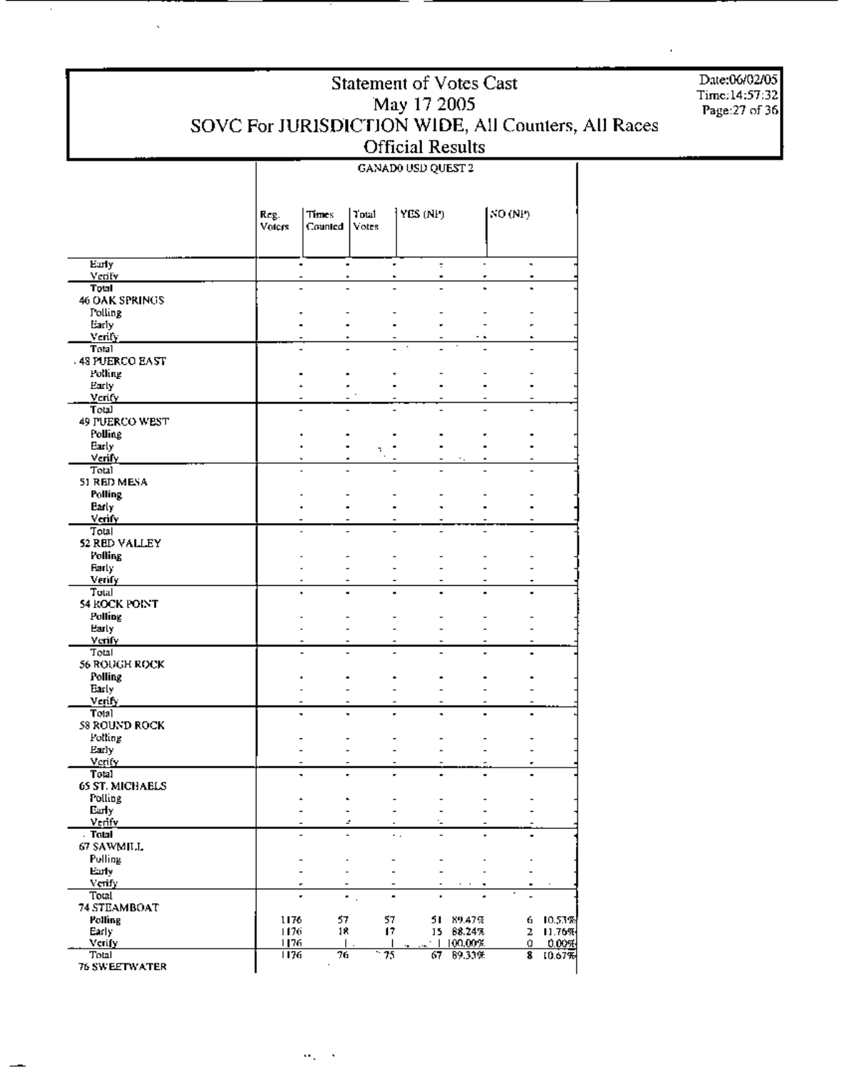### **GANADO USD QUEST 2**

|                                   | Reg.<br>Voiers | <b>Times</b><br>Counted          | Total<br>Votes       | YES (NP)           | NO (NP)             |                                  |                  |
|-----------------------------------|----------------|----------------------------------|----------------------|--------------------|---------------------|----------------------------------|------------------|
| Early                             |                | $\blacksquare$                   |                      | $\overline{\cdot}$ |                     | ۰                                |                  |
| Verify<br>Total                   |                | $\hat{\mathbf{r}}$               | $\blacksquare$       |                    |                     | ٠<br>$\blacksquare$              |                  |
| 46 OAK SPRINGS                    |                |                                  |                      |                    |                     |                                  |                  |
| <b>Polling</b>                    |                |                                  |                      |                    |                     |                                  |                  |
| Early                             |                |                                  |                      |                    |                     |                                  |                  |
| Venty                             |                |                                  |                      |                    |                     |                                  |                  |
| Total                             |                |                                  |                      |                    |                     |                                  |                  |
| - 48 PUERCO EAST<br>Polling       |                |                                  |                      |                    |                     |                                  |                  |
| Early                             |                |                                  |                      |                    |                     |                                  |                  |
| Verify                            |                |                                  |                      |                    |                     |                                  |                  |
| Total                             |                |                                  |                      |                    |                     |                                  |                  |
| 49 PUERCO WEST                    |                |                                  |                      |                    |                     |                                  |                  |
| I olling<br>Early                 |                |                                  |                      |                    |                     |                                  |                  |
| venly                             |                | ٠                                |                      |                    |                     |                                  |                  |
| Total                             |                |                                  |                      |                    |                     |                                  |                  |
| 51 RED MESA                       |                |                                  |                      |                    |                     |                                  |                  |
| <b>Polling</b>                    |                |                                  |                      |                    |                     |                                  |                  |
| <b>Barly</b><br>Verify            |                |                                  |                      |                    |                     |                                  |                  |
| Total                             |                | L.                               | $\overline{a}$       |                    |                     | $\overline{a}$                   |                  |
| 52 RED VALLEY                     |                |                                  |                      |                    |                     |                                  |                  |
| <b>Polling</b>                    |                |                                  |                      |                    |                     |                                  |                  |
| Farty                             |                |                                  |                      |                    |                     |                                  |                  |
| Verify<br>Total                   |                |                                  |                      |                    |                     | ۰                                |                  |
| 54 ROCK POINT                     |                |                                  |                      |                    |                     |                                  |                  |
| Polling                           |                |                                  |                      |                    |                     |                                  |                  |
| <b>Early</b>                      |                |                                  |                      |                    |                     |                                  |                  |
| Verify                            |                |                                  |                      |                    |                     |                                  |                  |
| Total<br>56 ROUGH ROCK            |                |                                  |                      |                    |                     |                                  |                  |
| Polling                           |                |                                  |                      |                    |                     |                                  |                  |
| Early                             |                |                                  |                      |                    |                     |                                  |                  |
| Verify.                           |                |                                  |                      |                    |                     |                                  |                  |
| Total                             |                | ÷<br>$\blacksquare$              | ÷                    | ÷                  |                     | $\blacksquare$<br>$\blacksquare$ |                  |
| 58 ROUND ROCK<br>Polling          |                |                                  |                      |                    |                     |                                  |                  |
| Early                             |                |                                  |                      |                    |                     |                                  |                  |
| Verify.                           |                |                                  |                      |                    |                     |                                  |                  |
| Total                             |                |                                  |                      |                    |                     |                                  |                  |
| <b>65 ST. MICHAELS</b><br>Polling |                |                                  |                      |                    |                     |                                  |                  |
| Early                             |                | $\blacksquare$<br>L,             |                      |                    |                     |                                  |                  |
| Venfy                             |                | $\overline{\phantom{0}}$         | z,<br>$\blacksquare$ | ٠.                 |                     |                                  |                  |
| . Talal                           |                | $\overline{a}$<br>$\overline{a}$ |                      | ٠.                 |                     |                                  |                  |
| 67 SAWMILL                        |                |                                  |                      |                    |                     |                                  |                  |
| Polling<br>Early                  |                |                                  |                      |                    |                     |                                  |                  |
| verify                            |                |                                  |                      |                    |                     |                                  |                  |
| Toul                              |                | ٠                                | $\ddot{\phantom{a}}$ |                    |                     |                                  |                  |
| 74 STEAMBOAT                      |                |                                  |                      |                    |                     |                                  |                  |
| Polling<br>Early                  | 1176<br>1176   | 57<br>18                         | 57<br>17             | 51.                | 89.47%<br>15 88.24% | 6<br>z                           | 10.53%<br>11.76% |
| Verify                            | 1176           | $\mathsf{I}$                     | T                    | $\cdot$ 1          | 100,00%             | 0                                | 0.00%            |
| Total                             | 1176           | 76                               | 75                   | 67                 | 89.33保              | 8                                | 10.67%           |
| <b>76 SWEETWATER</b>              |                |                                  |                      |                    |                     |                                  |                  |

 $\Omega_{\rm{max}}$  $\mathcal{A}$ 

 $\cdot$ 

Date:06/02/05 Time:14:57:32 Page: 27 of 36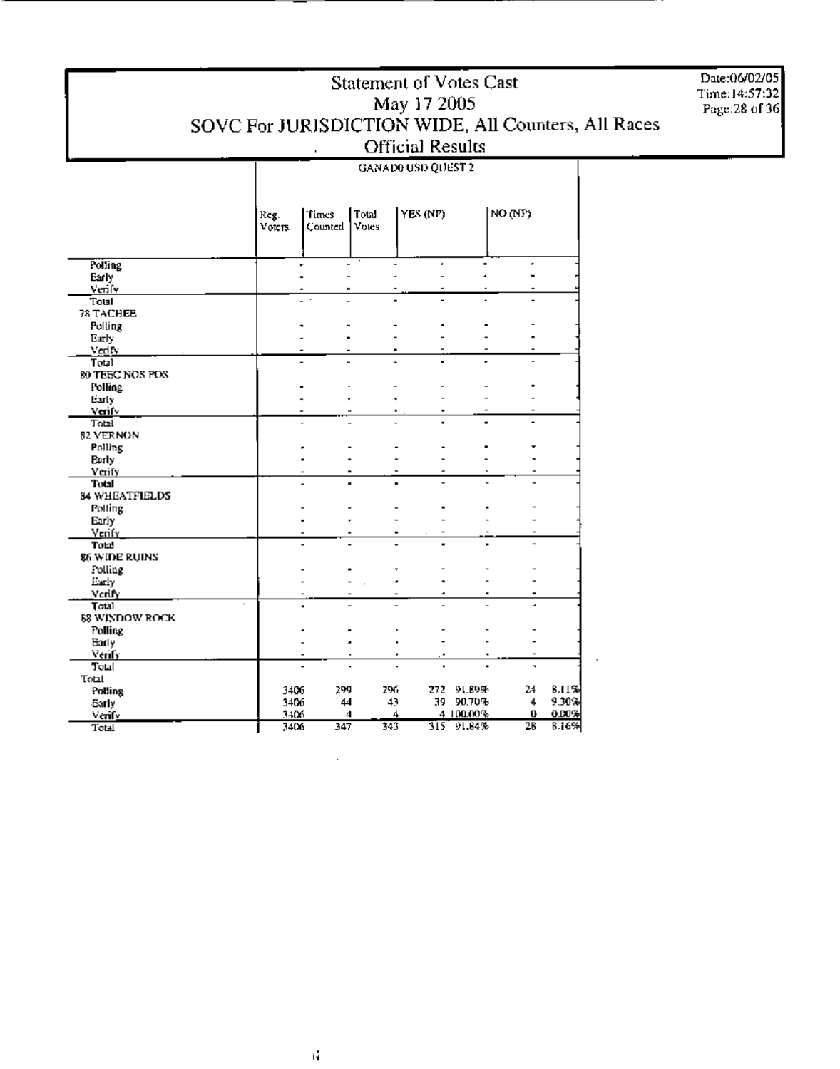Date:06/02/05 Time: 14:57:32<br>Page: 28 of 36

### GANADO USD QUEST 2

|                        | Reg.<br>Voters | Times<br>Counted 1 | Total<br>Votes | YES (NP)   |           | NO (NP)        |       |
|------------------------|----------------|--------------------|----------------|------------|-----------|----------------|-------|
| <b>Folling</b>         |                |                    |                | ٠          |           | ٠              |       |
| Early                  |                |                    |                |            |           |                |       |
| Verify                 |                |                    |                |            |           |                |       |
| Total                  |                |                    |                |            |           |                |       |
| 78 TACHEE              |                |                    |                |            |           |                |       |
| Polling                |                |                    |                |            |           |                |       |
| Early                  |                |                    |                |            |           |                |       |
| Venty                  |                |                    |                |            |           |                |       |
| Total                  |                |                    |                |            |           |                |       |
| <b>BO TEEC NOS POS</b> |                |                    |                |            |           |                |       |
| Polling                |                |                    |                |            |           |                |       |
| Early                  |                |                    |                |            |           |                |       |
| Venfy<br>Total         |                |                    |                |            |           |                |       |
| 82 VERNON              |                |                    |                |            |           |                |       |
| Polling                |                |                    |                |            |           |                |       |
| Barly                  |                |                    |                |            |           |                |       |
| Verify                 |                |                    |                |            |           |                |       |
| Total                  |                |                    | $\blacksquare$ |            |           |                |       |
| 84 WHEATFIELDS         |                |                    |                |            |           |                |       |
| Polling                |                |                    |                |            |           |                |       |
| Early                  |                |                    |                |            |           |                |       |
| <b>Verify</b>          |                |                    |                |            |           |                |       |
| Total                  |                |                    |                |            |           |                |       |
| <b>86 WIDE RUINS</b>   |                |                    |                |            |           |                |       |
| Polling                |                |                    |                |            |           |                |       |
| Early                  |                |                    |                |            |           |                |       |
| Verify.                |                |                    |                |            | ٠         | $\blacksquare$ |       |
| Total                  |                |                    |                |            |           |                |       |
| <b>88 WINDOW ROCK</b>  |                |                    |                |            |           |                |       |
| <b>Polling</b>         |                |                    |                |            |           |                |       |
| Early                  |                |                    |                |            |           |                |       |
| Verify                 |                |                    |                |            |           |                |       |
| Total                  |                | $\overline{a}$     | ÷,             |            |           |                |       |
| Total                  |                |                    |                |            |           |                |       |
| Polling                | 3406           | 299                |                | 272<br>296 | 91.89%    | 24             | 8.11% |
| Early                  | 3406           | 44                 |                | 43<br>39.  | 90.70%    | 4              | 9.30% |
| Verify                 | 1406           |                    | 4              | 4          | 4 100,00% | 0              | 0.00% |
| Total                  | 1406           | 347                |                | 343<br>315 | 91.84%    | 28             | 8.16% |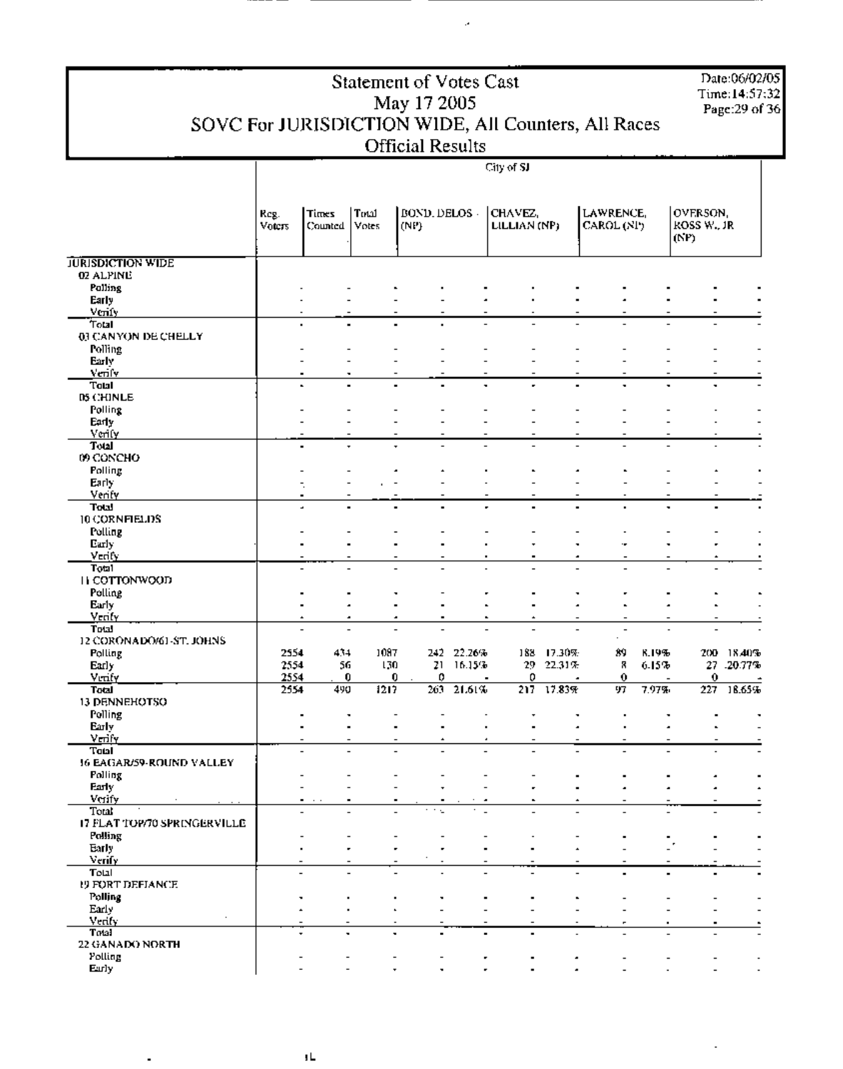$\boldsymbol{\beta}$ 

Date:06/02/05 Time: 14:57:32<br>Page: 29 of 36

| BOND, DELOS -<br>LAWRENCE,<br>OVERSON,<br>Tmal<br>CHAVEZ,<br>Times<br>Reg.<br>CAROL (NP)<br>ROSS W., JR<br>Voters<br>Counted<br>Votes<br>(NP)<br>LILLIAN (NP)<br>(NP)<br>02 ALPINE<br>Polling<br>Early<br>Verify<br>$\blacksquare$<br>$\overline{\phantom{0}}$<br>$\blacksquare$<br>$\qquad \qquad \blacksquare$<br>Total<br>03 CANYON DE CHELLY<br>Polling<br>Early<br>venly<br>٠<br>٠<br>Total<br>$\overline{a}$<br>$\blacksquare$<br>$\blacksquare$<br>٠<br>D5 CHINLE<br>Polling<br>Early<br>$\overline{\phantom{0}}$<br>Verify<br>Total<br>$\overline{\phantom{0}}$<br>$\overline{a}$<br>L,<br>$\overline{\phantom{a}}$<br>$\overline{a}$<br>$\overline{\phantom{0}}$<br>۰<br>٠<br>٠<br>09 CONCHO<br>Polling<br>Early<br>÷.<br>Venty<br>$\overline{\phantom{a}}$<br>$\overline{\phantom{a}}$<br>$\overline{\phantom{0}}$<br>$\overline{\phantom{a}}$<br>$\overline{\phantom{a}}$<br>$\overline{\phantom{a}}$<br>٠<br>٠<br>Total<br>$\blacksquare$<br>$\blacksquare$<br>÷<br>$\blacksquare$<br>$\blacksquare$<br>$\blacksquare$<br>$\overline{a}$<br>$\blacksquare$<br>10 CORNFIELDS<br>Polling<br>Early<br>۰<br>٠<br>٠.<br>Verify<br>٠<br>$\hat{\textbf{z}}$<br>٠<br>٠<br>$\overline{a}$<br>Total<br><b>II COTTONWOOD</b><br>Polling<br>$\overline{a}$<br>٠<br>٠<br>Early<br>$\blacksquare$<br>Venty<br>$\hat{\mathbf{r}}$<br>۰<br>٠<br>$\blacksquare$<br>$\hat{\phantom{a}}$<br>٠<br>Total<br>12 CORONADO/61-ST. JOHNS<br>434<br>1087<br>Polling<br>2554<br>242 22.26%<br>188 17.30%<br>89<br>K.19%<br>200 18.40%<br>2554<br>130<br>16.15%<br>29.<br>22.31%<br>R<br>27 .20.77%<br>Early<br>56<br>21<br>6.15%<br>Venty<br>2554<br>0<br>0<br>0<br>0<br>0<br>0<br>٠<br>$\overline{\phantom{a}}$<br>$\blacksquare$<br>26.1<br>21.61%<br>217 17.83%<br>18.65%<br>2554<br>490<br>1217<br>7.97%<br>227<br>Total<br>97<br>13 DENNEHOTSO<br>Polling<br>٠<br>Early<br>$\blacksquare$<br>$\blacksquare$<br>$\blacksquare$<br>٠<br>٠<br>$\blacksquare$<br>$\overline{a}$<br>Venfy<br>٠<br>$\overline{\phantom{a}}$<br>Total<br>$\overline{a}$<br>16 EAGAR/59-ROUND VALLEY<br>Polling<br>$\overline{\phantom{a}}$<br>$\overline{\phantom{a}}$<br>-<br>$\overline{\phantom{a}}$<br>$\overline{\phantom{a}}$<br>$\overline{\phantom{a}}$<br>٠<br>٠<br>٠<br>٠<br>Early<br>$\overline{a}$<br>٠<br>۰<br>Verify<br>Total<br>17 FLAT TOP/70 SPRINGERVILLE<br>Polling<br>Early<br>Verify<br>Total<br>19 FORT DEFIANCE<br>Polling<br>Early<br>Venty<br>٠<br>۰<br>Total<br>$\overline{\phantom{0}}$<br>$\overline{\phantom{a}}$<br>$\blacksquare$<br>$\blacksquare$<br>$\overline{\phantom{a}}$<br>$\overline{\phantom{a}}$<br>22 GANADO NORTH<br>Polling |                          |  |  | City of SJ |  |  |  |
|-----------------------------------------------------------------------------------------------------------------------------------------------------------------------------------------------------------------------------------------------------------------------------------------------------------------------------------------------------------------------------------------------------------------------------------------------------------------------------------------------------------------------------------------------------------------------------------------------------------------------------------------------------------------------------------------------------------------------------------------------------------------------------------------------------------------------------------------------------------------------------------------------------------------------------------------------------------------------------------------------------------------------------------------------------------------------------------------------------------------------------------------------------------------------------------------------------------------------------------------------------------------------------------------------------------------------------------------------------------------------------------------------------------------------------------------------------------------------------------------------------------------------------------------------------------------------------------------------------------------------------------------------------------------------------------------------------------------------------------------------------------------------------------------------------------------------------------------------------------------------------------------------------------------------------------------------------------------------------------------------------------------------------------------------------------------------------------------------------------------------------------------------------------------------------------------------------------------------------------------------------------------------------------------------------------------------------------------------------------------------------------------------------------------------------------------------------------------------------------------------------------------------------------------------------------------------------------------------------------------------------------------|--------------------------|--|--|------------|--|--|--|
|                                                                                                                                                                                                                                                                                                                                                                                                                                                                                                                                                                                                                                                                                                                                                                                                                                                                                                                                                                                                                                                                                                                                                                                                                                                                                                                                                                                                                                                                                                                                                                                                                                                                                                                                                                                                                                                                                                                                                                                                                                                                                                                                                                                                                                                                                                                                                                                                                                                                                                                                                                                                                                         |                          |  |  |            |  |  |  |
|                                                                                                                                                                                                                                                                                                                                                                                                                                                                                                                                                                                                                                                                                                                                                                                                                                                                                                                                                                                                                                                                                                                                                                                                                                                                                                                                                                                                                                                                                                                                                                                                                                                                                                                                                                                                                                                                                                                                                                                                                                                                                                                                                                                                                                                                                                                                                                                                                                                                                                                                                                                                                                         |                          |  |  |            |  |  |  |
|                                                                                                                                                                                                                                                                                                                                                                                                                                                                                                                                                                                                                                                                                                                                                                                                                                                                                                                                                                                                                                                                                                                                                                                                                                                                                                                                                                                                                                                                                                                                                                                                                                                                                                                                                                                                                                                                                                                                                                                                                                                                                                                                                                                                                                                                                                                                                                                                                                                                                                                                                                                                                                         |                          |  |  |            |  |  |  |
|                                                                                                                                                                                                                                                                                                                                                                                                                                                                                                                                                                                                                                                                                                                                                                                                                                                                                                                                                                                                                                                                                                                                                                                                                                                                                                                                                                                                                                                                                                                                                                                                                                                                                                                                                                                                                                                                                                                                                                                                                                                                                                                                                                                                                                                                                                                                                                                                                                                                                                                                                                                                                                         |                          |  |  |            |  |  |  |
|                                                                                                                                                                                                                                                                                                                                                                                                                                                                                                                                                                                                                                                                                                                                                                                                                                                                                                                                                                                                                                                                                                                                                                                                                                                                                                                                                                                                                                                                                                                                                                                                                                                                                                                                                                                                                                                                                                                                                                                                                                                                                                                                                                                                                                                                                                                                                                                                                                                                                                                                                                                                                                         |                          |  |  |            |  |  |  |
|                                                                                                                                                                                                                                                                                                                                                                                                                                                                                                                                                                                                                                                                                                                                                                                                                                                                                                                                                                                                                                                                                                                                                                                                                                                                                                                                                                                                                                                                                                                                                                                                                                                                                                                                                                                                                                                                                                                                                                                                                                                                                                                                                                                                                                                                                                                                                                                                                                                                                                                                                                                                                                         | <b>JURISDICTION WIDE</b> |  |  |            |  |  |  |
|                                                                                                                                                                                                                                                                                                                                                                                                                                                                                                                                                                                                                                                                                                                                                                                                                                                                                                                                                                                                                                                                                                                                                                                                                                                                                                                                                                                                                                                                                                                                                                                                                                                                                                                                                                                                                                                                                                                                                                                                                                                                                                                                                                                                                                                                                                                                                                                                                                                                                                                                                                                                                                         |                          |  |  |            |  |  |  |
|                                                                                                                                                                                                                                                                                                                                                                                                                                                                                                                                                                                                                                                                                                                                                                                                                                                                                                                                                                                                                                                                                                                                                                                                                                                                                                                                                                                                                                                                                                                                                                                                                                                                                                                                                                                                                                                                                                                                                                                                                                                                                                                                                                                                                                                                                                                                                                                                                                                                                                                                                                                                                                         |                          |  |  |            |  |  |  |
|                                                                                                                                                                                                                                                                                                                                                                                                                                                                                                                                                                                                                                                                                                                                                                                                                                                                                                                                                                                                                                                                                                                                                                                                                                                                                                                                                                                                                                                                                                                                                                                                                                                                                                                                                                                                                                                                                                                                                                                                                                                                                                                                                                                                                                                                                                                                                                                                                                                                                                                                                                                                                                         |                          |  |  |            |  |  |  |
|                                                                                                                                                                                                                                                                                                                                                                                                                                                                                                                                                                                                                                                                                                                                                                                                                                                                                                                                                                                                                                                                                                                                                                                                                                                                                                                                                                                                                                                                                                                                                                                                                                                                                                                                                                                                                                                                                                                                                                                                                                                                                                                                                                                                                                                                                                                                                                                                                                                                                                                                                                                                                                         |                          |  |  |            |  |  |  |
|                                                                                                                                                                                                                                                                                                                                                                                                                                                                                                                                                                                                                                                                                                                                                                                                                                                                                                                                                                                                                                                                                                                                                                                                                                                                                                                                                                                                                                                                                                                                                                                                                                                                                                                                                                                                                                                                                                                                                                                                                                                                                                                                                                                                                                                                                                                                                                                                                                                                                                                                                                                                                                         |                          |  |  |            |  |  |  |
|                                                                                                                                                                                                                                                                                                                                                                                                                                                                                                                                                                                                                                                                                                                                                                                                                                                                                                                                                                                                                                                                                                                                                                                                                                                                                                                                                                                                                                                                                                                                                                                                                                                                                                                                                                                                                                                                                                                                                                                                                                                                                                                                                                                                                                                                                                                                                                                                                                                                                                                                                                                                                                         |                          |  |  |            |  |  |  |
|                                                                                                                                                                                                                                                                                                                                                                                                                                                                                                                                                                                                                                                                                                                                                                                                                                                                                                                                                                                                                                                                                                                                                                                                                                                                                                                                                                                                                                                                                                                                                                                                                                                                                                                                                                                                                                                                                                                                                                                                                                                                                                                                                                                                                                                                                                                                                                                                                                                                                                                                                                                                                                         |                          |  |  |            |  |  |  |
|                                                                                                                                                                                                                                                                                                                                                                                                                                                                                                                                                                                                                                                                                                                                                                                                                                                                                                                                                                                                                                                                                                                                                                                                                                                                                                                                                                                                                                                                                                                                                                                                                                                                                                                                                                                                                                                                                                                                                                                                                                                                                                                                                                                                                                                                                                                                                                                                                                                                                                                                                                                                                                         |                          |  |  |            |  |  |  |
|                                                                                                                                                                                                                                                                                                                                                                                                                                                                                                                                                                                                                                                                                                                                                                                                                                                                                                                                                                                                                                                                                                                                                                                                                                                                                                                                                                                                                                                                                                                                                                                                                                                                                                                                                                                                                                                                                                                                                                                                                                                                                                                                                                                                                                                                                                                                                                                                                                                                                                                                                                                                                                         |                          |  |  |            |  |  |  |
|                                                                                                                                                                                                                                                                                                                                                                                                                                                                                                                                                                                                                                                                                                                                                                                                                                                                                                                                                                                                                                                                                                                                                                                                                                                                                                                                                                                                                                                                                                                                                                                                                                                                                                                                                                                                                                                                                                                                                                                                                                                                                                                                                                                                                                                                                                                                                                                                                                                                                                                                                                                                                                         |                          |  |  |            |  |  |  |
|                                                                                                                                                                                                                                                                                                                                                                                                                                                                                                                                                                                                                                                                                                                                                                                                                                                                                                                                                                                                                                                                                                                                                                                                                                                                                                                                                                                                                                                                                                                                                                                                                                                                                                                                                                                                                                                                                                                                                                                                                                                                                                                                                                                                                                                                                                                                                                                                                                                                                                                                                                                                                                         |                          |  |  |            |  |  |  |
|                                                                                                                                                                                                                                                                                                                                                                                                                                                                                                                                                                                                                                                                                                                                                                                                                                                                                                                                                                                                                                                                                                                                                                                                                                                                                                                                                                                                                                                                                                                                                                                                                                                                                                                                                                                                                                                                                                                                                                                                                                                                                                                                                                                                                                                                                                                                                                                                                                                                                                                                                                                                                                         |                          |  |  |            |  |  |  |
|                                                                                                                                                                                                                                                                                                                                                                                                                                                                                                                                                                                                                                                                                                                                                                                                                                                                                                                                                                                                                                                                                                                                                                                                                                                                                                                                                                                                                                                                                                                                                                                                                                                                                                                                                                                                                                                                                                                                                                                                                                                                                                                                                                                                                                                                                                                                                                                                                                                                                                                                                                                                                                         |                          |  |  |            |  |  |  |
|                                                                                                                                                                                                                                                                                                                                                                                                                                                                                                                                                                                                                                                                                                                                                                                                                                                                                                                                                                                                                                                                                                                                                                                                                                                                                                                                                                                                                                                                                                                                                                                                                                                                                                                                                                                                                                                                                                                                                                                                                                                                                                                                                                                                                                                                                                                                                                                                                                                                                                                                                                                                                                         |                          |  |  |            |  |  |  |
|                                                                                                                                                                                                                                                                                                                                                                                                                                                                                                                                                                                                                                                                                                                                                                                                                                                                                                                                                                                                                                                                                                                                                                                                                                                                                                                                                                                                                                                                                                                                                                                                                                                                                                                                                                                                                                                                                                                                                                                                                                                                                                                                                                                                                                                                                                                                                                                                                                                                                                                                                                                                                                         |                          |  |  |            |  |  |  |
|                                                                                                                                                                                                                                                                                                                                                                                                                                                                                                                                                                                                                                                                                                                                                                                                                                                                                                                                                                                                                                                                                                                                                                                                                                                                                                                                                                                                                                                                                                                                                                                                                                                                                                                                                                                                                                                                                                                                                                                                                                                                                                                                                                                                                                                                                                                                                                                                                                                                                                                                                                                                                                         |                          |  |  |            |  |  |  |
|                                                                                                                                                                                                                                                                                                                                                                                                                                                                                                                                                                                                                                                                                                                                                                                                                                                                                                                                                                                                                                                                                                                                                                                                                                                                                                                                                                                                                                                                                                                                                                                                                                                                                                                                                                                                                                                                                                                                                                                                                                                                                                                                                                                                                                                                                                                                                                                                                                                                                                                                                                                                                                         |                          |  |  |            |  |  |  |
|                                                                                                                                                                                                                                                                                                                                                                                                                                                                                                                                                                                                                                                                                                                                                                                                                                                                                                                                                                                                                                                                                                                                                                                                                                                                                                                                                                                                                                                                                                                                                                                                                                                                                                                                                                                                                                                                                                                                                                                                                                                                                                                                                                                                                                                                                                                                                                                                                                                                                                                                                                                                                                         |                          |  |  |            |  |  |  |
|                                                                                                                                                                                                                                                                                                                                                                                                                                                                                                                                                                                                                                                                                                                                                                                                                                                                                                                                                                                                                                                                                                                                                                                                                                                                                                                                                                                                                                                                                                                                                                                                                                                                                                                                                                                                                                                                                                                                                                                                                                                                                                                                                                                                                                                                                                                                                                                                                                                                                                                                                                                                                                         |                          |  |  |            |  |  |  |
|                                                                                                                                                                                                                                                                                                                                                                                                                                                                                                                                                                                                                                                                                                                                                                                                                                                                                                                                                                                                                                                                                                                                                                                                                                                                                                                                                                                                                                                                                                                                                                                                                                                                                                                                                                                                                                                                                                                                                                                                                                                                                                                                                                                                                                                                                                                                                                                                                                                                                                                                                                                                                                         |                          |  |  |            |  |  |  |
|                                                                                                                                                                                                                                                                                                                                                                                                                                                                                                                                                                                                                                                                                                                                                                                                                                                                                                                                                                                                                                                                                                                                                                                                                                                                                                                                                                                                                                                                                                                                                                                                                                                                                                                                                                                                                                                                                                                                                                                                                                                                                                                                                                                                                                                                                                                                                                                                                                                                                                                                                                                                                                         |                          |  |  |            |  |  |  |
|                                                                                                                                                                                                                                                                                                                                                                                                                                                                                                                                                                                                                                                                                                                                                                                                                                                                                                                                                                                                                                                                                                                                                                                                                                                                                                                                                                                                                                                                                                                                                                                                                                                                                                                                                                                                                                                                                                                                                                                                                                                                                                                                                                                                                                                                                                                                                                                                                                                                                                                                                                                                                                         |                          |  |  |            |  |  |  |
|                                                                                                                                                                                                                                                                                                                                                                                                                                                                                                                                                                                                                                                                                                                                                                                                                                                                                                                                                                                                                                                                                                                                                                                                                                                                                                                                                                                                                                                                                                                                                                                                                                                                                                                                                                                                                                                                                                                                                                                                                                                                                                                                                                                                                                                                                                                                                                                                                                                                                                                                                                                                                                         |                          |  |  |            |  |  |  |
|                                                                                                                                                                                                                                                                                                                                                                                                                                                                                                                                                                                                                                                                                                                                                                                                                                                                                                                                                                                                                                                                                                                                                                                                                                                                                                                                                                                                                                                                                                                                                                                                                                                                                                                                                                                                                                                                                                                                                                                                                                                                                                                                                                                                                                                                                                                                                                                                                                                                                                                                                                                                                                         |                          |  |  |            |  |  |  |
|                                                                                                                                                                                                                                                                                                                                                                                                                                                                                                                                                                                                                                                                                                                                                                                                                                                                                                                                                                                                                                                                                                                                                                                                                                                                                                                                                                                                                                                                                                                                                                                                                                                                                                                                                                                                                                                                                                                                                                                                                                                                                                                                                                                                                                                                                                                                                                                                                                                                                                                                                                                                                                         |                          |  |  |            |  |  |  |
|                                                                                                                                                                                                                                                                                                                                                                                                                                                                                                                                                                                                                                                                                                                                                                                                                                                                                                                                                                                                                                                                                                                                                                                                                                                                                                                                                                                                                                                                                                                                                                                                                                                                                                                                                                                                                                                                                                                                                                                                                                                                                                                                                                                                                                                                                                                                                                                                                                                                                                                                                                                                                                         |                          |  |  |            |  |  |  |
|                                                                                                                                                                                                                                                                                                                                                                                                                                                                                                                                                                                                                                                                                                                                                                                                                                                                                                                                                                                                                                                                                                                                                                                                                                                                                                                                                                                                                                                                                                                                                                                                                                                                                                                                                                                                                                                                                                                                                                                                                                                                                                                                                                                                                                                                                                                                                                                                                                                                                                                                                                                                                                         |                          |  |  |            |  |  |  |
|                                                                                                                                                                                                                                                                                                                                                                                                                                                                                                                                                                                                                                                                                                                                                                                                                                                                                                                                                                                                                                                                                                                                                                                                                                                                                                                                                                                                                                                                                                                                                                                                                                                                                                                                                                                                                                                                                                                                                                                                                                                                                                                                                                                                                                                                                                                                                                                                                                                                                                                                                                                                                                         |                          |  |  |            |  |  |  |
|                                                                                                                                                                                                                                                                                                                                                                                                                                                                                                                                                                                                                                                                                                                                                                                                                                                                                                                                                                                                                                                                                                                                                                                                                                                                                                                                                                                                                                                                                                                                                                                                                                                                                                                                                                                                                                                                                                                                                                                                                                                                                                                                                                                                                                                                                                                                                                                                                                                                                                                                                                                                                                         |                          |  |  |            |  |  |  |
|                                                                                                                                                                                                                                                                                                                                                                                                                                                                                                                                                                                                                                                                                                                                                                                                                                                                                                                                                                                                                                                                                                                                                                                                                                                                                                                                                                                                                                                                                                                                                                                                                                                                                                                                                                                                                                                                                                                                                                                                                                                                                                                                                                                                                                                                                                                                                                                                                                                                                                                                                                                                                                         |                          |  |  |            |  |  |  |
|                                                                                                                                                                                                                                                                                                                                                                                                                                                                                                                                                                                                                                                                                                                                                                                                                                                                                                                                                                                                                                                                                                                                                                                                                                                                                                                                                                                                                                                                                                                                                                                                                                                                                                                                                                                                                                                                                                                                                                                                                                                                                                                                                                                                                                                                                                                                                                                                                                                                                                                                                                                                                                         |                          |  |  |            |  |  |  |
|                                                                                                                                                                                                                                                                                                                                                                                                                                                                                                                                                                                                                                                                                                                                                                                                                                                                                                                                                                                                                                                                                                                                                                                                                                                                                                                                                                                                                                                                                                                                                                                                                                                                                                                                                                                                                                                                                                                                                                                                                                                                                                                                                                                                                                                                                                                                                                                                                                                                                                                                                                                                                                         |                          |  |  |            |  |  |  |
|                                                                                                                                                                                                                                                                                                                                                                                                                                                                                                                                                                                                                                                                                                                                                                                                                                                                                                                                                                                                                                                                                                                                                                                                                                                                                                                                                                                                                                                                                                                                                                                                                                                                                                                                                                                                                                                                                                                                                                                                                                                                                                                                                                                                                                                                                                                                                                                                                                                                                                                                                                                                                                         |                          |  |  |            |  |  |  |
|                                                                                                                                                                                                                                                                                                                                                                                                                                                                                                                                                                                                                                                                                                                                                                                                                                                                                                                                                                                                                                                                                                                                                                                                                                                                                                                                                                                                                                                                                                                                                                                                                                                                                                                                                                                                                                                                                                                                                                                                                                                                                                                                                                                                                                                                                                                                                                                                                                                                                                                                                                                                                                         |                          |  |  |            |  |  |  |
|                                                                                                                                                                                                                                                                                                                                                                                                                                                                                                                                                                                                                                                                                                                                                                                                                                                                                                                                                                                                                                                                                                                                                                                                                                                                                                                                                                                                                                                                                                                                                                                                                                                                                                                                                                                                                                                                                                                                                                                                                                                                                                                                                                                                                                                                                                                                                                                                                                                                                                                                                                                                                                         |                          |  |  |            |  |  |  |
|                                                                                                                                                                                                                                                                                                                                                                                                                                                                                                                                                                                                                                                                                                                                                                                                                                                                                                                                                                                                                                                                                                                                                                                                                                                                                                                                                                                                                                                                                                                                                                                                                                                                                                                                                                                                                                                                                                                                                                                                                                                                                                                                                                                                                                                                                                                                                                                                                                                                                                                                                                                                                                         |                          |  |  |            |  |  |  |
|                                                                                                                                                                                                                                                                                                                                                                                                                                                                                                                                                                                                                                                                                                                                                                                                                                                                                                                                                                                                                                                                                                                                                                                                                                                                                                                                                                                                                                                                                                                                                                                                                                                                                                                                                                                                                                                                                                                                                                                                                                                                                                                                                                                                                                                                                                                                                                                                                                                                                                                                                                                                                                         |                          |  |  |            |  |  |  |
|                                                                                                                                                                                                                                                                                                                                                                                                                                                                                                                                                                                                                                                                                                                                                                                                                                                                                                                                                                                                                                                                                                                                                                                                                                                                                                                                                                                                                                                                                                                                                                                                                                                                                                                                                                                                                                                                                                                                                                                                                                                                                                                                                                                                                                                                                                                                                                                                                                                                                                                                                                                                                                         |                          |  |  |            |  |  |  |
|                                                                                                                                                                                                                                                                                                                                                                                                                                                                                                                                                                                                                                                                                                                                                                                                                                                                                                                                                                                                                                                                                                                                                                                                                                                                                                                                                                                                                                                                                                                                                                                                                                                                                                                                                                                                                                                                                                                                                                                                                                                                                                                                                                                                                                                                                                                                                                                                                                                                                                                                                                                                                                         |                          |  |  |            |  |  |  |
|                                                                                                                                                                                                                                                                                                                                                                                                                                                                                                                                                                                                                                                                                                                                                                                                                                                                                                                                                                                                                                                                                                                                                                                                                                                                                                                                                                                                                                                                                                                                                                                                                                                                                                                                                                                                                                                                                                                                                                                                                                                                                                                                                                                                                                                                                                                                                                                                                                                                                                                                                                                                                                         |                          |  |  |            |  |  |  |
|                                                                                                                                                                                                                                                                                                                                                                                                                                                                                                                                                                                                                                                                                                                                                                                                                                                                                                                                                                                                                                                                                                                                                                                                                                                                                                                                                                                                                                                                                                                                                                                                                                                                                                                                                                                                                                                                                                                                                                                                                                                                                                                                                                                                                                                                                                                                                                                                                                                                                                                                                                                                                                         |                          |  |  |            |  |  |  |
|                                                                                                                                                                                                                                                                                                                                                                                                                                                                                                                                                                                                                                                                                                                                                                                                                                                                                                                                                                                                                                                                                                                                                                                                                                                                                                                                                                                                                                                                                                                                                                                                                                                                                                                                                                                                                                                                                                                                                                                                                                                                                                                                                                                                                                                                                                                                                                                                                                                                                                                                                                                                                                         |                          |  |  |            |  |  |  |
|                                                                                                                                                                                                                                                                                                                                                                                                                                                                                                                                                                                                                                                                                                                                                                                                                                                                                                                                                                                                                                                                                                                                                                                                                                                                                                                                                                                                                                                                                                                                                                                                                                                                                                                                                                                                                                                                                                                                                                                                                                                                                                                                                                                                                                                                                                                                                                                                                                                                                                                                                                                                                                         |                          |  |  |            |  |  |  |
|                                                                                                                                                                                                                                                                                                                                                                                                                                                                                                                                                                                                                                                                                                                                                                                                                                                                                                                                                                                                                                                                                                                                                                                                                                                                                                                                                                                                                                                                                                                                                                                                                                                                                                                                                                                                                                                                                                                                                                                                                                                                                                                                                                                                                                                                                                                                                                                                                                                                                                                                                                                                                                         |                          |  |  |            |  |  |  |
|                                                                                                                                                                                                                                                                                                                                                                                                                                                                                                                                                                                                                                                                                                                                                                                                                                                                                                                                                                                                                                                                                                                                                                                                                                                                                                                                                                                                                                                                                                                                                                                                                                                                                                                                                                                                                                                                                                                                                                                                                                                                                                                                                                                                                                                                                                                                                                                                                                                                                                                                                                                                                                         | Early                    |  |  |            |  |  |  |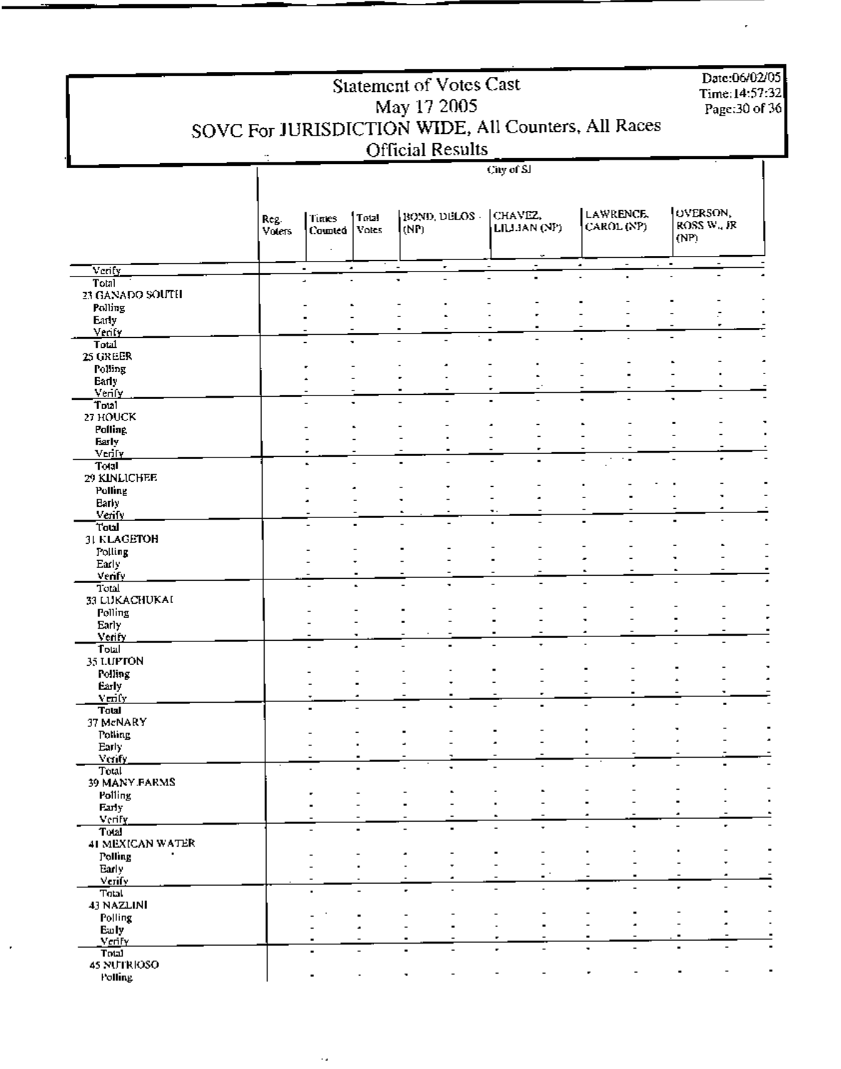Date:06/02/05<br>Time:14:57:32<br>Page:30 of 36

|                             |                       |                          |                          |                                            | City of SJ                                           |                               |                                            |
|-----------------------------|-----------------------|--------------------------|--------------------------|--------------------------------------------|------------------------------------------------------|-------------------------------|--------------------------------------------|
|                             | Reg.<br><b>Voters</b> | Tintes<br>Counted Votes  | Total                    | <b>BOND, DELOS</b><br>(NP)                 | CHAVEZ,<br>LILLIAN (NP)                              | LAWRENCE.<br>CAROL (NP)       | OVERSON,<br>ROSS W., JR<br>(NP)            |
| Verify                      |                       | $\blacksquare$           | ٠                        | ٠<br>$\overline{\phantom{a}}$              | $\overline{\phantom{a}}$<br>$\overline{\phantom{a}}$ | $\overline{\phantom{a}}$<br>٠ | $\overline{\phantom{a}}$<br>$\blacksquare$ |
| Total                       |                       | ٠                        |                          |                                            | $\blacksquare$<br>$\overline{a}$                     | $\blacksquare$                |                                            |
| 23 GANADO SOUTH             |                       |                          |                          |                                            |                                                      |                               |                                            |
| Polling<br>Early            |                       |                          |                          |                                            |                                                      |                               |                                            |
| Venty                       |                       |                          |                          | ٠                                          | $\overline{\phantom{a}}$                             |                               | ٠                                          |
| <b>Total</b>                |                       |                          |                          |                                            |                                                      |                               |                                            |
| 25 GREER<br>Polling         |                       |                          |                          |                                            |                                                      |                               |                                            |
| Early                       |                       | Ŧ                        |                          |                                            |                                                      |                               | $\blacksquare$                             |
| Verify                      |                       |                          |                          | $\overline{a}$                             |                                                      |                               |                                            |
| Total<br>27 HOUCK           |                       | $\overline{\phantom{0}}$ | $\blacksquare$           |                                            |                                                      |                               |                                            |
| Polling.                    |                       |                          |                          |                                            |                                                      |                               |                                            |
| Farly                       |                       |                          |                          |                                            |                                                      |                               |                                            |
| Venfy                       |                       |                          |                          | ٠                                          |                                                      | $\cdot$                       | ÷                                          |
| Total<br>29 KINLICHEE       |                       |                          |                          |                                            |                                                      |                               |                                            |
| Polling                     |                       |                          |                          |                                            |                                                      |                               |                                            |
| Barly                       |                       |                          |                          | $\overline{\phantom{a}}$<br>$\blacksquare$ | ٠.                                                   |                               |                                            |
| Verify<br>Total             |                       |                          |                          |                                            |                                                      |                               | ٠                                          |
| 31 KLAGETOH                 |                       |                          |                          |                                            |                                                      |                               |                                            |
| Polling                     |                       |                          |                          |                                            |                                                      |                               |                                            |
| Early                       |                       |                          |                          |                                            |                                                      | $\blacksquare$                |                                            |
| Venfy<br>Total              |                       | $\overline{a}$           | $\blacksquare$           | ÷<br>$\overline{a}$                        | $\overline{a}$<br>$\overline{a}$                     |                               | $\overline{a}$                             |
| 33 LUKACHUKAI               |                       |                          |                          |                                            |                                                      |                               |                                            |
| Polling                     |                       |                          |                          |                                            | ٠                                                    |                               |                                            |
| Early<br>Verify             |                       |                          | ٠                        |                                            |                                                      |                               |                                            |
| Total                       |                       |                          | ٠                        |                                            | ٠                                                    |                               | $\overline{a}$                             |
| 35 LUPTON                   |                       |                          |                          |                                            |                                                      |                               |                                            |
| Polling<br>Early            |                       |                          |                          |                                            | $\overline{a}$                                       |                               | $\overline{a}$                             |
| Verify                      |                       |                          | ٠                        |                                            | $\overline{\phantom{a}}$<br>٠                        | ٠<br>-                        |                                            |
| Total                       |                       | ä,                       |                          | $\blacksquare$                             |                                                      |                               |                                            |
| 37 McNARY<br><b>Polling</b> |                       |                          |                          | $\blacksquare$                             |                                                      |                               |                                            |
| Early                       |                       |                          |                          | J.                                         | ٠                                                    |                               |                                            |
| Verify,                     |                       |                          | $\blacksquare$           | ٠                                          |                                                      |                               |                                            |
| Total<br>39 MANY FARMS      |                       |                          |                          |                                            |                                                      |                               |                                            |
| Polling                     |                       |                          | $\overline{\phantom{a}}$ | $\overline{\phantom{a}}$<br>$\blacksquare$ |                                                      |                               |                                            |
| Farly                       |                       |                          |                          |                                            |                                                      |                               |                                            |
| Verify<br>Total             |                       |                          | $\blacksquare$           | $\overline{\phantom{a}}$<br>$\blacksquare$ | $\overline{\phantom{a}}$<br>$\pmb{\tau}$             | ٠<br>$\overline{a}$           | ۰<br>$\overline{a}$                        |
| 41 MEXICAN WATER            |                       |                          |                          |                                            |                                                      |                               |                                            |
| Polling                     |                       |                          |                          |                                            |                                                      |                               | ۰                                          |
| Early                       |                       |                          |                          | ٠                                          | $\blacksquare$                                       |                               | ٠                                          |
| Verify<br>Total             |                       | $\blacksquare$           |                          | $\overline{\phantom{a}}$                   |                                                      | $\overline{\phantom{a}}$      | $\overline{\phantom{a}}$                   |
| 43 NAZLINI                  |                       |                          |                          |                                            |                                                      |                               |                                            |
| Polling                     |                       |                          |                          |                                            | -                                                    |                               |                                            |
| Early<br><b>Venfy</b>       |                       |                          |                          | ٠                                          | ٠                                                    | $\blacksquare$                | ٠                                          |
| Total                       |                       | $\blacksquare$           |                          |                                            | ٠                                                    | ٠                             | $\blacksquare$                             |
| 45 NUTRIOSO                 |                       |                          |                          |                                            |                                                      |                               |                                            |
| Polling                     |                       |                          |                          |                                            |                                                      |                               |                                            |

 $\ddot{\phantom{a}}$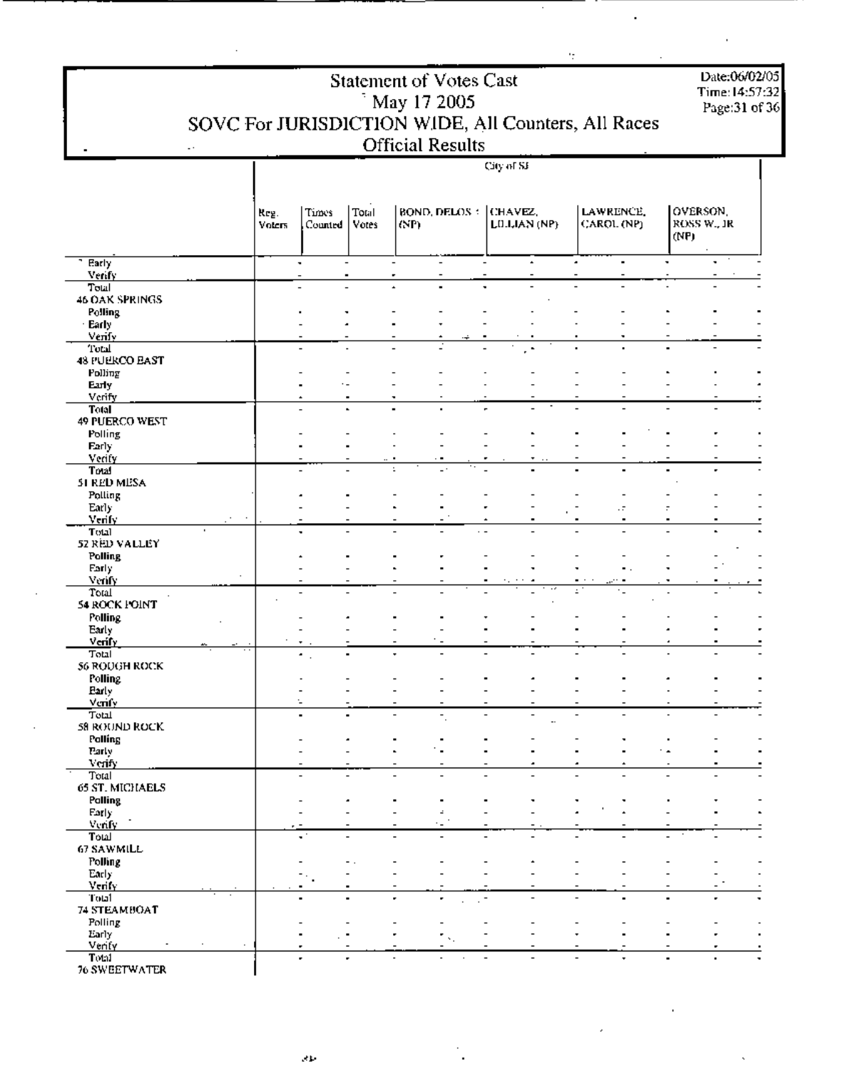| Statement of Votes Cast                             |
|-----------------------------------------------------|
| May 17 2005                                         |
| SOVC For JURISDICTION WIDE, All Counters, All Races |
| <b>Official Results</b>                             |

÷.

,

Date:06/02/05<br>Time:14:57:32<br>Page:31 of 36

|                          | $\overline{\phantom{a}}$ . |        |                          |                          | <b>Official Results</b>  |                             |                          |   |                      |                |                                  |                          |
|--------------------------|----------------------------|--------|--------------------------|--------------------------|--------------------------|-----------------------------|--------------------------|---|----------------------|----------------|----------------------------------|--------------------------|
|                          |                            |        |                          |                          |                          |                             | City of SF               |   |                      |                |                                  |                          |
|                          |                            |        |                          |                          |                          |                             |                          |   |                      |                |                                  |                          |
|                          |                            |        |                          |                          |                          |                             |                          |   |                      |                |                                  |                          |
|                          |                            |        |                          |                          |                          |                             |                          |   |                      |                |                                  |                          |
|                          |                            | Reg.   | Times                    | Total                    |                          |                             | BOND, DELOS :  CHAVEZ,   |   | LAWRENCE,            |                | OVERSON,                         |                          |
|                          |                            | Voters | Counted.                 | Votes                    | KSP).                    |                             | LILLIAN (NP)             |   | CAROL (NP)           |                | ROSS W., JR                      |                          |
|                          |                            |        |                          |                          |                          |                             |                          |   |                      |                | (NP)                             |                          |
|                          |                            |        |                          |                          |                          |                             |                          |   |                      |                |                                  |                          |
| Early                    |                            |        | ٠                        |                          |                          |                             |                          | ٠ |                      | $\blacksquare$ | ٠                                |                          |
| Venty                    |                            |        |                          |                          |                          |                             |                          |   |                      |                |                                  |                          |
| Total                    |                            |        |                          | $\overline{a}$           |                          |                             |                          |   |                      |                |                                  |                          |
| 46 OAK SPRINGS           |                            |        |                          |                          |                          |                             |                          |   |                      |                |                                  |                          |
| <b>Polling</b>           |                            |        |                          |                          |                          |                             |                          |   |                      |                |                                  |                          |
| · Early                  |                            |        |                          |                          |                          |                             |                          |   |                      |                |                                  |                          |
| Verify                   |                            |        |                          |                          |                          |                             |                          |   |                      |                | $\blacksquare$<br>$\overline{a}$ |                          |
| Total                    |                            |        |                          |                          |                          |                             |                          |   |                      |                |                                  |                          |
| 48 PUERCO EAST           |                            |        |                          |                          |                          |                             |                          |   |                      |                |                                  |                          |
| Polling                  |                            |        |                          |                          |                          |                             |                          |   |                      |                |                                  |                          |
| Early<br>Verify          |                            |        | ٠                        |                          |                          |                             |                          |   |                      |                |                                  |                          |
| Total                    |                            |        |                          |                          |                          |                             |                          |   |                      |                |                                  |                          |
| 49 PUERCO WEST           |                            |        |                          |                          |                          |                             |                          |   |                      |                |                                  |                          |
| Polling                  |                            |        |                          |                          |                          |                             |                          |   |                      |                |                                  |                          |
| <b>Farly</b>             |                            |        |                          |                          |                          |                             |                          |   |                      |                |                                  |                          |
| Verify                   |                            |        |                          |                          |                          |                             |                          |   |                      |                |                                  |                          |
| Total                    |                            |        |                          |                          |                          |                             |                          |   |                      |                |                                  |                          |
| 51 RED MESA              |                            |        |                          |                          |                          |                             |                          |   |                      |                |                                  |                          |
| Polling                  |                            |        |                          |                          |                          |                             |                          |   |                      |                |                                  |                          |
| Early                    |                            |        |                          |                          |                          |                             |                          |   | $\cdot$ .            |                |                                  |                          |
| Verify                   |                            |        |                          |                          |                          |                             | $\blacktriangle$         |   |                      | $\blacksquare$ | $\blacksquare$                   |                          |
| Total                    |                            |        |                          |                          |                          | $\cdot$ $\sim$              |                          |   |                      |                |                                  |                          |
| 52 RED VALLEY            |                            |        |                          |                          |                          |                             |                          |   |                      |                |                                  |                          |
| Polling                  |                            |        |                          |                          |                          |                             |                          |   |                      |                |                                  |                          |
| Early                    |                            |        |                          |                          |                          |                             |                          |   |                      |                |                                  |                          |
| Verify                   |                            |        |                          | ٠                        |                          |                             |                          |   |                      |                |                                  |                          |
| Total                    |                            |        |                          | $\overline{\phantom{a}}$ |                          |                             |                          |   | $\overline{a}$<br>٠. |                |                                  |                          |
| 54 ROCK FOINT            |                            |        |                          |                          |                          |                             |                          |   |                      |                |                                  |                          |
| <b>Polling</b>           |                            |        |                          |                          |                          |                             |                          |   |                      |                |                                  |                          |
| Early                    |                            |        |                          |                          |                          |                             |                          |   |                      |                |                                  |                          |
| Verify                   |                            |        |                          |                          |                          |                             |                          |   |                      |                |                                  |                          |
| Total                    |                            |        | ٠<br>$\overline{a}$      |                          |                          | $\overline{a}$              |                          |   |                      |                |                                  |                          |
| 56 ROUGH ROCK            |                            |        |                          |                          |                          |                             |                          |   |                      |                |                                  |                          |
| Polling                  |                            |        |                          |                          |                          |                             |                          |   |                      |                |                                  |                          |
| <b>Barly</b>             |                            |        |                          |                          |                          |                             |                          |   |                      |                |                                  |                          |
| Venfy                    |                            |        | t,                       |                          |                          |                             |                          |   |                      |                |                                  |                          |
| Total                    |                            |        |                          |                          |                          |                             |                          |   |                      |                |                                  |                          |
| 58 ROUND ROCK<br>Polling |                            |        |                          |                          |                          |                             |                          |   |                      |                |                                  |                          |
| Party                    |                            |        |                          |                          |                          |                             |                          |   |                      |                |                                  |                          |
| Verify                   |                            |        |                          |                          |                          |                             |                          |   |                      |                |                                  |                          |
| Total                    |                            |        | $\overline{\phantom{a}}$ |                          | $\overline{\phantom{a}}$ | $\overline{a}$              | $\overline{a}$           |   |                      |                |                                  |                          |
| 65 ST. MICHAELS          |                            |        |                          |                          |                          |                             |                          |   |                      |                |                                  |                          |
| Palling                  |                            |        |                          |                          |                          |                             |                          |   |                      |                |                                  |                          |
| Farly                    |                            |        |                          |                          |                          | $\mathcal{L}_{\mathcal{A}}$ |                          |   |                      |                |                                  |                          |
| Venfy                    |                            |        |                          |                          |                          |                             |                          |   |                      |                |                                  |                          |
| Total                    |                            |        | ٠                        |                          | $\overline{\phantom{0}}$ | $\overline{\phantom{0}}$    |                          |   |                      |                |                                  | $\overline{\phantom{a}}$ |
| 67 SAWMILL               |                            |        |                          |                          |                          |                             |                          |   |                      |                |                                  |                          |
| Polling                  |                            |        |                          |                          |                          |                             |                          |   |                      |                |                                  |                          |
| Early                    |                            |        |                          |                          |                          |                             |                          |   |                      |                |                                  |                          |
| Venfy                    |                            |        |                          | ٠                        |                          |                             |                          |   |                      |                |                                  |                          |
| Total                    |                            |        |                          |                          | ٠                        | ٠                           | $\overline{\phantom{a}}$ |   |                      | $\blacksquare$ | ٠<br>٠                           |                          |
| 74 STEAMBOAT             |                            |        |                          |                          |                          |                             |                          |   |                      |                |                                  |                          |
| Polling                  |                            |        |                          |                          |                          |                             |                          |   |                      |                |                                  |                          |
| Early                    |                            |        |                          | ٠                        |                          |                             |                          |   |                      |                |                                  |                          |
| Venty                    |                            |        | ٠                        | $\overline{\phantom{a}}$ |                          |                             |                          |   |                      |                |                                  | ٠                        |
| Total                    |                            |        |                          |                          |                          |                             |                          |   |                      |                |                                  |                          |
| 76 SWEETWATER            |                            |        |                          |                          |                          |                             |                          |   |                      |                |                                  |                          |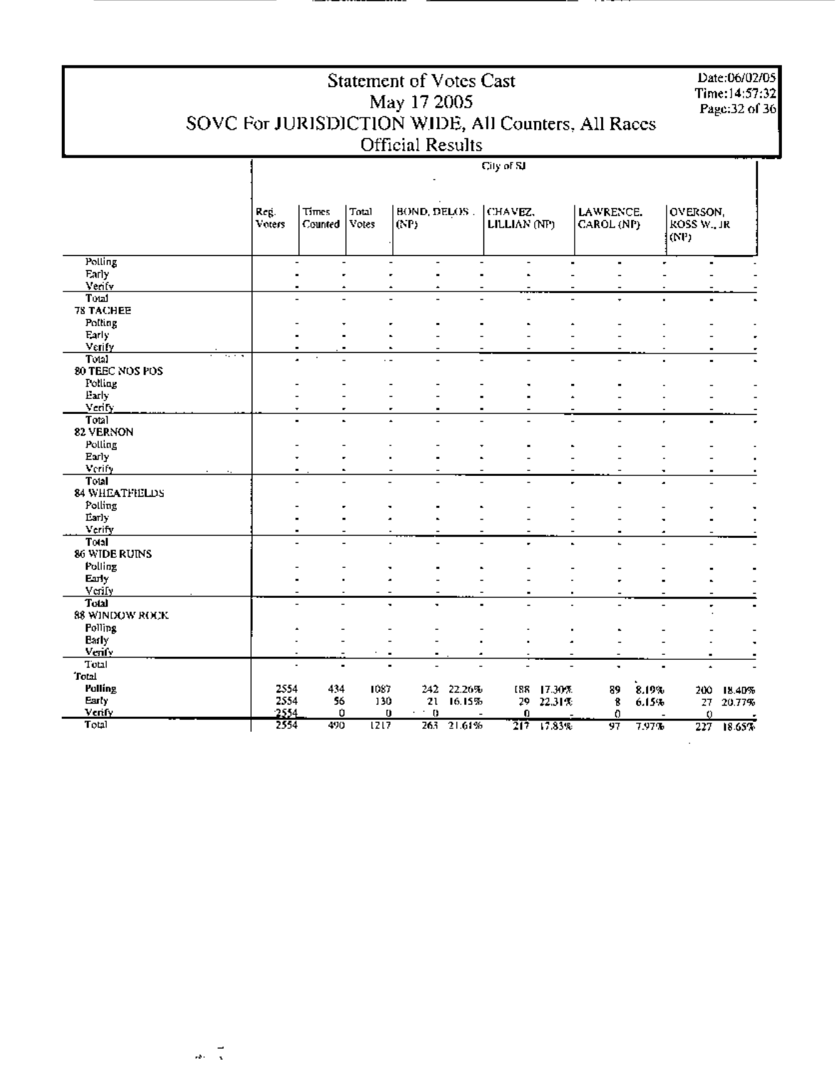Date:06/02/05 Time:14:57:32 Page:32 of 36

City of SJ Reg.<br>Voters CHAVEZ, Times Total BOND, DELOS. LAWRENCE. OVERSON. Counted Votes  $(NP)$ LILLIAN (NP) CAROL (NP) **ROSS W., JR** (NP) Polling Ξ  $\blacksquare$  $\overline{\phantom{a}}$  $\overline{\phantom{a}}$  $\overline{\phantom{a}}$  $\overline{a}$  $\overline{a}$  $\blacksquare$ ÷ ٠ Early l, l,  $\overline{a}$  $\overline{a}$  $\overline{a}$ Verify . Total  $\overline{a}$ Ĩ.  $\overline{a}$  $\overline{a}$ Į. Ĭ. L. **78 TACHEE** Polling  $\overline{a}$  $\ddot{\phantom{0}}$  $\overline{a}$  $\overline{a}$  $\overline{a}$  $\overline{a}$ L.  $\overline{a}$  $\overline{a}$  $\overline{a}$ Early l, l, l,  $\overline{a}$  $\overline{a}$  $\overline{a}$  $\overline{a}$ l,  $\overline{a}$ Verify ÷ Total τ  $\overline{1}$ τ τ 80 TEEC NOS POS Polling  $\overline{a}$  $\overline{a}$  $\overline{a}$  $\overline{a}$  $\overline{a}$ L. L L.  $\overline{a}$  $\overline{a}$ Early  $\overline{a}$ l.  $\overline{a}$  $\overline{a}$ . l, l,  $\overline{a}$  $\overline{a}$  $\overline{a}$ Verify Total ä, L. ä, 82 VERNON Polling  $\overline{a}$ L í. L, Early Ļ l, ä, L.  $\overline{a}$  $\overline{a}$  $\overline{a}$  $\overline{a}$ J.  $\overline{a}$ Verify  $\blacksquare$ **Total** l, l, l, ä,  $\overline{a}$ **84 WHEATFRELDS** Polling  $\overline{a}$ ä, ł, ł, i.  $\frac{1}{2}$  $\frac{1}{2}$  $\overline{a}$  $\overline{a}$ ÷ Early l, ÷,  $\tilde{\phantom{a}}$ ÷, ٠  $\overline{a}$  $\overline{a}$ ÷,  $\ddot{\phantom{a}}$  $\blacksquare$ Verify Ĭ. Total  $\overline{a}$ ÷ ÷,  $\blacksquare$ L,  $\blacksquare$  $\overline{a}$ 86 WIDE RUINS Polling  $\overline{a}$ L  $\blacksquare$  $\blacksquare$ ÷, L .  $\blacksquare$ Early l, ÷,  $\overline{\phantom{a}}$  $\overline{a}$  $\overline{a}$  $\overline{a}$  $\overline{a}$ J.  $\overline{a}$  $\ddot{\phantom{0}}$ Verify Total  $\overline{a}$  $\frac{1}{2}$  $\overline{a}$ ÷, .  $\blacksquare$  $\overline{a}$  $\overline{a}$  $\overline{a}$ Ĭ.  $\overline{a}$ 88 WINDOW ROCK **Polling** L, ÷,  $\overline{\phantom{a}}$  $\overline{\phantom{0}}$  $\overline{\phantom{m}}$ i, ×  $\ddot{\phantom{0}}$  $\overline{a}$  $\overline{a}$ L. **Barly** ÷,  $\overline{a}$  $\overline{a}$  $\overline{\phantom{0}}$ ł, ÷, J,  $\overline{a}$  $\overline{a}$ ÷,  $\ddot{\phantom{0}}$ Verify  $\blacksquare$ Total Ţ ÷, ÷,  $\overline{a}$  $\ddot{\phantom{a}}$  $\overline{a}$  $\overline{a}$ Total 2554<br>2554 188 17.30% Polling 434 1087 242 22.26% 8.19% 89 200 18.40% 56 Early 130 21 16.15% 29 22.31% ß 6.15% 27 20.77% Verify 2554 0  $\mathbf 0$  $\pmb{\mathfrak{g}}$  $\boldsymbol{0}$ Ō  $\Omega$ 490 Total 2554  $\overline{1217}$  $\frac{1}{263}$ 21.61% 217  $18.65%$ 17.83%  $7.97%$ 97 227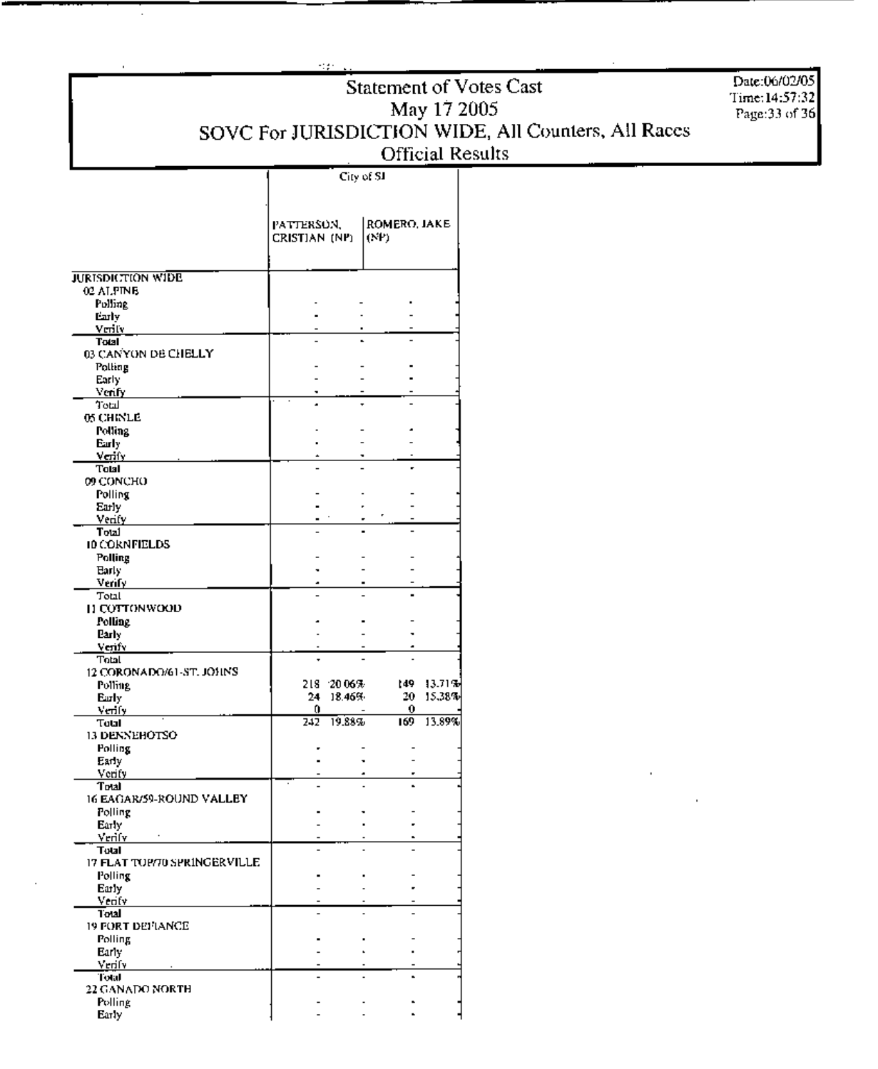$\overline{1}$ 

City of SI

Date:06/02/05  $Time:14:57:32$ Page:33 of 36

|                                | PATTERSON,<br>CRISTIAN (NP) |        | ROMERO, JAKE<br>(NP) |        |
|--------------------------------|-----------------------------|--------|----------------------|--------|
| <b>JURISDICTION WIDE</b>       |                             |        |                      |        |
| 02 ALPINE                      |                             |        |                      |        |
| Pulling                        |                             |        |                      |        |
| Early                          |                             |        |                      |        |
| Veniv<br>Total                 |                             |        |                      |        |
| 03 CANYON DE CHELLY            |                             |        |                      |        |
| Polling                        |                             |        |                      |        |
| Early                          |                             |        |                      |        |
| Venfy                          |                             |        |                      |        |
| Total                          |                             |        |                      |        |
| <b>05 CHINLE</b>               |                             |        |                      |        |
| <b>Polling</b>                 |                             |        |                      |        |
| Early<br>venty                 |                             |        |                      |        |
| Total                          |                             |        |                      |        |
| 09 CONCHO                      |                             |        |                      |        |
| Polling                        |                             |        |                      |        |
| Early                          |                             |        | ٠                    |        |
| Venfy<br>Total                 |                             |        |                      |        |
| 10 CORNFIELDS                  |                             |        |                      |        |
| Polling                        |                             |        |                      |        |
| <b>Early</b>                   |                             |        |                      |        |
| Verify                         |                             |        |                      |        |
| Total                          |                             |        |                      |        |
| <b>II COTTONWOOD</b>           |                             |        |                      |        |
| <b>Polling</b><br><b>Barly</b> |                             |        |                      |        |
| venfy                          |                             |        |                      |        |
| Total                          |                             |        |                      |        |
| 12 CORONADO/61-ST. JOHNS       |                             |        |                      |        |
| Polling                        | 218.                        | 20065. | : 49                 | 13.71% |
| Early                          | 24                          | 18.46% | 20.                  | 15,38% |
| venly                          | 0<br>242                    | 19.88% | 0<br>169             | 13.89% |
| Total<br>13 DENNEHOTSO         |                             |        |                      |        |
| Polling                        |                             |        |                      |        |
| Early                          |                             |        |                      |        |
| Verify                         |                             |        |                      |        |
| Total                          |                             |        |                      |        |
| 16 EAGAR/59-ROUND VALLEY       |                             |        |                      |        |
| Polling                        |                             |        |                      |        |
| Early<br><u>Verily</u>         |                             |        |                      |        |
| Total                          |                             |        |                      |        |
| 17 FLAT TOP/70 SPRINGERVILLE   |                             |        |                      |        |
| Polling                        |                             |        |                      |        |
| Early                          |                             |        |                      |        |
| Venty                          |                             |        |                      |        |
| Total<br>19 FORT DEFIANCE      |                             |        |                      |        |
| Polling                        |                             |        |                      |        |
| Early                          |                             |        |                      |        |
| Verify                         |                             |        |                      |        |
| Total                          |                             |        |                      |        |
| 22 GANADO NORTH                |                             |        |                      |        |
| Polling<br>Early               |                             |        |                      |        |

T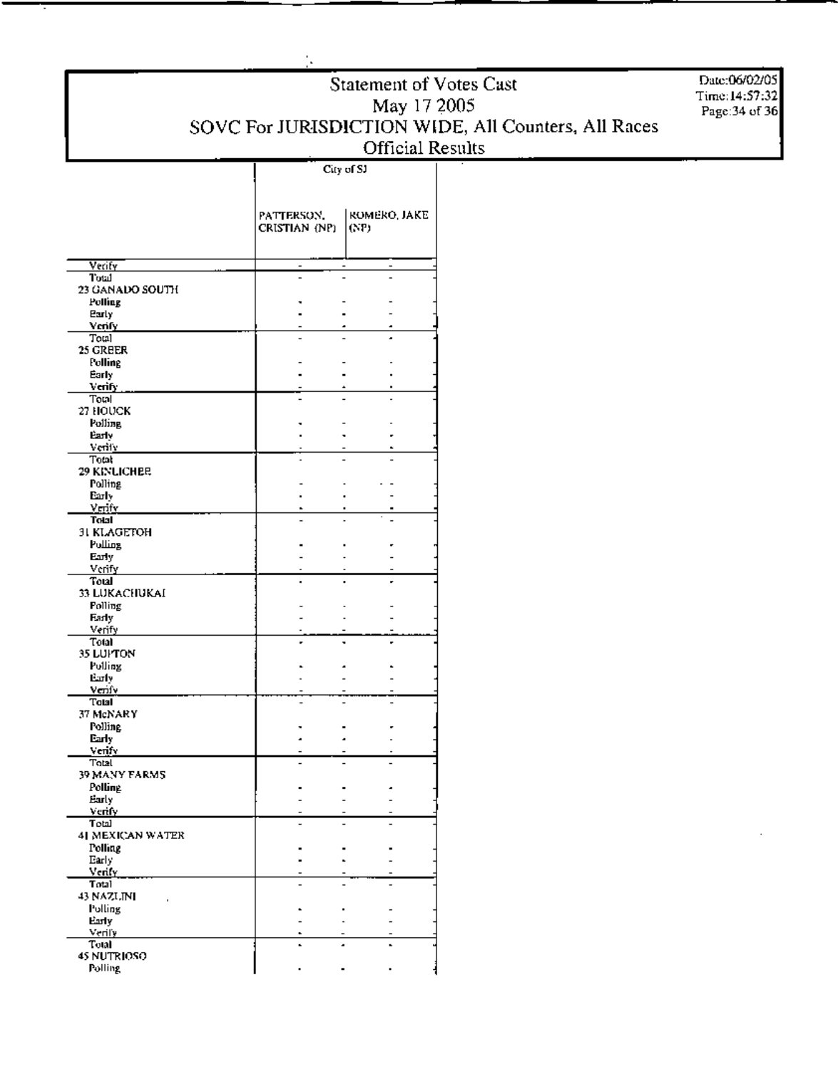City of SJ

PATTERSON. **ROMERO, JAKE** CRISTIAN (NP)  $(NP)$ Verify  $\overline{a}$ Total 23 GANADO SOUTH Polling ÷, **Barly** Ĭ. Venfy Toul 25 GREER **Folling**  $\overline{a}$ ÷, **Early** l. Verify Toul 27 HOUCK Polling Ĭ.  $\overline{\phantom{a}}$ Early ï  $\tilde{\phantom{a}}$ verify Total  $\overline{a}$ 29 KINLICHER Polling l,  $\overline{a}$  $\overline{a}$ Early <u>Venfy</u> **Total** L, l, 31 KLAGETOH Pulling l,  $\overline{a}$  $\overline{a}$ Early Ĭ. ÷, Verify **Total** Ĭ, ł, 33 LUKACHUKAI Polling l, l,  $\overline{a}$ Early ÷, **Verify** Total . 35 LUFTON Polling l. J. L. Early  $\overline{a}$ ÷,  $\overline{a}$ Venfy **Total** 37 McNARY **Polling**  $\blacksquare$ ł, ÷, **Early** l, ×, <u>venfy</u> Total 39 MANY FARMS Polling Ĭ. ÷, Early  $\overline{a}$ Ĭ. Verify Total l, 41 MEXICAN WATER Polling  $\cdot$ ÷ ł, Early Ĭ.  $\ddot{\phantom{a}}$  $\overline{a}$ Venty Total Ĭ. Ĭ. 43 NAZLINI Polling Ĭ. ÷, Early  $\overline{a}$ ÷,  $\blacksquare$ Verify Total ¥ Ĭ. í, 45 NUTRIOSO **Polling** ÷, ÷, ÷,

Date:06/02/05 Time: 14:57:32 Page: 34 of 36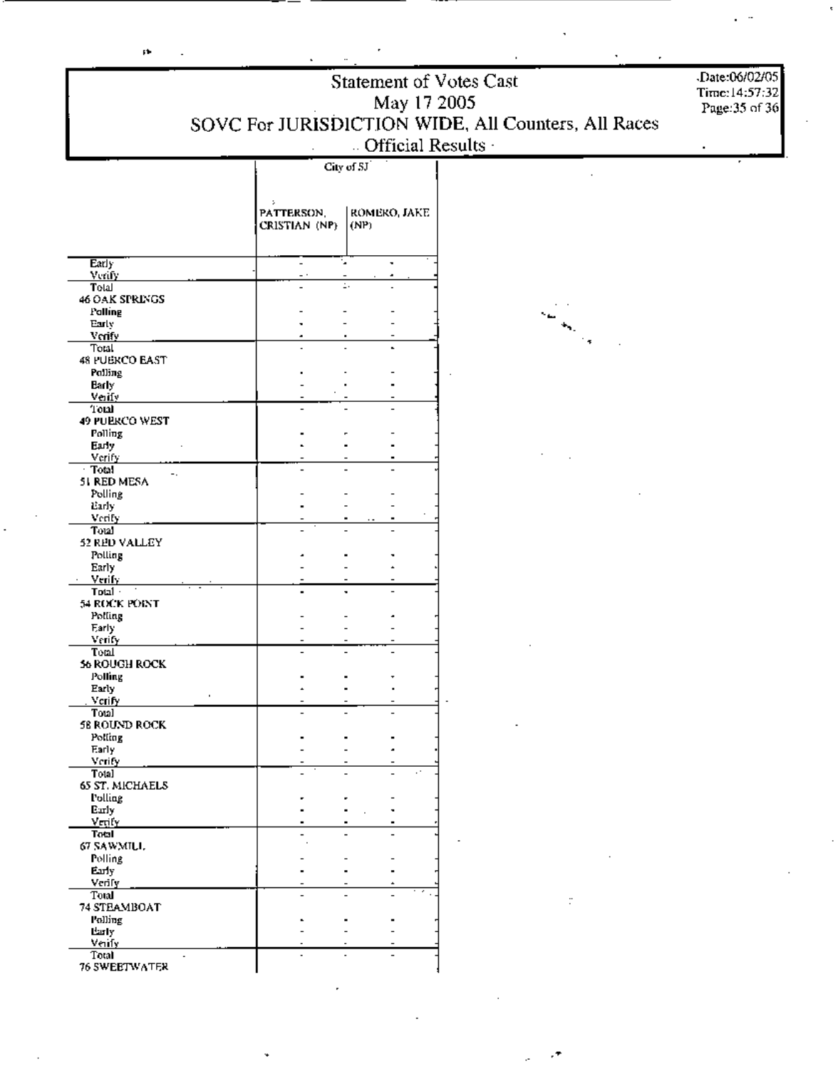City of SJ

PATTERSON, **ROMERO, JAKE** CRISTIAN (NP) (NP) **Early** ٠.  $\blacksquare$ Verify Total 46 OAK SPRINGS Palling Early Verify Total ä, 48 PUERCO EAST Polling Barly  $\overline{a}$ **Veily** Tom 49 PUERCO WEST Polling Early Verify **Total**  $\overline{a}$ 51 RED MESA Polling Early Verify Total 52 RED VALLEY Polling Early Verify Total -54 ROCK POINT Polling Early Verify Total 56 ROUGH ROCK Polling Early **Verify** Total 58 ROUND ROCK Polling Early Verify Total 65 ST. MICHAELS **Polling** Early <u>Verify</u> Total 67 SAWMILI. Polling Early  $\blacksquare$  $\blacksquare$  $\blacksquare$ Verify Total 74 STEAMBOAT Polling **Barly** Veify Total **76 SWEETWATER** 

p.

Date:06/02/05 Time: 14:57:32 Page: 35 of 36